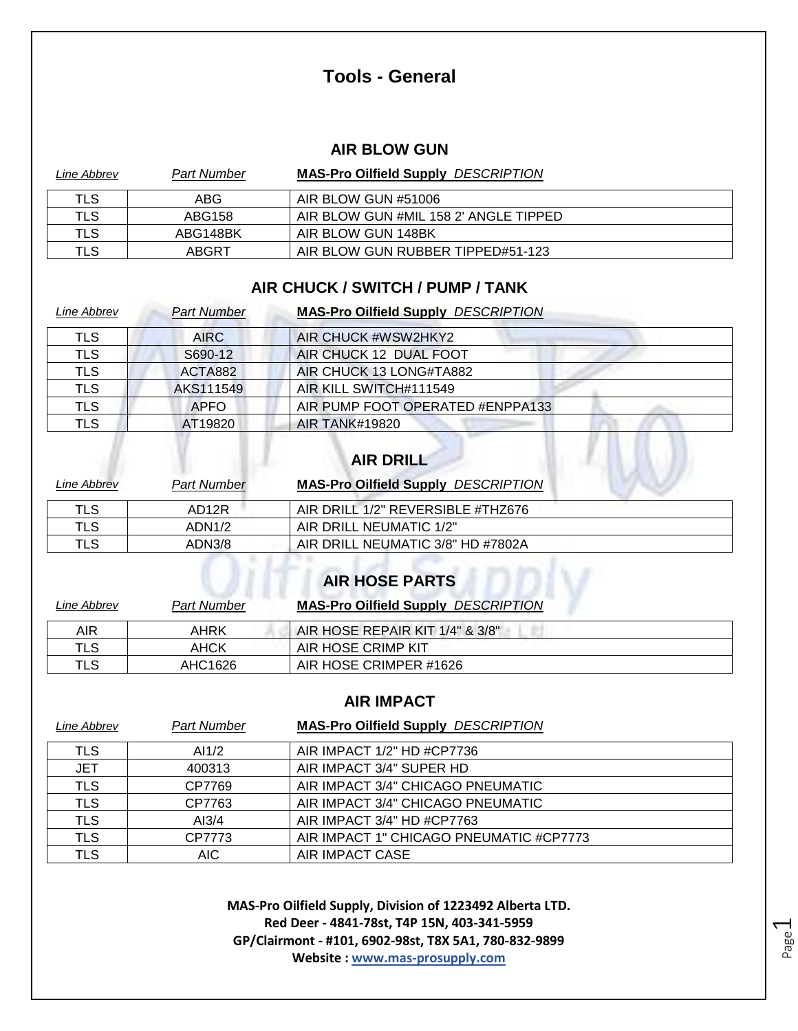### **Tools - General**

#### **AIR BLOW GUN**

| Line Abbrev | <b>Part Number</b> | <b>MAS-Pro Oilfield Supply DESCRIPTION</b> |
|-------------|--------------------|--------------------------------------------|
| TLS         | ABG                | AIR BLOW GUN #51006                        |
| TLS         | ABG158             | AIR BLOW GUN #MIL 158 2' ANGLE TIPPED      |
| TLS         | ABG148BK           | AIR BLOW GUN 148BK                         |
| TLS         | ABGRT              | AIR BLOW GUN RUBBER TIPPED#51-123          |

#### **AIR CHUCK / SWITCH / PUMP / TANK**

| Line Abbrev | <b>Part Number</b> | <b>MAS-Pro Oilfield Supply DESCRIPTION</b> |
|-------------|--------------------|--------------------------------------------|
| <b>TLS</b>  | <b>AIRC</b>        | AIR CHUCK #WSW2HKY2                        |
| <b>TLS</b>  | S690-12            | AIR CHUCK 12 DUAL FOOT                     |
| <b>TLS</b>  | ACTA882            | AIR CHUCK 13 LONG#TA882                    |
| <b>TLS</b>  | AKS111549          | AIR KILL SWITCH#111549                     |
| <b>TLS</b>  | <b>APFO</b>        | AIR PUMP FOOT OPERATED #ENPPA133           |
| <b>TLS</b>  | AT19820            | <b>AIR TANK#19820</b>                      |
|             |                    | <b>AIR DRILL</b>                           |

| Line Abbrev | <b>Part Number</b> | <b>MAS-Pro Oilfield Supply DESCRIPTION</b> |
|-------------|--------------------|--------------------------------------------|
| TLS         | AD <sub>12</sub> R | AIR DRILL 1/2" REVERSIBLE #THZ676          |
| <b>TLS</b>  | ADN1/2             | AIR DRILL NEUMATIC 1/2"                    |
| TLS         | ADN3/8             | AIR DRILL NEUMATIC 3/8" HD #7802A          |
|             |                    | <b>AIR HOSE PARTS</b>                      |

| Line Abbrev | <b>Part Number</b> | <b>MAS-Pro Oilfield Supply DESCRIPTION</b> |
|-------------|--------------------|--------------------------------------------|
| AIR         | AHRK               | AIR HOSE REPAIR KIT 1/4" & 3/8"            |
| TLS         | AHCK               | AIR HOSE CRIMP KIT                         |
| TLS         | AHC1626            | AIR HOSE CRIMPER #1626                     |

#### **AIR IMPACT**

| Line Abbrev | <b>Part Number</b> | <b>MAS-Pro Oilfield Supply DESCRIPTION</b> |
|-------------|--------------------|--------------------------------------------|
| TLS         | AI $1/2$           | AIR IMPACT 1/2" HD #CP7736                 |
| <b>JET</b>  | 400313             | AIR IMPACT 3/4" SUPER HD                   |
| <b>TLS</b>  | CP7769             | AIR IMPACT 3/4" CHICAGO PNEUMATIC          |
| <b>TLS</b>  | CP7763             | AIR IMPACT 3/4" CHICAGO PNEUMATIC          |
| <b>TLS</b>  | AI3/4              | AIR IMPACT 3/4" HD #CP7763                 |
| <b>TLS</b>  | CP7773             | AIR IMPACT 1" CHICAGO PNEUMATIC #CP7773    |
| TLS         | AIC.               | AIR IMPACT CASE                            |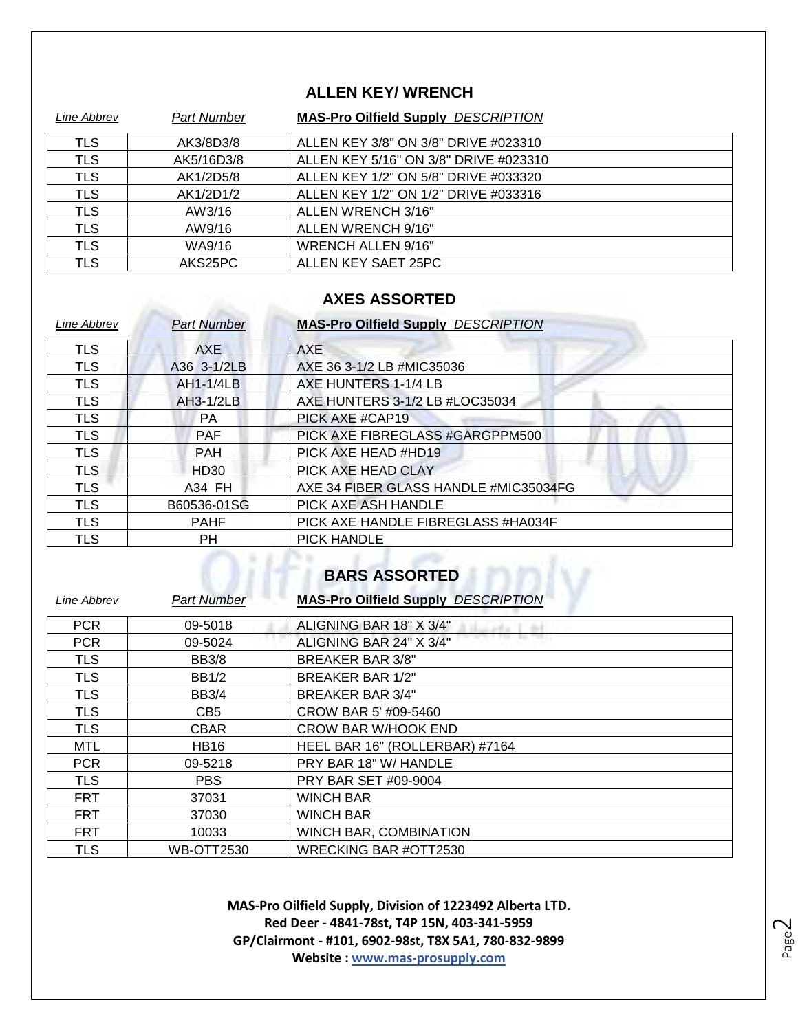#### **ALLEN KEY/ WRENCH**

| Line Abbrev | <b>Part Number</b> | <b>MAS-Pro Oilfield Supply DESCRIPTION</b> |
|-------------|--------------------|--------------------------------------------|
| <b>TLS</b>  | AK3/8D3/8          | ALLEN KEY 3/8" ON 3/8" DRIVE #023310       |
| <b>TLS</b>  | AK5/16D3/8         | ALLEN KEY 5/16" ON 3/8" DRIVE #023310      |
| <b>TLS</b>  | AK1/2D5/8          | ALLEN KEY 1/2" ON 5/8" DRIVE #033320       |
| <b>TLS</b>  | AK1/2D1/2          | ALLEN KEY 1/2" ON 1/2" DRIVE #033316       |
| <b>TLS</b>  | AW3/16             | ALLEN WRENCH 3/16"                         |
| <b>TLS</b>  | AW9/16             | ALLEN WRENCH 9/16"                         |
| <b>TLS</b>  | WA9/16             | <b>WRENCH ALLEN 9/16"</b>                  |
| <b>TLS</b>  | AKS25PC            | ALLEN KEY SAET 25PC                        |

### **AXES ASSORTED**

Albert 19

| Line Abbrev | <b>Part Number</b> | <b>MAS-Pro Oilfield Supply DESCRIPTION</b> |
|-------------|--------------------|--------------------------------------------|
| <b>TLS</b>  | <b>AXE</b>         | AXE                                        |
| <b>TLS</b>  | A36 3-1/2LB        | AXE 36 3-1/2 LB #MIC35036                  |
| <b>TLS</b>  | AH1-1/4LB          | AXE HUNTERS 1-1/4 LB                       |
| <b>TLS</b>  | <b>AH3-1/2LB</b>   | AXE HUNTERS 3-1/2 LB #LOC35034             |
| <b>TLS</b>  | <b>PA</b>          | PICK AXE #CAP19                            |
| <b>TLS</b>  | <b>PAF</b>         | PICK AXE FIBREGLASS #GARGPPM500            |
| TLS         | <b>PAH</b>         | PICK AXE HEAD #HD19                        |
| <b>TLS</b>  | HD30               | PICK AXE HEAD CLAY                         |
| <b>TLS</b>  | A34 FH             | AXE 34 FIBER GLASS HANDLE #MIC35034FG      |
| <b>TLS</b>  | B60536-01SG        | PICK AXE ASH HANDLE                        |
| <b>TLS</b>  | <b>PAHF</b>        | PICK AXE HANDLE FIBREGLASS #HA034F         |
| TLS         | РH                 | <b>PICK HANDLE</b>                         |

#### **BARS ASSORTED**

| Line Abbrev | <b>Part Number</b> | <b>MAS-Pro Oilfield Supply DESCRIPTION</b> |
|-------------|--------------------|--------------------------------------------|
| <b>PCR</b>  | 09-5018            | ALIGNING BAR 18" X 3/4"                    |
| <b>PCR</b>  | 09-5024            | ALIGNING BAR 24" X 3/4"                    |
| <b>TLS</b>  | <b>BB3/8</b>       | <b>BREAKER BAR 3/8"</b>                    |
| <b>TLS</b>  | <b>BB1/2</b>       | <b>BREAKER BAR 1/2"</b>                    |
| <b>TLS</b>  | <b>BB3/4</b>       | <b>BREAKER BAR 3/4"</b>                    |
| <b>TLS</b>  | CB <sub>5</sub>    | CROW BAR 5' #09-5460                       |
| <b>TLS</b>  | <b>CBAR</b>        | CROW BAR W/HOOK END                        |
| <b>MTL</b>  | <b>HB16</b>        | HEEL BAR 16" (ROLLERBAR) #7164             |
| <b>PCR</b>  | 09-5218            | PRY BAR 18" W/ HANDLE                      |
| <b>TLS</b>  | <b>PBS</b>         | PRY BAR SET #09-9004                       |
| <b>FRT</b>  | 37031              | <b>WINCH BAR</b>                           |
| <b>FRT</b>  | 37030              | <b>WINCH BAR</b>                           |
| <b>FRT</b>  | 10033              | <b>WINCH BAR, COMBINATION</b>              |
| TLS         | <b>WB-OTT2530</b>  | <b>WRECKING BAR #OTT2530</b>               |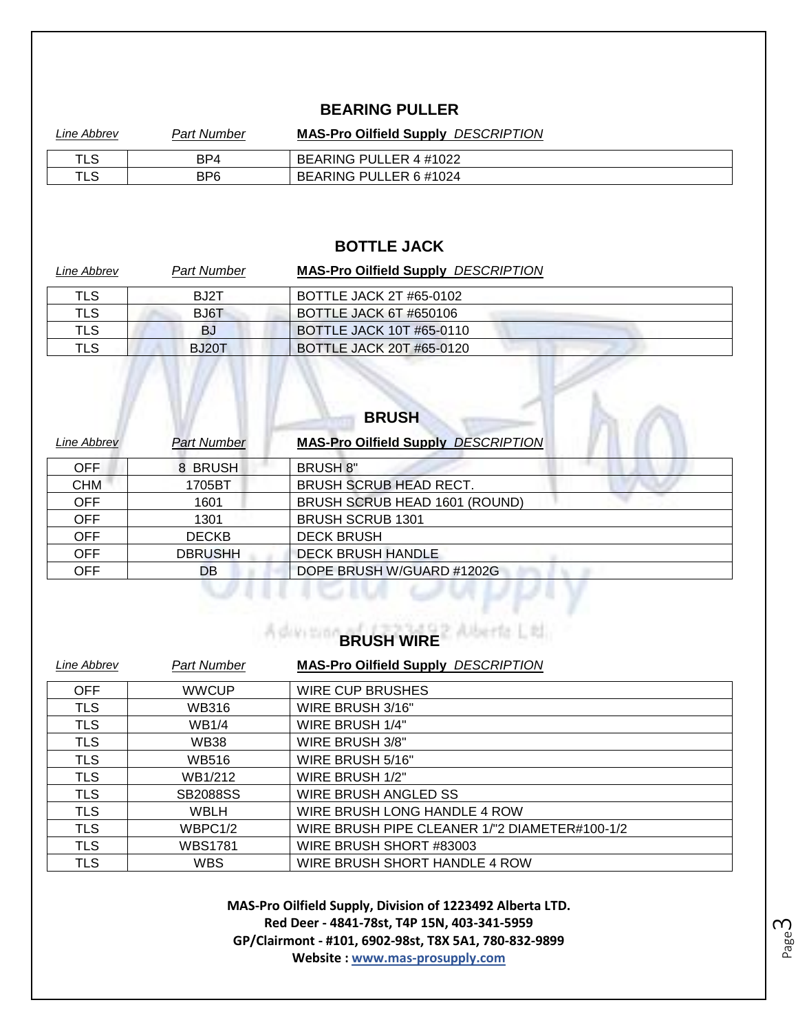#### **BEARING PULLER**

| Line Abbrev | Part Number     | <b>MAS-Pro Oilfield Supply DESCRIPTION</b> |
|-------------|-----------------|--------------------------------------------|
| TLS         | BP4             | BEARING PULLER 4 #1022                     |
| TLS         | BP <sub>6</sub> | BEARING PULLER 6 #1024                     |

#### **BOTTLE JACK**

| Line Abbrev | <b>Part Number</b> | <b>MAS-Pro Oilfield Supply DESCRIPTION</b> |
|-------------|--------------------|--------------------------------------------|
| TLS         | BJ2T               | BOTTLE JACK 2T #65-0102                    |
| TLS         | BJ6T               | BOTTLE JACK 6T #650106                     |
| TLS         | BJ                 | <b>BOTTLE JACK 10T #65-0110</b>            |
| TLS         | BJ20T              | <b>BOTTLE JACK 20T #65-0120</b>            |

 $\sim$ 

| Line Abbrev | Part Number    | <b>MAS-Pro Oilfield Supply DESCRIPTION</b> |
|-------------|----------------|--------------------------------------------|
| <b>OFF</b>  | 8 BRUSH        | <b>BRUSH 8"</b>                            |
| <b>CHM</b>  | 1705BT         | <b>BRUSH SCRUB HEAD RECT.</b>              |
| <b>OFF</b>  | 1601           | BRUSH SCRUB HEAD 1601 (ROUND)              |
| <b>OFF</b>  | 1301           | <b>BRUSH SCRUB 1301</b>                    |
| <b>OFF</b>  | <b>DECKB</b>   | <b>DECK BRUSH</b>                          |
| <b>OFF</b>  | <b>DBRUSHH</b> | <b>DECK BRUSH HANDLE</b>                   |
| <b>OFF</b>  | DB             | DOPE BRUSH W/GUARD #1202G                  |

# **A demand BRUSH WIRE**

| Line Abbrev | Part Number     | <b>MAS-Pro Oilfield Supply DESCRIPTION</b>    |
|-------------|-----------------|-----------------------------------------------|
| OFF         | <b>WWCUP</b>    | <b>WIRE CUP BRUSHES</b>                       |
| <b>TLS</b>  | <b>WB316</b>    | WIRE BRUSH 3/16"                              |
| <b>TLS</b>  | <b>WB1/4</b>    | WIRE BRUSH 1/4"                               |
| <b>TLS</b>  | <b>WB38</b>     | WIRE BRUSH 3/8"                               |
| <b>TLS</b>  | WB516           | WIRE BRUSH 5/16"                              |
| <b>TLS</b>  | WB1/212         | WIRE BRUSH 1/2"                               |
| <b>TLS</b>  | <b>SB2088SS</b> | WIRE BRUSH ANGLED SS                          |
| <b>TLS</b>  | WBLH            | WIRE BRUSH LONG HANDLE 4 ROW                  |
| <b>TLS</b>  | WBPC1/2         | WIRE BRUSH PIPE CLEANER 1/"2 DIAMETER#100-1/2 |
| <b>TLS</b>  | <b>WBS1781</b>  | WIRE BRUSH SHORT #83003                       |
| <b>TLS</b>  | <b>WBS</b>      | WIRE BRUSH SHORT HANDLE 4 ROW                 |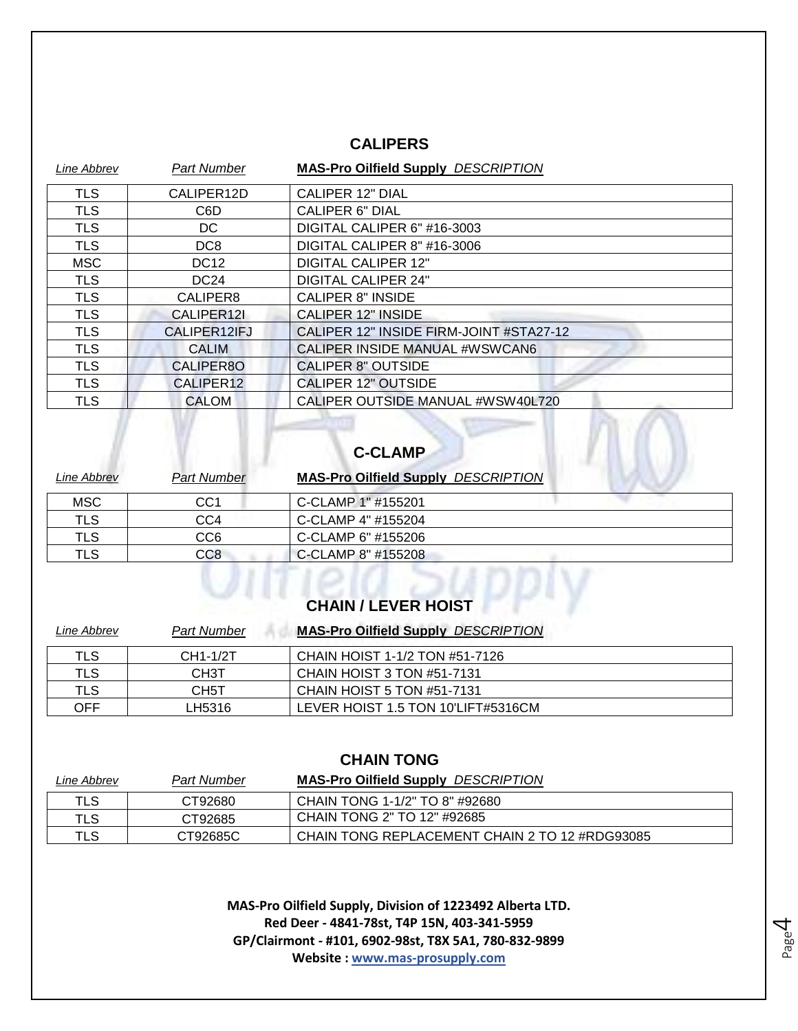#### **CALIPERS**

| Line Abbrev | <b>Part Number</b>        | <b>MAS-Pro Oilfield Supply DESCRIPTION</b> |
|-------------|---------------------------|--------------------------------------------|
| <b>TLS</b>  | CALIPER12D                | <b>CALIPER 12" DIAL</b>                    |
| <b>TLS</b>  | C <sub>6</sub> D          | <b>CALIPER 6" DIAL</b>                     |
| <b>TLS</b>  | DC.                       | DIGITAL CALIPER 6" #16-3003                |
| <b>TLS</b>  | DC <sub>8</sub>           | DIGITAL CALIPER 8" #16-3006                |
| <b>MSC</b>  | <b>DC12</b>               | <b>DIGITAL CALIPER 12"</b>                 |
| <b>TLS</b>  | DC <sub>24</sub>          | <b>DIGITAL CALIPER 24"</b>                 |
| <b>TLS</b>  | CALIPER8                  | <b>CALIPER 8" INSIDE</b>                   |
| <b>TLS</b>  | CALIPER12I                | <b>CALIPER 12" INSIDE</b>                  |
| <b>TLS</b>  | CALIPER <sub>12</sub> IFJ | CALIPER 12" INSIDE FIRM-JOINT #STA27-12    |
| <b>TLS</b>  | <b>CALIM</b>              | CALIPER INSIDE MANUAL #WSWCAN6             |
| <b>TLS</b>  | CALIPER8O                 | <b>CALIPER 8" OUTSIDE</b>                  |
| <b>TLS</b>  | CALIPER12                 | <b>CALIPER 12" OUTSIDE</b>                 |
| <b>TLS</b>  | <b>CALOM</b>              | CALIPER OUTSIDE MANUAL #WSW40L720          |

# **C-CLAMP**

| Line Abbrev | <b>Part Number</b> | <b>MAS-Pro Oilfield Supply DESCRIPTION</b> |
|-------------|--------------------|--------------------------------------------|
| <b>MSC</b>  | CC1                | C-CLAMP 1" #155201                         |
| <b>TLS</b>  | CC4                | C-CLAMP 4" #155204                         |
| TLS         | CC6.               | C-CLAMP 6" #155206                         |
| TLS         | CC <sub>8</sub>    | C-CLAMP 8" #155208                         |

# **CHAIN / LEVER HOIST**

| Line Abbrev | <b>Part Number</b> | <b>MAS-Pro Oilfield Supply DESCRIPTION</b> |
|-------------|--------------------|--------------------------------------------|
| TLS         | CH1-1/2T           | CHAIN HOIST 1-1/2 TON #51-7126             |
| TLS         | CH <sub>3</sub> T  | CHAIN HOIST 3 TON #51-7131                 |
| TLS         | CH <sub>5</sub> T  | CHAIN HOIST 5 TON #51-7131                 |
| OFF         | LH5316             | LEVER HOIST 1.5 TON 10'LIFT#5316CM         |

#### **CHAIN TONG**

| Line Abbrev | <b>Part Number</b> | <b>MAS-Pro Oilfield Supply DESCRIPTION</b>     |
|-------------|--------------------|------------------------------------------------|
| TLS         | CT92680            | CHAIN TONG 1-1/2" TO 8" #92680                 |
| TLS         | CT92685            | CHAIN TONG 2" TO 12" #92685                    |
| TLS         | CT92685C           | CHAIN TONG REPLACEMENT CHAIN 2 TO 12 #RDG93085 |

**MAS-Pro Oilfield Supply, Division of 1223492 Alberta LTD. Red Deer - 4841-78st, T4P 15N, 403-341-5959 GP/Clairmont - #101, 6902-98st, T8X 5A1, 780-832-9899 Website : www.mas-prosupply.com**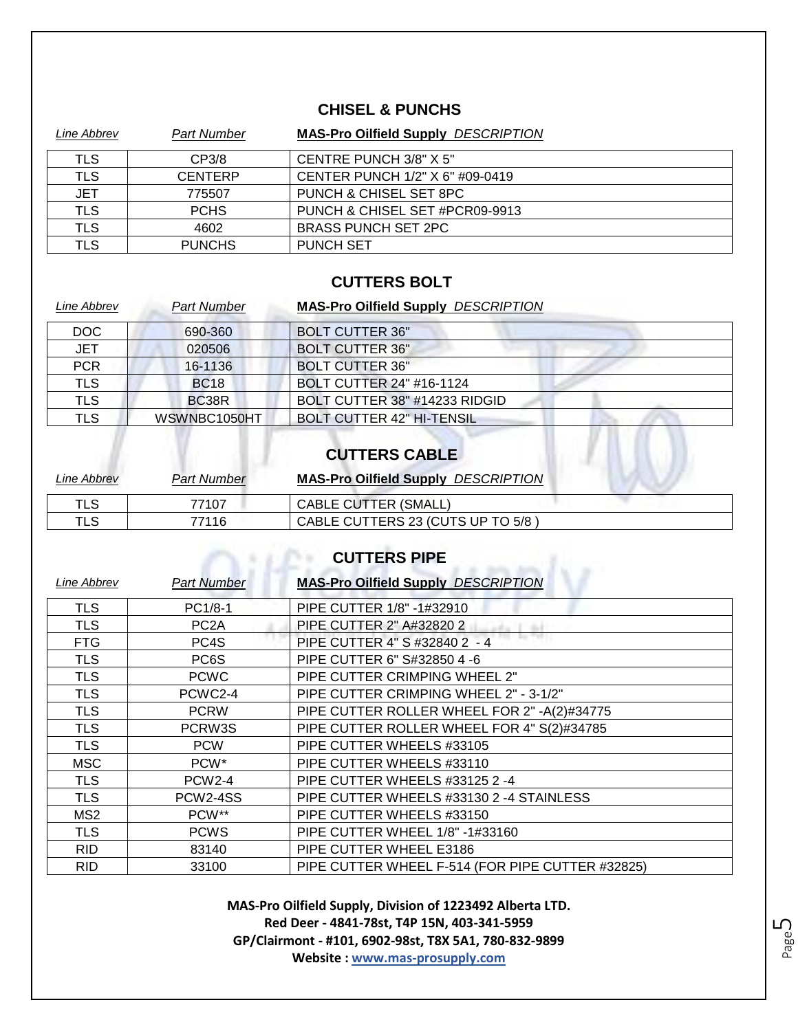#### **CHISEL & PUNCHS**

| Line Abbrev | <b>Part Number</b> | <b>MAS-Pro Oilfield Supply DESCRIPTION</b> |
|-------------|--------------------|--------------------------------------------|
| TLS         | CP3/8              | CENTRE PUNCH 3/8" X 5"                     |
| <b>TLS</b>  | <b>CENTERP</b>     | CENTER PUNCH 1/2" X 6" #09-0419            |
| <b>JET</b>  | 775507             | PUNCH & CHISEL SET 8PC                     |
| <b>TLS</b>  | <b>PCHS</b>        | PUNCH & CHISEL SET #PCR09-9913             |
| <b>TLS</b>  | 4602               | <b>BRASS PUNCH SET 2PC</b>                 |
| TLS         | <b>PUNCHS</b>      | <b>PUNCH SET</b>                           |

#### **CUTTERS BOLT**

| Line Abbrev | <b>Part Number</b> | <b>MAS-Pro Oilfield Supply DESCRIPTION</b> |
|-------------|--------------------|--------------------------------------------|
| DOC         | 690-360            | <b>BOLT CUTTER 36"</b>                     |
| <b>JET</b>  | 020506             | <b>BOLT CUTTER 36"</b>                     |
| <b>PCR</b>  | 16-1136            | <b>BOLT CUTTER 36"</b>                     |
| <b>TLS</b>  | <b>BC18</b>        | <b>BOLT CUTTER 24" #16-1124</b>            |
| <b>TLS</b>  | BC38R              | BOLT CUTTER 38" #14233 RIDGID              |
| <b>TLS</b>  | WSWNBC1050HT       | <b>BOLT CUTTER 42" HI-TENSIL</b>           |

#### **CUTTERS CABLE**

| Line Abbrev | Part Number | <b>MAS-Pro Oilfield Supply DESCRIPTION</b> |
|-------------|-------------|--------------------------------------------|
| TLS         | 77107       | <b>CABLE CUTTER (SMALL,</b>                |
| TLS         | 77116       | CABLE CUTTERS 23 (CUTS UP TO 5/8)          |

## **CUTTERS PIPE**

| <b>Line Abbrev</b> | <b>Part Number</b> | <b>MAS-Pro Oilfield Supply DESCRIPTION</b>       |
|--------------------|--------------------|--------------------------------------------------|
| <b>TLS</b>         | PC1/8-1            | PIPE CUTTER 1/8" -1#32910                        |
| <b>TLS</b>         | PC <sub>2</sub> A  | PIPE CUTTER 2" A#32820 2                         |
| <b>FTG</b>         | PC4S               | PIPE CUTTER 4" S #32840 2 - 4                    |
| <b>TLS</b>         | PC6S               | PIPE CUTTER 6" S#32850 4 -6                      |
| <b>TLS</b>         | <b>PCWC</b>        | PIPE CUTTER CRIMPING WHEEL 2"                    |
| <b>TLS</b>         | PCWC2-4            | PIPE CUTTER CRIMPING WHEEL 2" - 3-1/2"           |
| <b>TLS</b>         | <b>PCRW</b>        | PIPE CUTTER ROLLER WHEEL FOR 2" -A(2)#34775      |
| <b>TLS</b>         | PCRW3S             | PIPE CUTTER ROLLER WHEEL FOR 4" S(2)#34785       |
| <b>TLS</b>         | <b>PCW</b>         | PIPE CUTTER WHEELS #33105                        |
| <b>MSC</b>         | PCW <sup>*</sup>   | PIPE CUTTER WHEELS #33110                        |
| <b>TLS</b>         | <b>PCW2-4</b>      | PIPE CUTTER WHEELS #33125 2 -4                   |
| <b>TLS</b>         | PCW2-4SS           | PIPE CUTTER WHEELS #33130 2 -4 STAINLESS         |
| MS <sub>2</sub>    | PCW**              | PIPE CUTTER WHEELS #33150                        |
| <b>TLS</b>         | <b>PCWS</b>        | PIPE CUTTER WHEEL 1/8" -1#33160                  |
| <b>RID</b>         | 83140              | PIPE CUTTER WHEEL E3186                          |
| <b>RID</b>         | 33100              | PIPE CUTTER WHEEL F-514 (FOR PIPE CUTTER #32825) |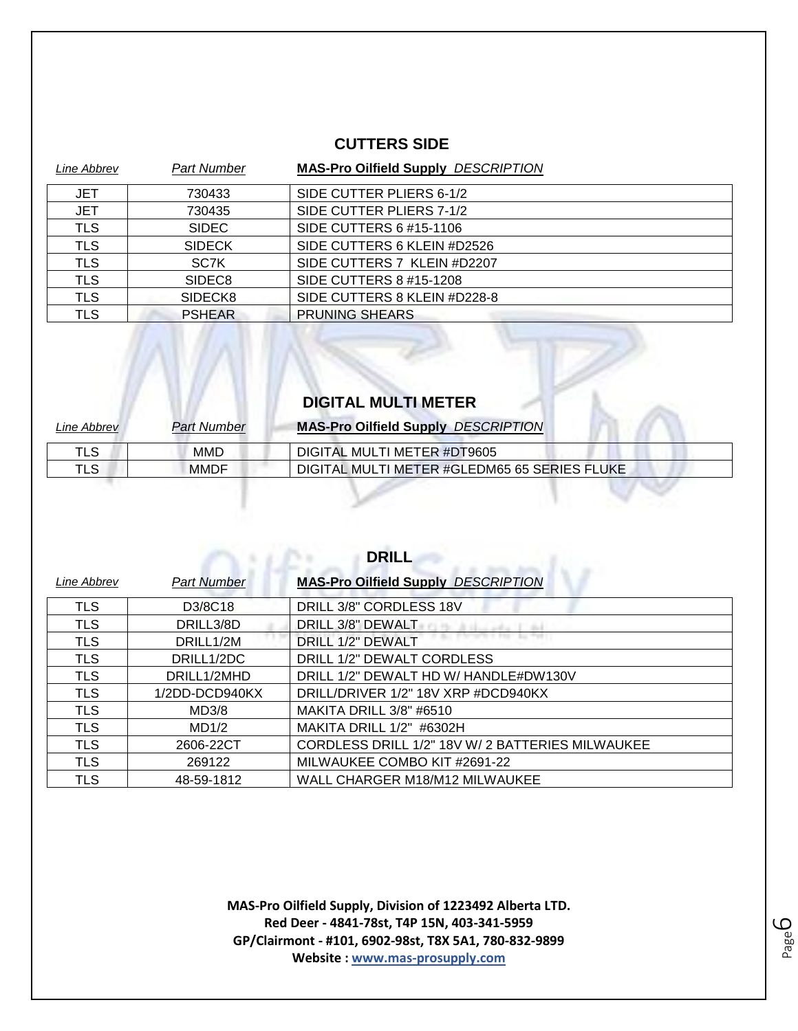#### **CUTTERS SIDE**

| Line Abbrev | <b>Part Number</b> | <b>MAS-Pro Oilfield Supply DESCRIPTION</b> |
|-------------|--------------------|--------------------------------------------|
| <b>JET</b>  | 730433             | SIDE CUTTER PLIERS 6-1/2                   |
| <b>JET</b>  | 730435             | SIDE CUTTER PLIERS 7-1/2                   |
| <b>TLS</b>  | <b>SIDEC</b>       | SIDE CUTTERS 6 #15-1106                    |
| <b>TLS</b>  | <b>SIDECK</b>      | SIDE CUTTERS 6 KLEIN #D2526                |
| <b>TLS</b>  | SC7K               | SIDE CUTTERS 7 KLEIN #D2207                |
| <b>TLS</b>  | SIDEC <sub>8</sub> | SIDE CUTTERS 8 #15-1208                    |
| <b>TLS</b>  | SIDECK8            | SIDE CUTTERS 8 KLEIN #D228-8               |
| <b>TLS</b>  | <b>PSHEAR</b>      | <b>PRUNING SHEARS</b>                      |

### **DIGITAL MULTI METER**

| Line Abbrev | <b>Part Number</b> | <b>MAS-Pro Oilfield Supply DESCRIPTION</b>   |
|-------------|--------------------|----------------------------------------------|
| TLS         | MMD                | DIGITAL MULTI METER #DT9605                  |
| TLS         | <b>MMDF</b>        | DIGITAL MULTI METER #GLEDM65 65 SERIES FLUKE |

**DRILL**

and a substant

| ◡╷╷╷∟∟      |                    |                                                  |
|-------------|--------------------|--------------------------------------------------|
| Line Abbrev | <b>Part Number</b> | <b>MAS-Pro Oilfield Supply DESCRIPTION</b>       |
| <b>TLS</b>  | D3/8C18            | DRILL 3/8" CORDLESS 18V                          |
| <b>TLS</b>  | DRILL3/8D          | DRILL 3/8" DEWALT                                |
| <b>TLS</b>  | DRILL1/2M          | DRILL 1/2" DEWALT                                |
| <b>TLS</b>  | DRILL1/2DC         | DRILL 1/2" DEWALT CORDLESS                       |
| <b>TLS</b>  | DRILL1/2MHD        | DRILL 1/2" DEWALT HD W/ HANDLE#DW130V            |
| <b>TLS</b>  | 1/2DD-DCD940KX     | DRILL/DRIVER 1/2" 18V XRP #DCD940KX              |
| <b>TLS</b>  | MD3/8              | MAKITA DRILL 3/8" #6510                          |
| <b>TLS</b>  | MD1/2              | MAKITA DRILL 1/2" #6302H                         |
| <b>TLS</b>  | 2606-22CT          | CORDLESS DRILL 1/2" 18V W/ 2 BATTERIES MILWAUKEE |
| <b>TLS</b>  | 269122             | MILWAUKEE COMBO KIT #2691-22                     |
| <b>TLS</b>  | 48-59-1812         | WALL CHARGER M18/M12 MILWAUKEE                   |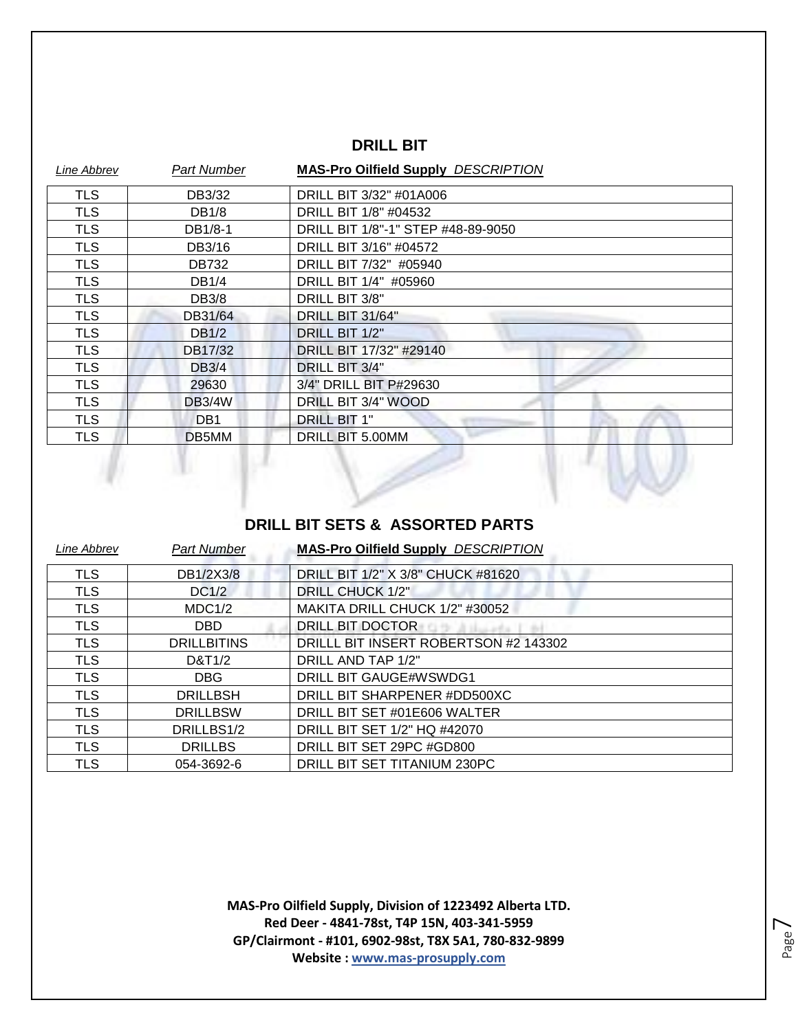#### **DRILL BIT**

| <b>Line Abbrev</b> | Part Number     | <b>MAS-Pro Oilfield Supply DESCRIPTION</b> |
|--------------------|-----------------|--------------------------------------------|
| TLS                | DB3/32          | DRILL BIT 3/32" #01A006                    |
| <b>TLS</b>         | DB1/8           | DRILL BIT 1/8" #04532                      |
| <b>TLS</b>         | DB1/8-1         | DRILL BIT 1/8"-1" STEP #48-89-9050         |
| <b>TLS</b>         | DB3/16          | DRILL BIT 3/16" #04572                     |
| <b>TLS</b>         | <b>DB732</b>    | DRILL BIT 7/32" #05940                     |
| <b>TLS</b>         | DB1/4           | DRILL BIT 1/4" #05960                      |
| <b>TLS</b>         | DB3/8           | DRILL BIT 3/8"                             |
| <b>TLS</b>         | DB31/64         | DRILL BIT 31/64"                           |
| <b>TLS</b>         | <b>DB1/2</b>    | DRILL BIT 1/2"                             |
| <b>TLS</b>         | DB17/32         | DRILL BIT 17/32" #29140                    |
| <b>TLS</b>         | <b>DB3/4</b>    | DRILL BIT 3/4"                             |
| <b>TLS</b>         | 29630           | 3/4" DRILL BIT P#29630                     |
| <b>TLS</b>         | <b>DB3/4W</b>   | DRILL BIT 3/4" WOOD                        |
| <b>TLS</b>         | DB <sub>1</sub> | <b>DRILL BIT 1"</b>                        |
| <b>TLS</b>         | DB5MM           | DRILL BIT 5.00MM                           |
|                    |                 |                                            |

#### **DRILL BIT SETS & ASSORTED PARTS**

| <b>Line Abbrev</b> | <b>Part Number</b> | <b>MAS-Pro Oilfield Supply DESCRIPTION</b> |
|--------------------|--------------------|--------------------------------------------|
| <b>TLS</b>         | DB1/2X3/8          | DRILL BIT 1/2" X 3/8" CHUCK #81620         |
| <b>TLS</b>         | DC1/2              | <b>DRILL CHUCK 1/2"</b>                    |
| <b>TLS</b>         | MDC1/2             | MAKITA DRILL CHUCK 1/2" #30052             |
| <b>TLS</b>         | DBD.               | DRILL BIT DOCTOR                           |
| <b>TLS</b>         | <b>DRILLBITINS</b> | DRILLL BIT INSERT ROBERTSON #2 143302      |
| <b>TLS</b>         | D&T1/2             | DRILL AND TAP 1/2"                         |
| <b>TLS</b>         | <b>DBG</b>         | DRILL BIT GAUGE#WSWDG1                     |
| <b>TLS</b>         | <b>DRILLBSH</b>    | DRILL BIT SHARPENER #DD500XC               |
| <b>TLS</b>         | <b>DRILLBSW</b>    | DRILL BIT SET #01E606 WALTER               |
| <b>TLS</b>         | DRILLBS1/2         | DRILL BIT SET 1/2" HQ #42070               |
| TLS                | <b>DRILLBS</b>     | DRILL BIT SET 29PC #GD800                  |
| <b>TLS</b>         | 054-3692-6         | DRILL BIT SET TITANIUM 230PC               |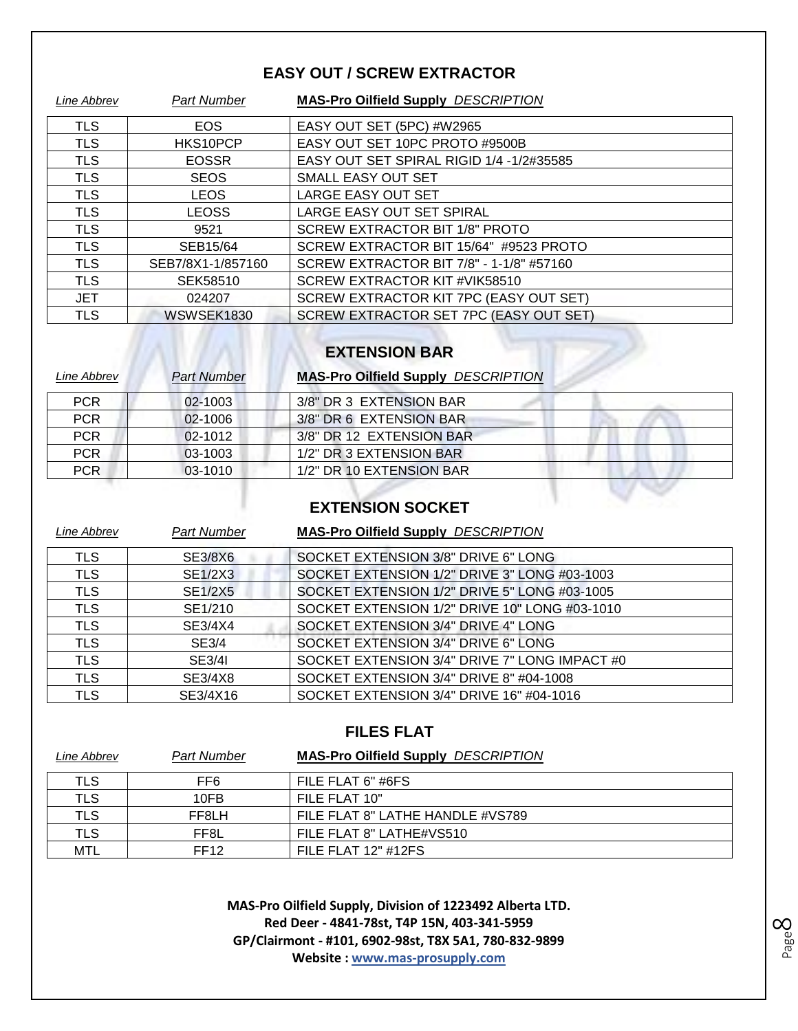#### **EASY OUT / SCREW EXTRACTOR**

| Line Abbrev | <b>Part Number</b> | <b>MAS-Pro Oilfield Supply DESCRIPTION</b> |
|-------------|--------------------|--------------------------------------------|
| <b>TLS</b>  | <b>EOS</b>         | EASY OUT SET (5PC) #W2965                  |
| <b>TLS</b>  | HKS10PCP           | EASY OUT SET 10PC PROTO #9500B             |
| <b>TLS</b>  | <b>EOSSR</b>       | EASY OUT SET SPIRAL RIGID 1/4 -1/2#35585   |
| <b>TLS</b>  | <b>SEOS</b>        | SMALL EASY OUT SET                         |
| <b>TLS</b>  | <b>LEOS</b>        | <b>LARGE EASY OUT SET</b>                  |
| <b>TLS</b>  | <b>LEOSS</b>       | LARGE EASY OUT SET SPIRAL                  |
| <b>TLS</b>  | 9521               | <b>SCREW EXTRACTOR BIT 1/8" PROTO</b>      |
| <b>TLS</b>  | SEB15/64           | SCREW EXTRACTOR BIT 15/64" #9523 PROTO     |
| <b>TLS</b>  | SEB7/8X1-1/857160  | SCREW EXTRACTOR BIT 7/8" - 1-1/8" #57160   |
| <b>TLS</b>  | SEK58510           | SCREW EXTRACTOR KIT #VIK58510              |
| <b>JET</b>  | 024207             | SCREW EXTRACTOR KIT 7PC (EASY OUT SET)     |
| TLS         | WSWSEK1830         | SCREW EXTRACTOR SET 7PC (EASY OUT SET)     |

# **EXTENSION BAR**

 $\overline{\mathbf{h}}$ 

| Line Abbrev | <b>Part Number</b> | <b>MAS-Pro Oilfield Supply DESCRIPTION</b> |
|-------------|--------------------|--------------------------------------------|
| <b>PCR</b>  | 02-1003            | 3/8" DR 3 EXTENSION BAR                    |
| <b>PCR</b>  | 02-1006            | 3/8" DR 6 EXTENSION BAR                    |
| <b>PCR</b>  | 02-1012            | 3/8" DR 12 EXTENSION BAR                   |
| <b>PCR</b>  | 03-1003            | 1/2" DR 3 EXTENSION BAR                    |
| <b>PCR</b>  | 03-1010            | 1/2" DR 10 EXTENSION BAR                   |

## **EXTENSION SOCKET**

| Line Abbrev | <b>Part Number</b> | <b>MAS-Pro Oilfield Supply DESCRIPTION</b>    |
|-------------|--------------------|-----------------------------------------------|
| <b>TLS</b>  | SE3/8X6            | SOCKET EXTENSION 3/8" DRIVE 6" LONG           |
| <b>TLS</b>  | <b>SE1/2X3</b>     | SOCKET EXTENSION 1/2" DRIVE 3" LONG #03-1003  |
| <b>TLS</b>  | <b>SE1/2X5</b>     | SOCKET EXTENSION 1/2" DRIVE 5" LONG #03-1005  |
| <b>TLS</b>  | SE1/210            | SOCKET EXTENSION 1/2" DRIVE 10" LONG #03-1010 |
| <b>TLS</b>  | SE3/4X4            | SOCKET EXTENSION 3/4" DRIVE 4" LONG           |
| <b>TLS</b>  | SE3/4              | SOCKET EXTENSION 3/4" DRIVE 6" LONG           |
| <b>TLS</b>  | <b>SE3/4I</b>      | SOCKET EXTENSION 3/4" DRIVE 7" LONG IMPACT #0 |
| <b>TLS</b>  | SE3/4X8            | SOCKET EXTENSION 3/4" DRIVE 8" #04-1008       |
| TLS         | SE3/4X16           | SOCKET EXTENSION 3/4" DRIVE 16" #04-1016      |

#### **FILES FLAT**

| Line Abbrev | <b>Part Number</b> | <b>MAS-Pro Oilfield Supply DESCRIPTION</b> |
|-------------|--------------------|--------------------------------------------|
| TLS         | FF6.               | FILE FLAT 6" #6FS                          |
| <b>TLS</b>  | 10FB               | FILE FLAT 10"                              |
| <b>TLS</b>  | FF8LH              | FILE FLAT 8" LATHE HANDLE #VS789           |
| TLS         | FF8L               | FILE FLAT 8" LATHE#VS510                   |
| MTL         | FF12               | FILE FLAT 12" #12FS                        |

**MAS-Pro Oilfield Supply, Division of 1223492 Alberta LTD. Red Deer - 4841-78st, T4P 15N, 403-341-5959 GP/Clairmont - #101, 6902-98st, T8X 5A1, 780-832-9899 Website : www.mas-prosupply.com**

Page  $\infty$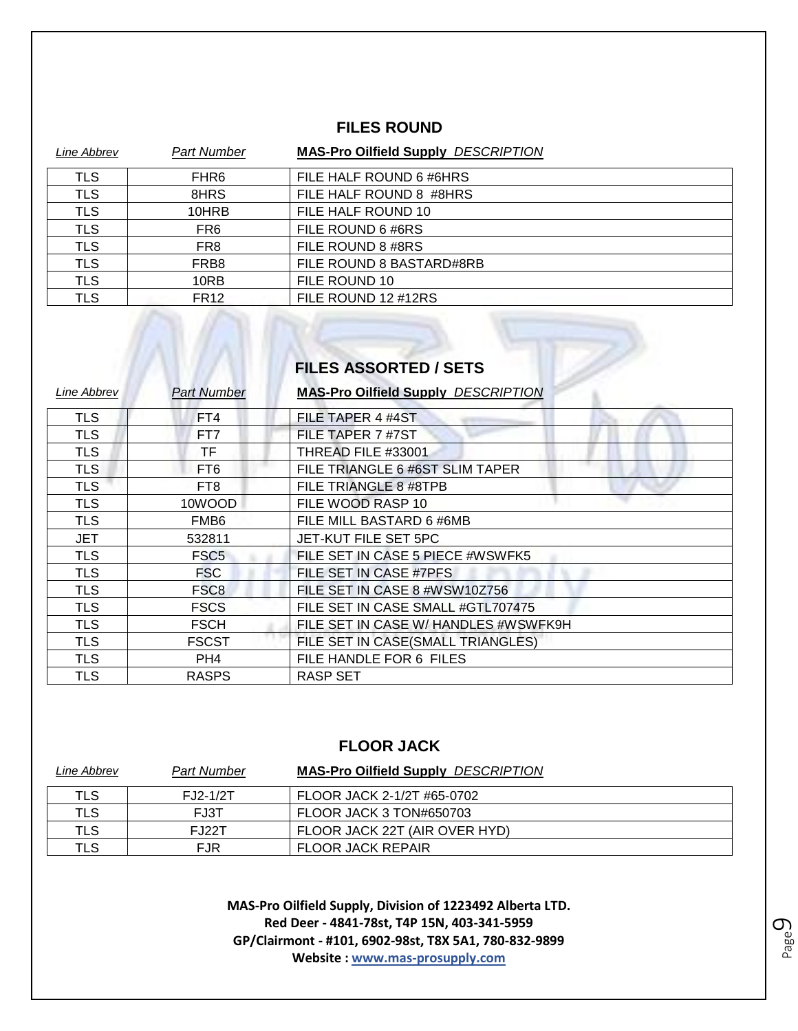#### **FILES ROUND**

| Line Abbrev | <b>Part Number</b> | <b>MAS-Pro Oilfield Supply DESCRIPTION</b> |
|-------------|--------------------|--------------------------------------------|
| TLS         | FHR <sub>6</sub>   | FILE HALF ROUND 6 #6HRS                    |
| <b>TLS</b>  | 8HRS               | FILE HALF ROUND 8 #8HRS                    |
| <b>TLS</b>  | 10HRB              | FILE HALF ROUND 10                         |
| <b>TLS</b>  | FR <sub>6</sub>    | FILE ROUND 6 #6RS                          |
| <b>TLS</b>  | FR <sub>8</sub>    | FILE ROUND 8 #8RS                          |
| <b>TLS</b>  | FRB8               | FILE ROUND 8 BASTARD#8RB                   |
| <b>TLS</b>  | 10RB               | FILE ROUND 10                              |
| TLS         | FR <sub>12</sub>   | FILE ROUND 12 #12RS                        |

# **FILES ASSORTED / SETS**

M

| Line Abbrev | <b>Part Number</b> | <b>MAS-Pro Oilfield Supply DESCRIPTION</b> |
|-------------|--------------------|--------------------------------------------|
| <b>TLS</b>  | FT4                | FILE TAPER 4 #4ST                          |
| <b>TLS</b>  | FT7                | FILE TAPER 7 #7ST                          |
| <b>TLS</b>  | ΤF                 | THREAD FILE #33001                         |
| <b>TLS</b>  | FT <sub>6</sub>    | FILE TRIANGLE 6 #6ST SLIM TAPER            |
| <b>TLS</b>  | FT <sub>8</sub>    | FILE TRIANGLE 8 #8TPB                      |
| <b>TLS</b>  | 10WOOD             | FILE WOOD RASP 10                          |
| <b>TLS</b>  | FMB <sub>6</sub>   | FILE MILL BASTARD 6 #6MB                   |
| <b>JET</b>  | 532811             | JET-KUT FILE SET 5PC                       |
| <b>TLS</b>  | FSC <sub>5</sub>   | FILE SET IN CASE 5 PIECE #WSWFK5           |
| <b>TLS</b>  | <b>FSC</b>         | FILE SET IN CASE #7PFS                     |
| <b>TLS</b>  | FSC <sub>8</sub>   | FILE SET IN CASE 8 #WSW10Z756              |
| <b>TLS</b>  | <b>FSCS</b>        | FILE SET IN CASE SMALL #GTL707475          |
| <b>TLS</b>  | <b>FSCH</b>        | FILE SET IN CASE W/ HANDLES #WSWFK9H       |
| <b>TLS</b>  | <b>FSCST</b>       | FILE SET IN CASE(SMALL TRIANGLES)          |
| <b>TLS</b>  | PH4                | FILE HANDLE FOR 6 FILES                    |
| <b>TLS</b>  | <b>RASPS</b>       | <b>RASP SET</b>                            |

#### **FLOOR JACK**

| Line Abbrev | <b>Part Number</b> | <b>MAS-Pro Oilfield Supply DESCRIPTION</b> |
|-------------|--------------------|--------------------------------------------|
| TLS         | $FJ2-1/2T$         | FLOOR JACK 2-1/2T #65-0702                 |
| TLS         | FJ3T               | FLOOR JACK 3 TON#650703                    |
| TLS         | <b>FJ22T</b>       | FLOOR JACK 22T (AIR OVER HYD)              |
| TLS         | FJR                | <b>FLOOR JACK REPAIR</b>                   |

**MAS-Pro Oilfield Supply, Division of 1223492 Alberta LTD. Red Deer - 4841-78st, T4P 15N, 403-341-5959 GP/Clairmont - #101, 6902-98st, T8X 5A1, 780-832-9899 Website : www.mas-prosupply.com**

Page  $\mathcal O$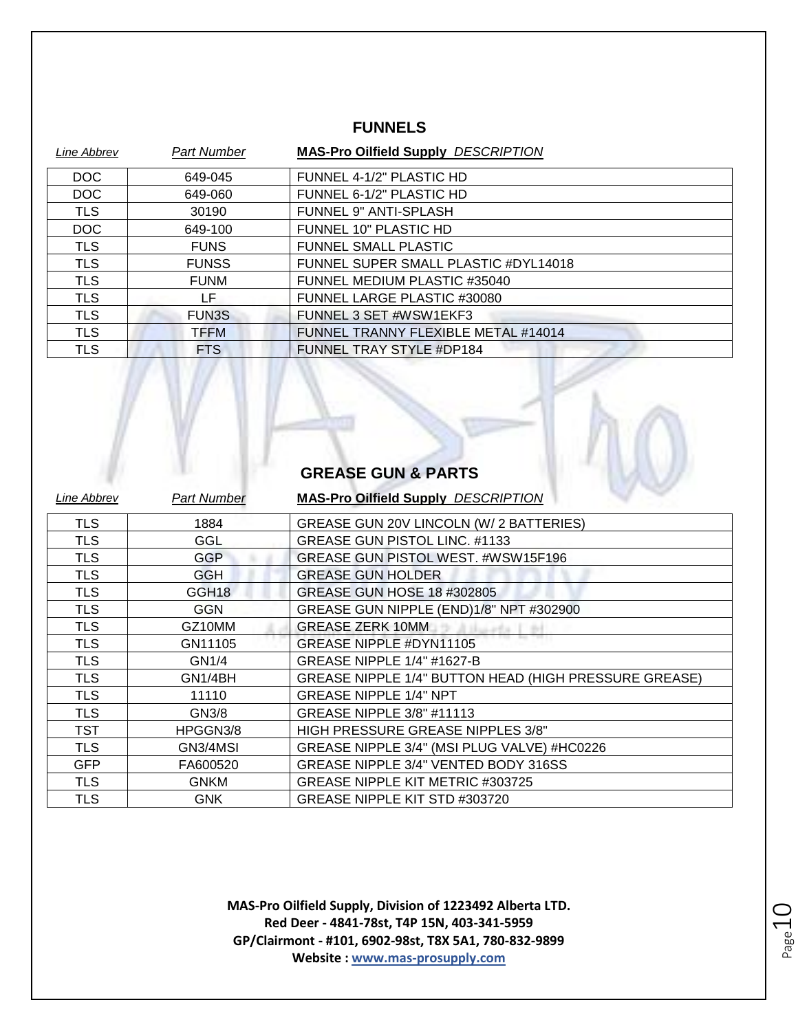#### **FUNNELS**

| Line Abbrev | <b>Part Number</b> | <b>MAS-Pro Oilfield Supply DESCRIPTION</b> |
|-------------|--------------------|--------------------------------------------|
| <b>DOC</b>  | 649-045            | FUNNEL 4-1/2" PLASTIC HD                   |
| <b>DOC</b>  | 649-060            | FUNNEL 6-1/2" PLASTIC HD                   |
| <b>TLS</b>  | 30190              | <b>FUNNEL 9" ANTI-SPLASH</b>               |
| DOC         | 649-100            | FUNNEL 10" PLASTIC HD                      |
| TLS         | <b>FUNS</b>        | <b>FUNNEL SMALL PLASTIC</b>                |
| <b>TLS</b>  | <b>FUNSS</b>       | FUNNEL SUPER SMALL PLASTIC #DYL14018       |
| <b>TLS</b>  | <b>FUNM</b>        | FUNNEL MEDIUM PLASTIC #35040               |
| TLS         | LF                 | FUNNEL LARGE PLASTIC #30080                |
| <b>TLS</b>  | <b>FUN3S</b>       | FUNNEL 3 SET #WSW1EKF3                     |
| <b>TLS</b>  | <b>TFFM</b>        | FUNNEL TRANNY FLEXIBLE METAL #14014        |
| TLS         | <b>FTS</b>         | FUNNEL TRAY STYLE #DP184                   |

#### **GREASE GUN & PARTS**

| Line Abbrev | <b>Part Number</b> | <b>MAS-Pro Oilfield Supply DESCRIPTION</b>                   |
|-------------|--------------------|--------------------------------------------------------------|
| TLS         | 1884               | GREASE GUN 20V LINCOLN (W/ 2 BATTERIES)                      |
| <b>TLS</b>  | GGL                | <b>GREASE GUN PISTOL LINC. #1133</b>                         |
| <b>TLS</b>  | <b>GGP</b>         | GREASE GUN PISTOL WEST. #WSW15F196                           |
| <b>TLS</b>  | GGH.               | <b>GREASE GUN HOLDER</b>                                     |
| <b>TLS</b>  | GGH18              | <b>GREASE GUN HOSE 18 #302805</b>                            |
| <b>TLS</b>  | <b>GGN</b>         | GREASE GUN NIPPLE (END)1/8" NPT #302900                      |
| <b>TLS</b>  | GZ10MM             | <b>GREASE ZERK 10MM</b>                                      |
| <b>TLS</b>  | GN11105            | GREASE NIPPLE #DYN11105                                      |
| <b>TLS</b>  | GN1/4              | <b>GREASE NIPPLE 1/4" #1627-B</b>                            |
| TLS.        | GN1/4BH            | <b>GREASE NIPPLE 1/4" BUTTON HEAD (HIGH PRESSURE GREASE)</b> |
| <b>TLS</b>  | 11110              | <b>GREASE NIPPLE 1/4" NPT</b>                                |
| TLS         | GN3/8              | GREASE NIPPLE 3/8" #11113                                    |
| TST         | HPGGN3/8           | <b>HIGH PRESSURE GREASE NIPPLES 3/8"</b>                     |
| <b>TLS</b>  | GN3/4MSI           | GREASE NIPPLE 3/4" (MSI PLUG VALVE) #HC0226                  |
| <b>GFP</b>  | FA600520           | GREASE NIPPLE 3/4" VENTED BODY 316SS                         |
| <b>TLS</b>  | <b>GNKM</b>        | GREASE NIPPLE KIT METRIC #303725                             |
| TLS         | <b>GNK</b>         | GREASE NIPPLE KIT STD #303720                                |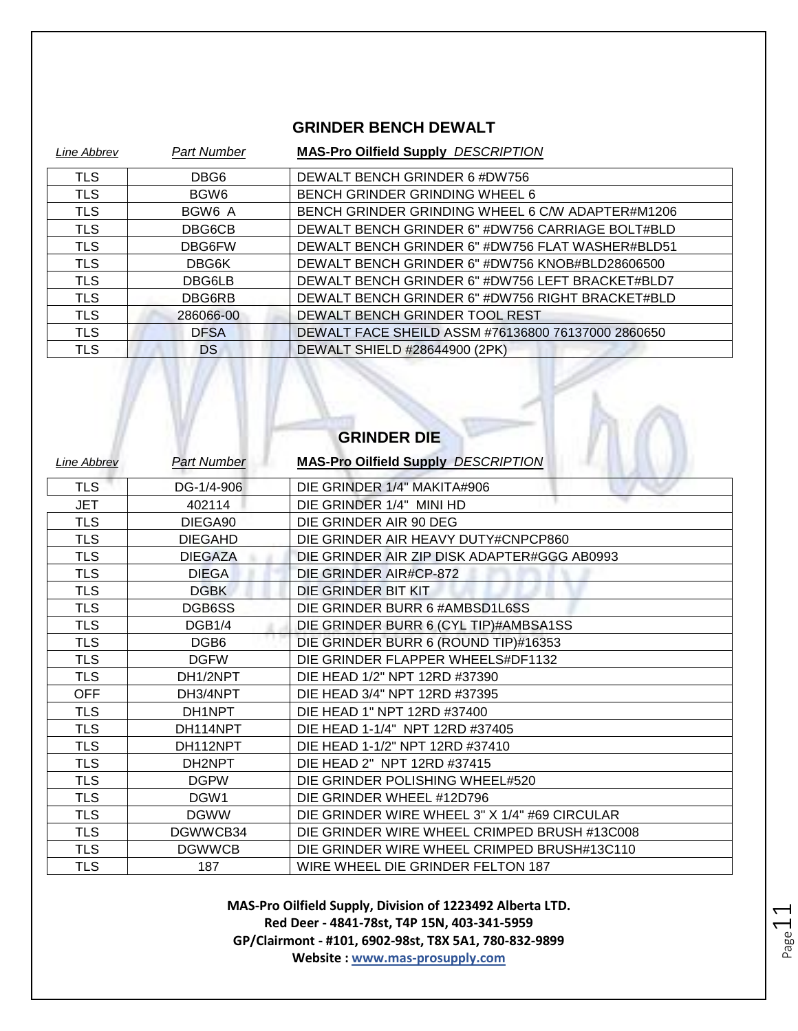#### **GRINDER BENCH DEWALT**

| Line Abbrev | <b>Part Number</b> | <b>MAS-Pro Oilfield Supply DESCRIPTION</b>         |
|-------------|--------------------|----------------------------------------------------|
| TLS         | DBG6               | DEWALT BENCH GRINDER 6 #DW756                      |
| TLS         | BGW <sub>6</sub>   | BENCH GRINDER GRINDING WHEEL 6                     |
| <b>TLS</b>  | BGW6 A             | BENCH GRINDER GRINDING WHEEL 6 C/W ADAPTER#M1206   |
| <b>TLS</b>  | DBG6CB             | DEWALT BENCH GRINDER 6" #DW756 CARRIAGE BOLT#BLD   |
| <b>TLS</b>  | DBG6FW             | DEWALT BENCH GRINDER 6" #DW756 FLAT WASHER#BLD51   |
| TLS         | DBG6K              | DEWALT BENCH GRINDER 6" #DW756 KNOB#BLD28606500    |
| TLS         | DBG6LB             | DEWALT BENCH GRINDER 6" #DW756 LEFT BRACKET#BLD7   |
| TLS         | DBG6RB             | DEWALT BENCH GRINDER 6" #DW756 RIGHT BRACKET#BLD   |
| <b>TLS</b>  | 286066-00          | DEWALT BENCH GRINDER TOOL REST                     |
| <b>TLS</b>  | <b>DFSA</b>        | DEWALT FACE SHEILD ASSM #76136800 76137000 2860650 |
| <b>TLS</b>  | DS.                | DEWALT SHIELD #28644900 (2PK)                      |

 $\Lambda$ 

L

 $\sqrt{V}$ 

| <b>GRINDER DIE</b> |                    |                                               |
|--------------------|--------------------|-----------------------------------------------|
| <b>Line Abbrev</b> | <b>Part Number</b> | <b>MAS-Pro Oilfield Supply DESCRIPTION</b>    |
| TLS                | DG-1/4-906         | DIE GRINDER 1/4" MAKITA#906                   |
| JET                | 402114             | DIE GRINDER 1/4" MINI HD                      |
| <b>TLS</b>         | DIEGA90            | DIE GRINDER AIR 90 DEG                        |
| <b>TLS</b>         | <b>DIEGAHD</b>     | DIE GRINDER AIR HEAVY DUTY#CNPCP860           |
| <b>TLS</b>         | <b>DIEGAZA</b>     | DIE GRINDER AIR ZIP DISK ADAPTER#GGG AB0993   |
| <b>TLS</b>         | <b>DIEGA</b>       | DIE GRINDER AIR#CP-872                        |
| <b>TLS</b>         | <b>DGBK</b>        | DIE GRINDER BIT KIT                           |
| <b>TLS</b>         | DGB6SS             | DIE GRINDER BURR 6 #AMBSD1L6SS                |
| <b>TLS</b>         | DGB1/4             | DIE GRINDER BURR 6 (CYL TIP)#AMBSA1SS         |
| <b>TLS</b>         | DGB <sub>6</sub>   | DIE GRINDER BURR 6 (ROUND TIP)#16353          |
| <b>TLS</b>         | <b>DGFW</b>        | DIE GRINDER FLAPPER WHEELS#DF1132             |
| <b>TLS</b>         | DH1/2NPT           | DIE HEAD 1/2" NPT 12RD #37390                 |
| <b>OFF</b>         | DH3/4NPT           | DIE HEAD 3/4" NPT 12RD #37395                 |
| <b>TLS</b>         | DH1NPT             | DIE HEAD 1" NPT 12RD #37400                   |
| <b>TLS</b>         | DH114NPT           | DIE HEAD 1-1/4" NPT 12RD #37405               |
| TLS                | DH112NPT           | DIE HEAD 1-1/2" NPT 12RD #37410               |
| <b>TLS</b>         | DH2NPT             | DIE HEAD 2" NPT 12RD #37415                   |
| <b>TLS</b>         | <b>DGPW</b>        | DIE GRINDER POLISHING WHEEL#520               |
| <b>TLS</b>         | DGW1               | DIE GRINDER WHEEL #12D796                     |
| <b>TLS</b>         | <b>DGWW</b>        | DIE GRINDER WIRE WHEEL 3" X 1/4" #69 CIRCULAR |
| <b>TLS</b>         | DGWWCB34           | DIE GRINDER WIRE WHEEL CRIMPED BRUSH #13C008  |
| <b>TLS</b>         | <b>DGWWCB</b>      | DIE GRINDER WIRE WHEEL CRIMPED BRUSH#13C110   |
| <b>TLS</b>         | 187                | WIRE WHEEL DIE GRINDER FELTON 187             |

**MAS-Pro Oilfield Supply, Division of 1223492 Alberta LTD. Red Deer - 4841-78st, T4P 15N, 403-341-5959 GP/Clairmont - #101, 6902-98st, T8X 5A1, 780-832-9899 Website : www.mas-prosupply.com**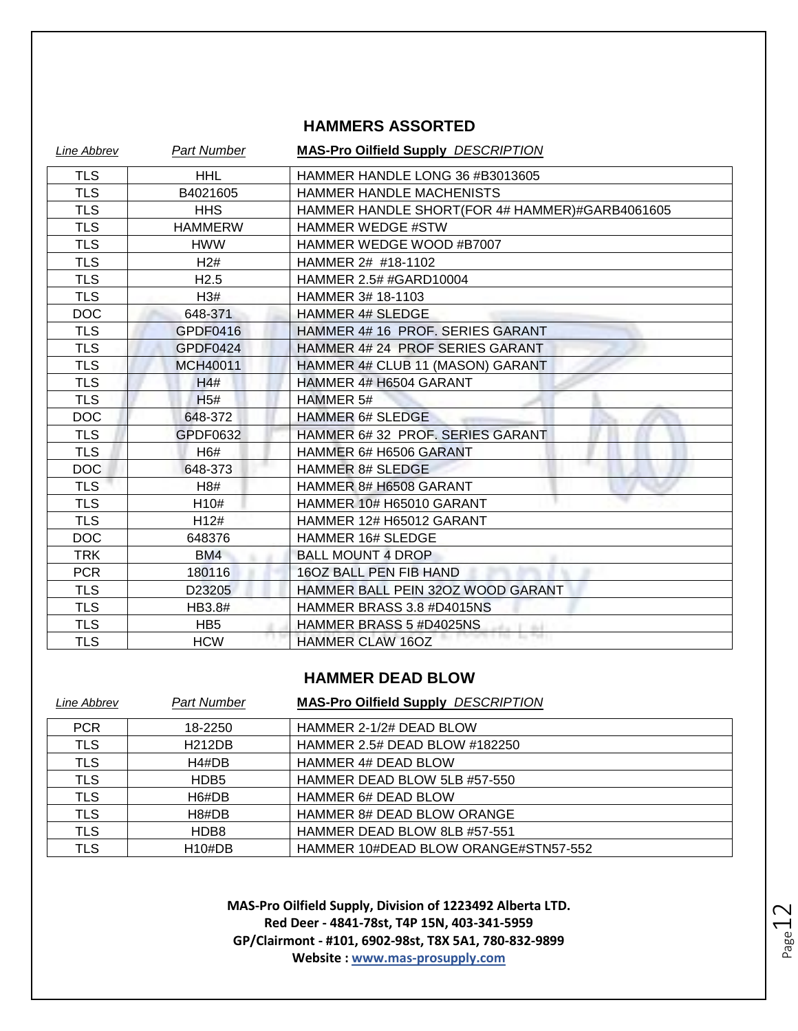#### **HAMMERS ASSORTED**

| Line Abbrev | <b>Part Number</b> | <b>MAS-Pro Oilfield Supply DESCRIPTION</b>     |
|-------------|--------------------|------------------------------------------------|
| <b>TLS</b>  | <b>HHL</b>         | HAMMER HANDLE LONG 36 #B3013605                |
| <b>TLS</b>  | B4021605           | HAMMER HANDLE MACHENISTS                       |
| <b>TLS</b>  | <b>HHS</b>         | HAMMER HANDLE SHORT(FOR 4# HAMMER)#GARB4061605 |
| <b>TLS</b>  | <b>HAMMERW</b>     | <b>HAMMER WEDGE #STW</b>                       |
| <b>TLS</b>  | <b>HWW</b>         | HAMMER WEDGE WOOD #B7007                       |
| <b>TLS</b>  | H2#                | HAMMER 2# #18-1102                             |
| <b>TLS</b>  | H <sub>2.5</sub>   | HAMMER 2.5# #GARD10004                         |
| <b>TLS</b>  | H3#                | HAMMER 3# 18-1103                              |
| <b>DOC</b>  | 648-371            | <b>HAMMER 4# SLEDGE</b>                        |
| <b>TLS</b>  | GPDF0416           | HAMMER 4# 16 PROF. SERIES GARANT               |
| <b>TLS</b>  | GPDF0424           | HAMMER 4# 24 PROF SERIES GARANT                |
| <b>TLS</b>  | <b>MCH40011</b>    | HAMMER 4# CLUB 11 (MASON) GARANT               |
| <b>TLS</b>  | H4#                | HAMMER 4# H6504 GARANT                         |
| <b>TLS</b>  | H5#                | HAMMER 5#                                      |
| <b>DOC</b>  | 648-372            | <b>HAMMER 6# SLEDGE</b>                        |
| <b>TLS</b>  | GPDF0632           | HAMMER 6# 32 PROF. SERIES GARANT               |
| <b>TLS</b>  | H6#                | HAMMER 6# H6506 GARANT                         |
| <b>DOC</b>  | 648-373            | <b>HAMMER 8# SLEDGE</b>                        |
| <b>TLS</b>  | H8#                | HAMMER 8# H6508 GARANT                         |
| <b>TLS</b>  | H <sub>10</sub> #  | HAMMER 10# H65010 GARANT                       |
| <b>TLS</b>  | H12#               | HAMMER 12# H65012 GARANT                       |
| <b>DOC</b>  | 648376             | <b>HAMMER 16# SLEDGE</b>                       |
| <b>TRK</b>  | BM4                | <b>BALL MOUNT 4 DROP</b>                       |
| <b>PCR</b>  | 180116             | 16OZ BALL PEN FIB HAND                         |
| <b>TLS</b>  | D23205             | HAMMER BALL PEIN 320Z WOOD GARANT              |
| <b>TLS</b>  | HB3.8#             | HAMMER BRASS 3.8 #D4015NS                      |
| <b>TLS</b>  | HB <sub>5</sub>    | HAMMER BRASS 5 #D4025NS                        |
| <b>TLS</b>  | <b>HCW</b>         | <b>HAMMER CLAW 16OZ</b>                        |

#### **HAMMER DEAD BLOW**

| Line Abbrev | <b>Part Number</b> | <b>MAS-Pro Oilfield Supply DESCRIPTION</b> |
|-------------|--------------------|--------------------------------------------|
| <b>PCR</b>  | 18-2250            | HAMMER 2-1/2# DEAD BLOW                    |
| <b>TLS</b>  | <b>H212DB</b>      | <b>HAMMER 2.5# DEAD BLOW #182250</b>       |
| <b>TLS</b>  | H4#DB              | <b>HAMMER 4# DEAD BLOW</b>                 |
| <b>TLS</b>  | HDB <sub>5</sub>   | HAMMER DEAD BLOW 5LB #57-550               |
| <b>TLS</b>  | H6#DB              | <b>HAMMER 6# DEAD BLOW</b>                 |
| <b>TLS</b>  | H8#DB              | <b>HAMMER 8# DEAD BLOW ORANGE</b>          |
| <b>TLS</b>  | HDB8               | HAMMER DEAD BLOW 8LB #57-551               |
| TLS         | $H10\#DB$          | HAMMER 10#DEAD BLOW ORANGE#STN57-552       |

**MAS-Pro Oilfield Supply, Division of 1223492 Alberta LTD. Red Deer - 4841-78st, T4P 15N, 403-341-5959 GP/Clairmont - #101, 6902-98st, T8X 5A1, 780-832-9899 Website : www.mas-prosupply.com**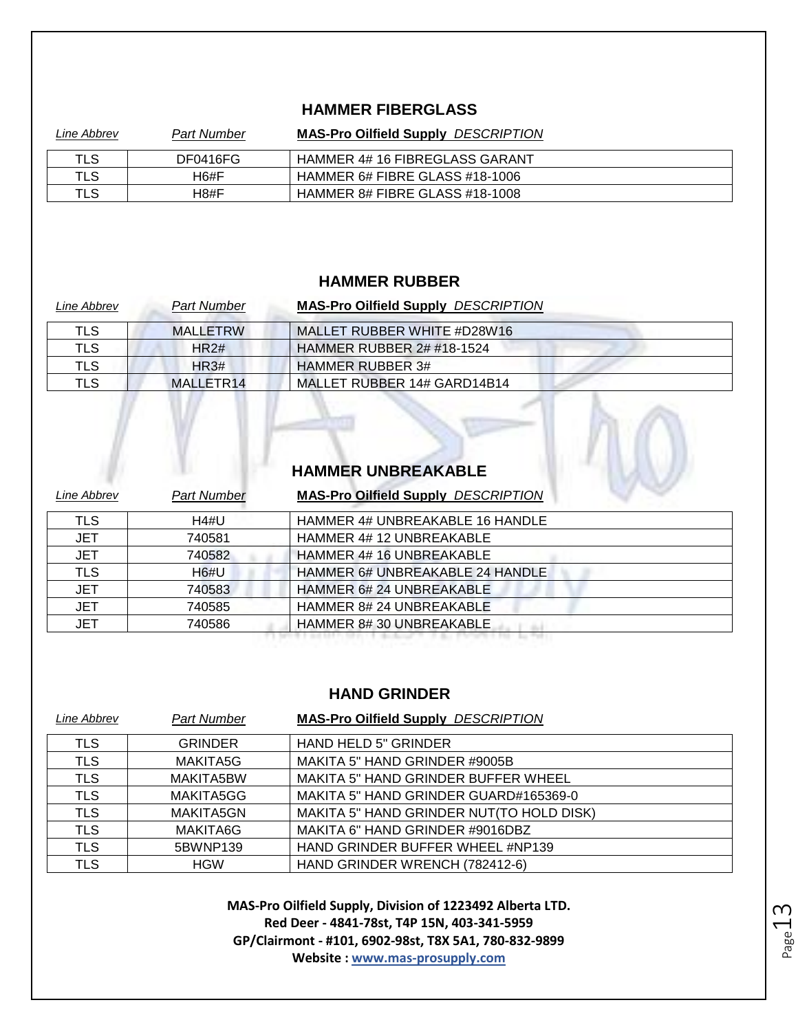#### **HAMMER FIBERGLASS**

| Line Abbrev | <b>Part Number</b> | <b>MAS-Pro Oilfield Supply DESCRIPTION</b> |
|-------------|--------------------|--------------------------------------------|
| TLS         | DF0416FG           | HAMMER 4# 16 FIBREGLASS GARANT             |
| TLS         | H6#F               | HAMMER 6# FIBRE GLASS #18-1006             |
| TLS         | H8#F               | HAMMER 8# FIBRE GLASS #18-1008             |

#### **HAMMER RUBBER**

| Line Abbrev | <b>Part Number</b> | <b>MAS-Pro Oilfield Supply DESCRIPTION</b> |
|-------------|--------------------|--------------------------------------------|
| TLS         | MALLETRW           | MALLET RUBBER WHITE #D28W16                |
| <b>TLS</b>  | HR2#               | <b>HAMMER RUBBER 2# #18-1524</b>           |
| <b>TLS</b>  | HR3#               | <b>HAMMER RUBBER 3#</b>                    |
| TLS         | MALLETR14          | MALLET RUBBER 14# GARD14B14                |

### **HAMMER UNBREAKABLE**

| Line Abbrev | <b>Part Number</b> | <b>MAS-Pro Oilfield Supply DESCRIPTION</b> |
|-------------|--------------------|--------------------------------------------|
| TLS         | H4#U               | HAMMER 4# UNBREAKABLE 16 HANDLE            |
| <b>JET</b>  | 740581             | HAMMER 4# 12 UNBREAKABLE                   |
| <b>JET</b>  | 740582             | HAMMER 4# 16 UNBREAKABLE                   |
| <b>TLS</b>  | H6#U               | HAMMER 6# UNBREAKABLE 24 HANDLE            |
| <b>JET</b>  | 740583             | <b>HAMMER 6# 24 UNBREAKABLE</b>            |
| JET         | 740585             | <b>HAMMER 8# 24 UNBREAKABLE</b>            |
| JET         | 740586             | HAMMER 8#30 UNBREAKABLE                    |
|             |                    |                                            |

#### **HAND GRINDER**

| Line Abbrev | <b>Part Number</b> | <b>MAS-Pro Oilfield Supply DESCRIPTION</b> |
|-------------|--------------------|--------------------------------------------|
| TLS         | <b>GRINDER</b>     | <b>HAND HELD 5" GRINDER</b>                |
| <b>TLS</b>  | MAKITA5G           | MAKITA 5" HAND GRINDER #9005B              |
| <b>TLS</b>  | MAKITA5BW          | <b>MAKITA 5" HAND GRINDER BUFFER WHEEL</b> |
| <b>TLS</b>  | MAKITA5GG          | MAKITA 5" HAND GRINDER GUARD#165369-0      |
| <b>TLS</b>  | MAKITA5GN          | MAKITA 5" HAND GRINDER NUT(TO HOLD DISK)   |
| <b>TLS</b>  | MAKITA6G           | MAKITA 6" HAND GRINDER #9016DBZ            |
| <b>TLS</b>  | 5BWNP139           | HAND GRINDER BUFFER WHEEL #NP139           |
| <b>TLS</b>  | <b>HGW</b>         | HAND GRINDER WRENCH (782412-6)             |

Page13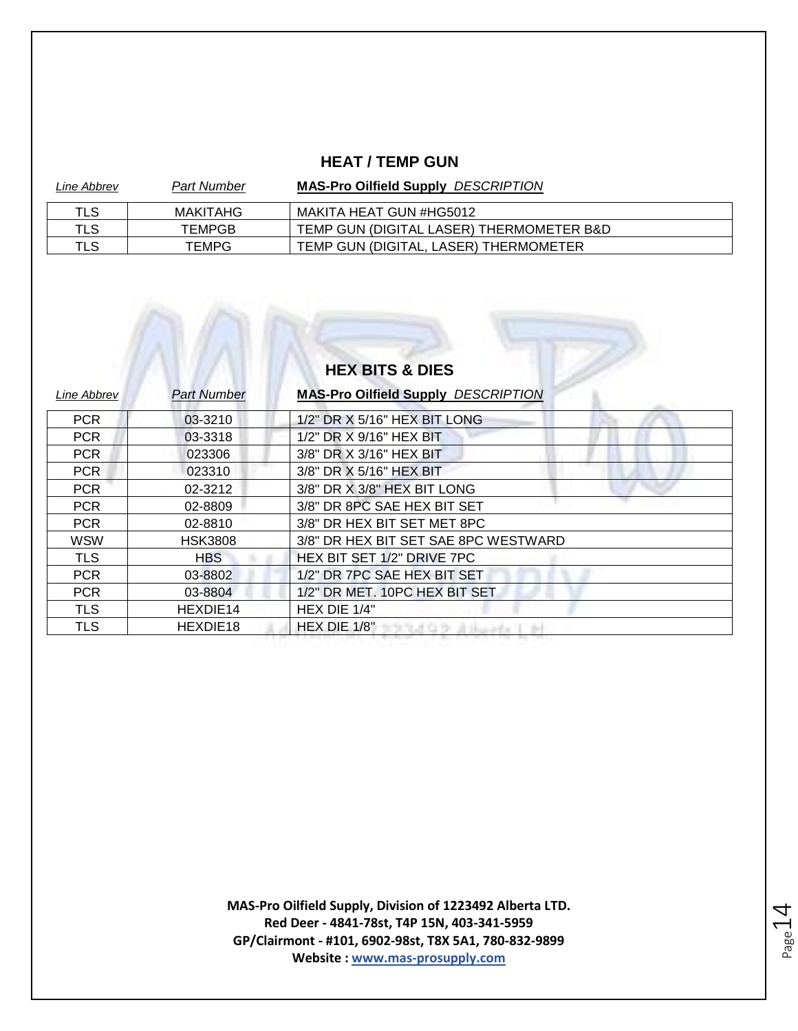#### **HEAT / TEMP GUN**

| Line Abbrev | <b>Part Number</b> | <b>MAS-Pro Oilfield Supply DESCRIPTION</b> |
|-------------|--------------------|--------------------------------------------|
| TLS         | MAKITAHG           | MAKITA HEAT GUN #HG5012                    |
| TLS         | TEMPGB             | TEMP GUN (DIGITAL LASER) THERMOMETER B&D   |
| TLS         | TEMPG              | TEMP GUN (DIGITAL, LASER) THERMOMETER      |

# **HEX BITS & DIES**

| <b>Line Abbrev</b> | <b>Part Number</b> | <b>MAS-Pro Oilfield Supply DESCRIPTION</b> |
|--------------------|--------------------|--------------------------------------------|
| <b>PCR</b>         | 03-3210            | 1/2" DR X 5/16" HEX BIT LONG               |
| <b>PCR</b>         | 03-3318            | 1/2" DR X 9/16" HEX BIT                    |
| PCR                | 023306             | 3/8" DR X 3/16" HEX BIT                    |
| PCR                | 023310             | 3/8" DR X 5/16" HEX BIT                    |
| <b>PCR</b>         | 02-3212            | 3/8" DR X 3/8" HEX BIT LONG                |
| <b>PCR</b>         | 02-8809            | 3/8" DR 8PC SAE HEX BIT SET                |
| <b>PCR</b>         | 02-8810            | 3/8" DR HEX BIT SET MET 8PC                |
| <b>WSW</b>         | <b>HSK3808</b>     | 3/8" DR HEX BIT SET SAE 8PC WESTWARD       |
| <b>TLS</b>         | <b>HBS</b>         | HEX BIT SET 1/2" DRIVE 7PC                 |
| <b>PCR</b>         | 03-8802            | 1/2" DR 7PC SAE HEX BIT SET                |
| <b>PCR</b>         | 03-8804            | 1/2" DR MET. 10PC HEX BIT SET              |
| <b>TLS</b>         | HEXDIE14           | HEX DIE 1/4"                               |
| TLS                | HEXDIE18           | HEX DIE 1/8"                               |

Page 14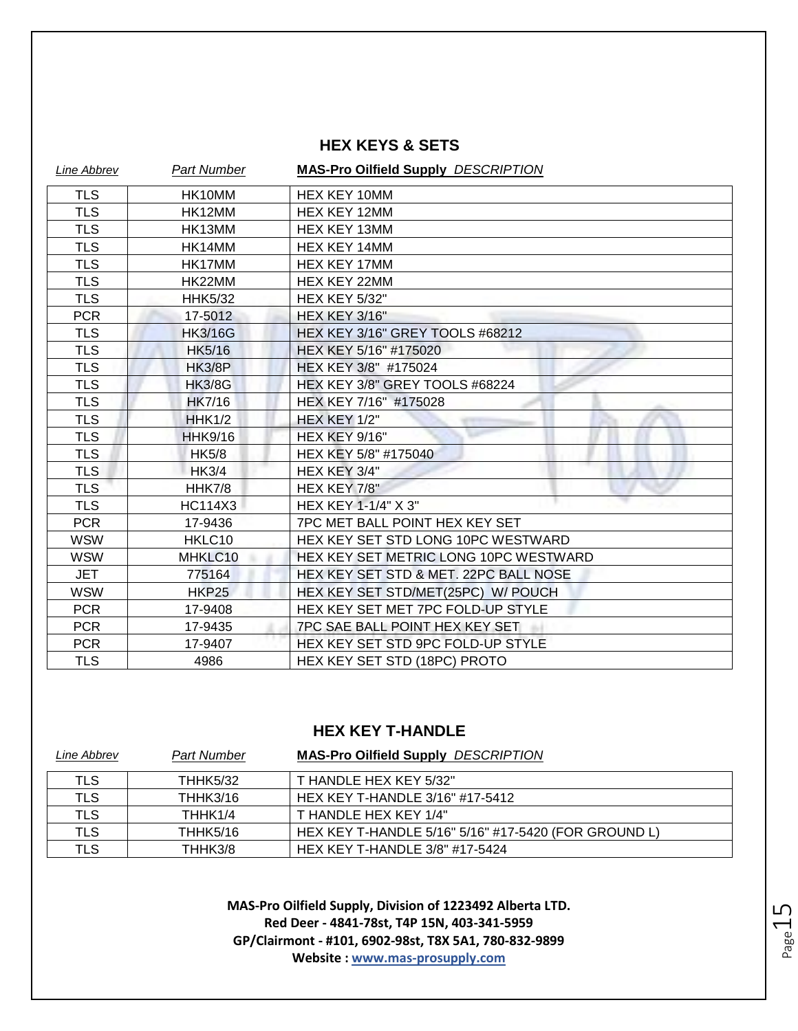#### **HEX KEYS & SETS**

| Line Abbrev | <b>Part Number</b> | <b>MAS-Pro Oilfield Supply DESCRIPTION</b> |
|-------------|--------------------|--------------------------------------------|
| <b>TLS</b>  | HK10MM             | <b>HEX KEY 10MM</b>                        |
| <b>TLS</b>  | HK12MM             | <b>HEX KEY 12MM</b>                        |
| <b>TLS</b>  | HK13MM             | HEX KEY 13MM                               |
| <b>TLS</b>  | HK14MM             | <b>HEX KEY 14MM</b>                        |
| <b>TLS</b>  | HK17MM             | <b>HEX KEY 17MM</b>                        |
| <b>TLS</b>  | HK22MM             | <b>HEX KEY 22MM</b>                        |
| <b>TLS</b>  | <b>HHK5/32</b>     | <b>HEX KEY 5/32"</b>                       |
| <b>PCR</b>  | 17-5012            | <b>HEX KEY 3/16"</b>                       |
| <b>TLS</b>  | <b>HK3/16G</b>     | HEX KEY 3/16" GREY TOOLS #68212            |
| <b>TLS</b>  | <b>HK5/16</b>      | HEX KEY 5/16" #175020                      |
| <b>TLS</b>  | <b>HK3/8P</b>      | HEX KEY 3/8" #175024                       |
| <b>TLS</b>  | <b>HK3/8G</b>      | HEX KEY 3/8" GREY TOOLS #68224             |
| <b>TLS</b>  | <b>HK7/16</b>      | HEX KEY 7/16" #175028                      |
| <b>TLS</b>  | <b>HHK1/2</b>      | HEX KEY 1/2"                               |
| <b>TLS</b>  | <b>HHK9/16</b>     | <b>HEX KEY 9/16"</b>                       |
| <b>TLS</b>  | <b>HK5/8</b>       | HEX KEY 5/8" #175040                       |
| <b>TLS</b>  | <b>HK3/4</b>       | HEX KEY 3/4"                               |
| <b>TLS</b>  | <b>HHK7/8</b>      | HEX KEY 7/8"                               |
| <b>TLS</b>  | <b>HC114X3</b>     | HEX KEY 1-1/4" X 3"                        |
| <b>PCR</b>  | 17-9436            | 7PC MET BALL POINT HEX KEY SET             |
| <b>WSW</b>  | HKLC10             | HEX KEY SET STD LONG 10PC WESTWARD         |
| <b>WSW</b>  | MHKLC10            | HEX KEY SET METRIC LONG 10PC WESTWARD      |
| <b>JET</b>  | 775164             | HEX KEY SET STD & MET. 22PC BALL NOSE      |
| <b>WSW</b>  | <b>HKP25</b>       | HEX KEY SET STD/MET(25PC) W/ POUCH         |
| <b>PCR</b>  | 17-9408            | HEX KEY SET MET 7PC FOLD-UP STYLE          |
| <b>PCR</b>  | 17-9435            | 7PC SAE BALL POINT HEX KEY SET             |
| <b>PCR</b>  | 17-9407            | HEX KEY SET STD 9PC FOLD-UP STYLE          |
| <b>TLS</b>  | 4986               | <b>HEX KEY SET STD (18PC) PROTO</b>        |

#### **HEX KEY T-HANDLE**

| Line Abbrev | <b>Part Number</b> | <b>MAS-Pro Oilfield Supply DESCRIPTION</b>           |
|-------------|--------------------|------------------------------------------------------|
| TLS         | <b>THHK5/32</b>    | T HANDLE HEX KEY 5/32"                               |
| TLS         | THHK3/16           | HEX KEY T-HANDLE 3/16" #17-5412                      |
| TLS         | THHK1/4            | T HANDLE HEX KEY 1/4"                                |
| TLS         | THHK5/16           | HEX KEY T-HANDLE 5/16" 5/16" #17-5420 (FOR GROUND L) |
| TLS         | THHK3/8            | HEX KEY T-HANDLE 3/8" #17-5424                       |

Page15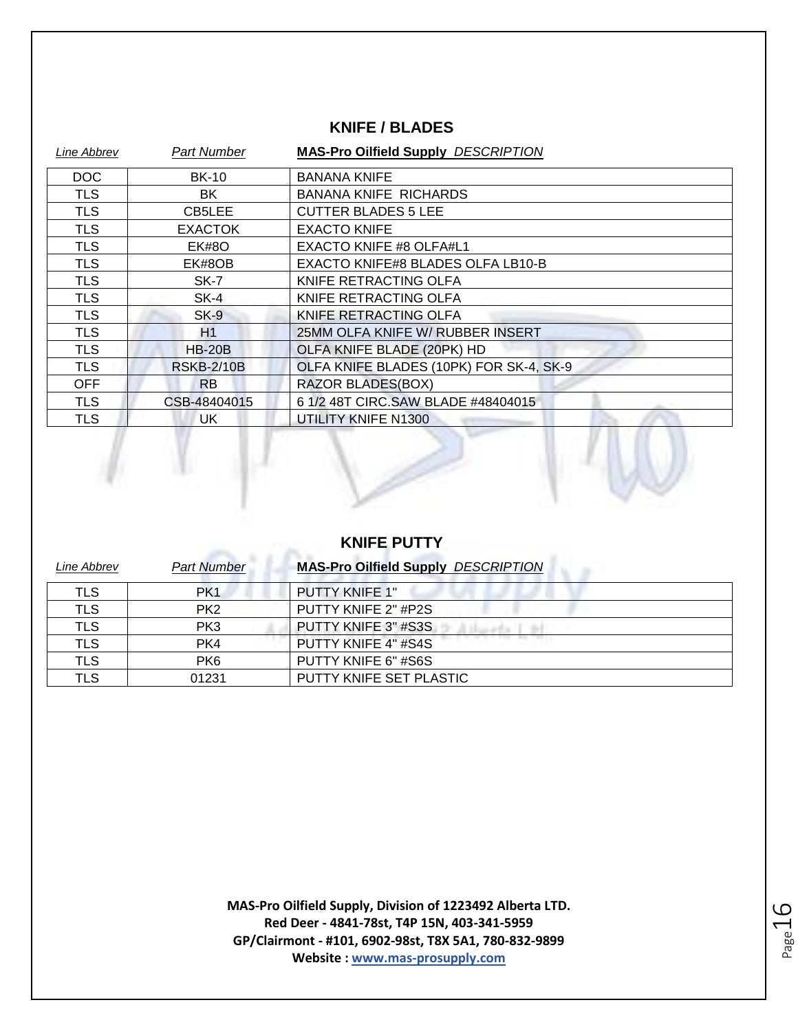#### **KNIFE / BLADES**

| Line Abbrev | <b>Part Number</b> | <b>MAS-Pro Oilfield Supply DESCRIPTION</b> |
|-------------|--------------------|--------------------------------------------|
| <b>DOC</b>  | <b>BK-10</b>       | <b>BANANA KNIFE</b>                        |
| <b>TLS</b>  | BK.                | <b>BANANA KNIFE RICHARDS</b>               |
| <b>TLS</b>  | CB5LEE             | <b>CUTTER BLADES 5 LEE</b>                 |
| <b>TLS</b>  | <b>EXACTOK</b>     | <b>EXACTO KNIFE</b>                        |
| <b>TLS</b>  | EK#8O              | EXACTO KNIFE #8 OLFA#L1                    |
| <b>TLS</b>  | EK#8OB             | EXACTO KNIFE#8 BLADES OLFA LB10-B          |
| <b>TLS</b>  | SK-7               | KNIFE RETRACTING OLFA                      |
| <b>TLS</b>  | SK-4               | KNIFE RETRACTING OLFA                      |
| <b>TLS</b>  | SK-9               | KNIFE RETRACTING OLFA                      |
| <b>TLS</b>  | H1                 | 25MM OLFA KNIFE W/ RUBBER INSERT           |
| <b>TLS</b>  | <b>HB-20B</b>      | OLFA KNIFE BLADE (20PK) HD                 |
| <b>TLS</b>  | <b>RSKB-2/10B</b>  | OLFA KNIFE BLADES (10PK) FOR SK-4, SK-9    |
| OFF         | R <sub>B</sub>     | <b>RAZOR BLADES(BOX)</b>                   |
| <b>TLS</b>  | CSB-48404015       | 6 1/2 48T CIRC.SAW BLADE #48404015         |
| <b>TLS</b>  | UK                 | UTILITY KNIFE N1300                        |
|             |                    |                                            |



| Line Abbrev | <b>Part Number</b> | <b>MAS-Pro Oilfield Supply DESCRIPTION</b> |
|-------------|--------------------|--------------------------------------------|
| TLS         | PK <sub>1</sub>    | <b>PUTTY KNIFE 1"</b>                      |
| TLS         | PK <sub>2</sub>    | PUTTY KNIFE 2" #P2S                        |
| <b>TLS</b>  | PK3                | PUTTY KNIFE 3" #S3S                        |
| <b>TLS</b>  | PK4                | PUTTY KNIFE 4" #S4S                        |
| <b>TLS</b>  | PK <sub>6</sub>    | PUTTY KNIFE 6" #S6S                        |
| <b>TLS</b>  | 01231              | PUTTY KNIFE SET PLASTIC                    |

$$
\mathsf{Page}\hspace{.01in} 16
$$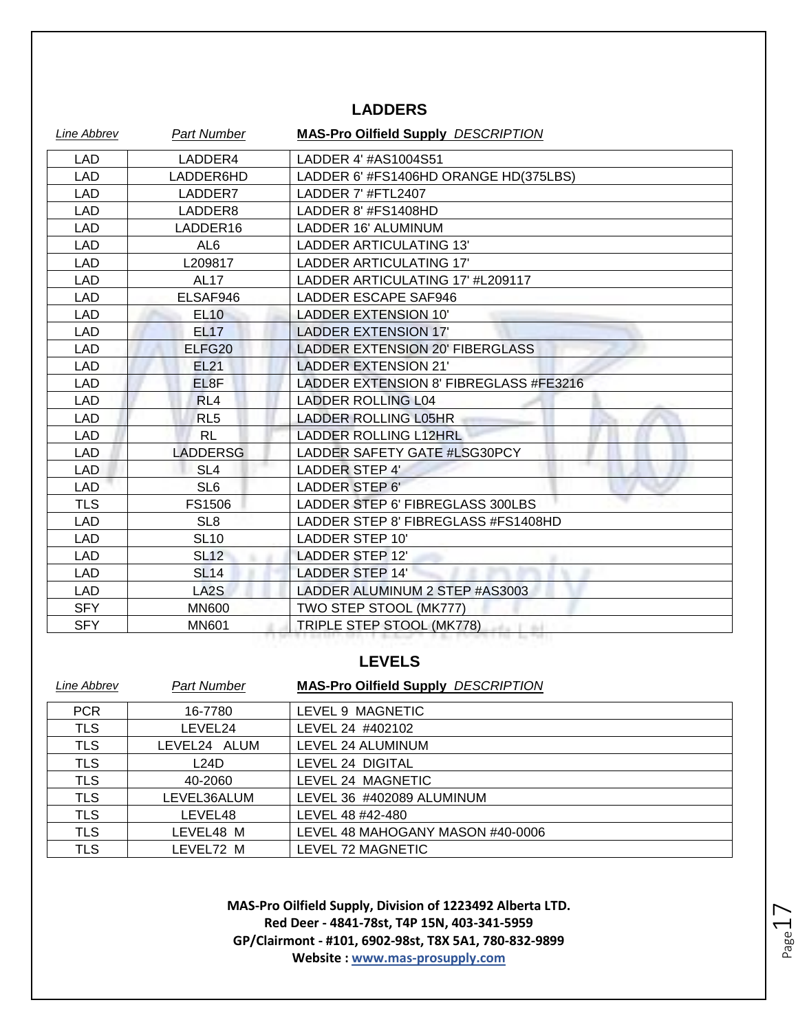#### **LADDERS**

| Line Abbrev | <b>Part Number</b> | <b>MAS-Pro Oilfield Supply DESCRIPTION</b> |
|-------------|--------------------|--------------------------------------------|
| LAD         | LADDER4            | LADDER 4' #AS1004S51                       |
| <b>LAD</b>  | LADDER6HD          | LADDER 6' #FS1406HD ORANGE HD(375LBS)      |
| <b>LAD</b>  | LADDER7            | LADDER 7' #FTL2407                         |
| <b>LAD</b>  | LADDER8            | LADDER 8' #FS1408HD                        |
| LAD         | LADDER16           | LADDER 16' ALUMINUM                        |
| LAD         | AL <sub>6</sub>    | LADDER ARTICULATING 13'                    |
| LAD         | L209817            | LADDER ARTICULATING 17'                    |
| LAD         | <b>AL17</b>        | LADDER ARTICULATING 17' #L209117           |
| LAD         | ELSAF946           | LADDER ESCAPE SAF946                       |
| LAD         | <b>EL10</b>        | <b>LADDER EXTENSION 10'</b>                |
| LAD         | <b>EL17</b>        | <b>LADDER EXTENSION 17'</b>                |
| LAD         | ELFG <sub>20</sub> | <b>LADDER EXTENSION 20' FIBERGLASS</b>     |
| <b>LAD</b>  | <b>EL21</b>        | <b>LADDER EXTENSION 21'</b>                |
| LAD         | EL8F               | LADDER EXTENSION 8' FIBREGLASS #FE3216     |
| <b>LAD</b>  | RL <sub>4</sub>    | <b>LADDER ROLLING L04</b>                  |
| <b>LAD</b>  | RL <sub>5</sub>    | <b>LADDER ROLLING L05HR</b>                |
| <b>LAD</b>  | <b>RL</b>          | <b>LADDER ROLLING L12HRL</b>               |
| <b>LAD</b>  | <b>LADDERSG</b>    | LADDER SAFETY GATE #LSG30PCY               |
| <b>LAD</b>  | SL <sub>4</sub>    | <b>LADDER STEP 4'</b>                      |
| <b>LAD</b>  | SL <sub>6</sub>    | LADDER STEP 6'                             |
| <b>TLS</b>  | FS1506             | LADDER STEP 6' FIBREGLASS 300LBS           |
| <b>LAD</b>  | SL <sub>8</sub>    | LADDER STEP 8' FIBREGLASS #FS1408HD        |
| <b>LAD</b>  | <b>SL10</b>        | <b>LADDER STEP 10'</b>                     |
| LAD         | <b>SL12</b>        | LADDER STEP 12'                            |
| LAD         | <b>SL14</b>        | <b>LADDER STEP 14'</b>                     |
| LAD         | LA <sub>2</sub> S  | LADDER ALUMINUM 2 STEP #AS3003             |
| <b>SFY</b>  | <b>MN600</b>       | TWO STEP STOOL (MK777)                     |
| <b>SFY</b>  | <b>MN601</b>       | TRIPLE STEP STOOL (MK778)<br>Ladia I Bil   |

#### **LEVELS**

| Line Abbrev | <b>Part Number</b> | <b>MAS-Pro Oilfield Supply DESCRIPTION</b> |
|-------------|--------------------|--------------------------------------------|
| <b>PCR</b>  | 16-7780            | LEVEL 9 MAGNETIC                           |
| <b>TLS</b>  | LEVEL24            | LEVEL 24 #402102                           |
| <b>TLS</b>  | LEVEL24 ALUM       | LEVEL 24 ALUMINUM                          |
| <b>TLS</b>  | L24D               | LEVEL 24 DIGITAL                           |
| <b>TLS</b>  | 40-2060            | LEVEL 24 MAGNETIC                          |
| <b>TLS</b>  | LEVEL36ALUM        | LEVEL 36 #402089 ALUMINUM                  |
| <b>TLS</b>  | LEVEL48            | LEVEL 48 #42-480                           |
| <b>TLS</b>  | LEVEL48 M          | LEVEL 48 MAHOGANY MASON #40-0006           |
| TLS         | LEVEL72 M          | LEVEL 72 MAGNETIC                          |

**MAS-Pro Oilfield Supply, Division of 1223492 Alberta LTD. Red Deer - 4841-78st, T4P 15N, 403-341-5959 GP/Clairmont - #101, 6902-98st, T8X 5A1, 780-832-9899 Website : www.mas-prosupply.com**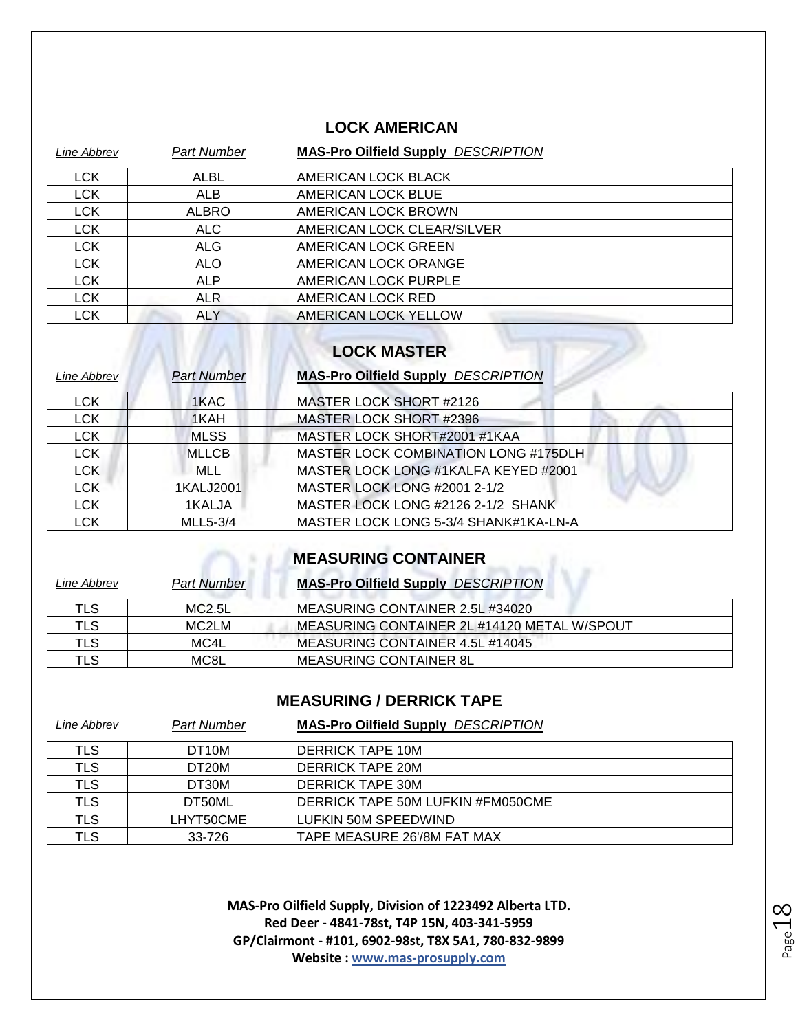#### **LOCK AMERICAN**

| Line Abbrev | <b>Part Number</b> | <b>MAS-Pro Oilfield Supply DESCRIPTION</b> |
|-------------|--------------------|--------------------------------------------|
| <b>LCK</b>  | <b>ALBL</b>        | AMERICAN LOCK BLACK                        |
| <b>LCK</b>  | ALB                | AMERICAN LOCK BLUE                         |
| <b>LCK</b>  | <b>ALBRO</b>       | AMERICAN LOCK BROWN                        |
| <b>LCK</b>  | ALC                | AMERICAN LOCK CLEAR/SILVER                 |
| <b>LCK</b>  | <b>ALG</b>         | AMERICAN LOCK GREEN                        |
| <b>LCK</b>  | <b>ALO</b>         | AMERICAN LOCK ORANGE                       |
| <b>LCK</b>  | <b>ALP</b>         | AMERICAN LOCK PURPLE                       |
| <b>LCK</b>  | ALR.               | AMERICAN LOCK RED                          |
| <b>LCK</b>  | <b>ALY</b>         | AMERICAN LOCK YELLOW                       |

#### **LOCK MASTER**

 $\overline{\text{max}}$ 

| Line Abbrev | <b>Part Number</b> | <b>MAS-Pro Oilfield Supply DESCRIPTION</b> |
|-------------|--------------------|--------------------------------------------|
| <b>LCK</b>  | 1KAC               | MASTER LOCK SHORT #2126                    |
| <b>LCK</b>  | 1KAH               | <b>MASTER LOCK SHORT #2396</b>             |
| <b>LCK</b>  | <b>MLSS</b>        | MASTER LOCK SHORT#2001 #1KAA               |
| <b>LCK</b>  | <b>MLLCB</b>       | MASTER LOCK COMBINATION LONG #175DLH       |
| <b>LCK</b>  | <b>MLL</b>         | MASTER LOCK LONG #1KALFA KEYED #2001       |
| <b>LCK</b>  | 1KALJ2001          | MASTER LOCK LONG #2001 2-1/2               |
| <b>LCK</b>  | 1KALJA             | MASTER LOCK LONG #2126 2-1/2 SHANK         |
| <b>LCK</b>  | MLL5-3/4           | MASTER LOCK LONG 5-3/4 SHANK#1KA-LN-A      |

#### **MEASURING CONTAINER**

| Line Abbrev | <b>Part Number</b> | <b>MAS-Pro Oilfield Supply DESCRIPTION</b>  |
|-------------|--------------------|---------------------------------------------|
| TLS         | MC2.5L             | MEASURING CONTAINER 2.5L #34020             |
| <b>TLS</b>  | MC <sub>2LM</sub>  | MEASURING CONTAINER 2L #14120 METAL W/SPOUT |
| TLS         | MC4L               | MEASURING CONTAINER 4.5L #14045             |
| TLS         | MC8L               | MEASURING CONTAINER 8L                      |

#### **MEASURING / DERRICK TAPE**

| Line Abbrev | <b>Part Number</b> | <b>MAS-Pro Oilfield Supply DESCRIPTION</b> |
|-------------|--------------------|--------------------------------------------|
| TLS         | DT <sub>10</sub> M | DERRICK TAPE 10M                           |
| <b>TLS</b>  | DT <sub>20</sub> M | <b>DERRICK TAPE 20M</b>                    |
| <b>TLS</b>  | DT30M              | DERRICK TAPE 30M                           |
| TLS         | DT50ML             | DERRICK TAPE 50M LUFKIN #FM050CME          |
| <b>TLS</b>  | LHYT50CME          | LUFKIN 50M SPEEDWIND                       |
| TLS         | 33-726             | TAPE MEASURE 26'/8M FAT MAX                |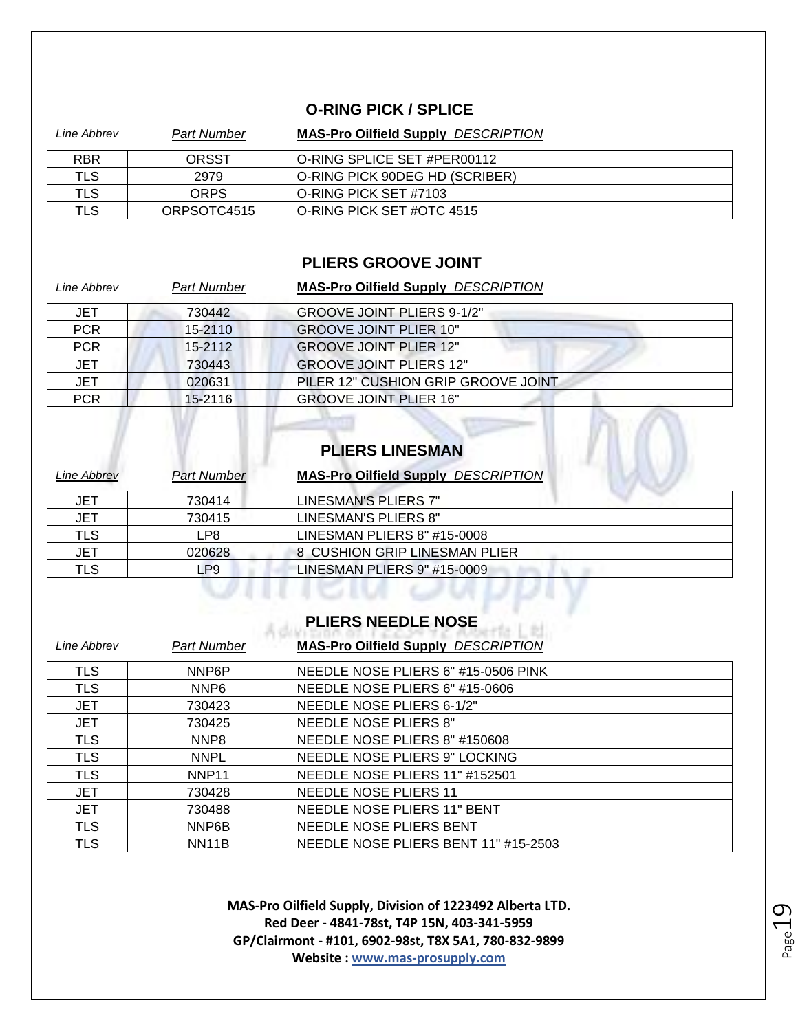#### **O-RING PICK / SPLICE**

| Line Abbrev | Part Number | <b>MAS-Pro Oilfield Supply DESCRIPTION</b> |
|-------------|-------------|--------------------------------------------|
| <b>RBR</b>  | ORSST       | O-RING SPLICE SET #PER00112                |
| TLS         | 2979        | O-RING PICK 90DEG HD (SCRIBER)             |
| TLS.        | <b>ORPS</b> | O-RING PICK SET #7103                      |
| TLS         | ORPSOTC4515 | O-RING PICK SET #OTC 4515                  |

#### **PLIERS GROOVE JOINT**

| Line Abbrev | <b>Part Number</b> | <b>MAS-Pro Oilfield Supply DESCRIPTION</b> |
|-------------|--------------------|--------------------------------------------|
| JET         | 730442             | <b>GROOVE JOINT PLIERS 9-1/2"</b>          |
| <b>PCR</b>  | 15-2110            | <b>GROOVE JOINT PLIER 10"</b>              |
| <b>PCR</b>  | 15-2112            | <b>GROOVE JOINT PLIER 12"</b>              |
| <b>JET</b>  | 730443             | <b>GROOVE JOINT PLIERS 12"</b>             |
| <b>JET</b>  | 020631             | PILER 12" CUSHION GRIP GROOVE JOINT        |
| <b>PCR</b>  | $15 - 2116$        | <b>GROOVE JOINT PLIER 16"</b>              |

#### **PLIERS LINESMAN**

| Line Abbrev | <b>Part Number</b> | <b>MAS-Pro Oilfield Supply DESCRIPTION</b> |
|-------------|--------------------|--------------------------------------------|
| <b>JET</b>  | 730414             | LINESMAN'S PLIERS 7"                       |
| <b>JET</b>  | 730415             | LINESMAN'S PLIERS 8"                       |
| <b>TLS</b>  | LP8                | LINESMAN PLIERS 8" #15-0008                |
| JET         | 020628             | 8 CUSHION GRIP LINESMAN PLIER              |
| <b>TLS</b>  | -P9                | LINESMAN PLIERS 9" #15-0009                |
|             |                    |                                            |

## **PLIERS NEEDLE NOSE**

| Line Abbrev | <b>Part Number</b> | <b>MAS-Pro Oilfield Supply DESCRIPTION</b> |
|-------------|--------------------|--------------------------------------------|
| <b>TLS</b>  | NNP <sub>6</sub> P | NEEDLE NOSE PLIERS 6" #15-0506 PINK        |
| <b>TLS</b>  | NNP <sub>6</sub>   | NEEDLE NOSE PLIERS 6" #15-0606             |
| <b>JET</b>  | 730423             | NEEDLE NOSE PLIERS 6-1/2"                  |
| <b>JET</b>  | 730425             | <b>NEEDLE NOSE PLIERS 8"</b>               |
| <b>TLS</b>  | NNP <sub>8</sub>   | NEEDLE NOSE PLIERS 8" #150608              |
| <b>TLS</b>  | <b>NNPL</b>        | NEEDLE NOSE PLIERS 9" LOCKING              |
| <b>TLS</b>  | NNP <sub>11</sub>  | NEEDLE NOSE PLIERS 11" #152501             |
| <b>JET</b>  | 730428             | NEEDLE NOSE PLIERS 11                      |
| <b>JET</b>  | 730488             | NEEDLE NOSE PLIERS 11" BENT                |
| <b>TLS</b>  | NNP6B              | NEEDLE NOSE PLIERS BENT                    |
| <b>TLS</b>  | <b>NN11B</b>       | NEEDLE NOSE PLIERS BENT 11" #15-2503       |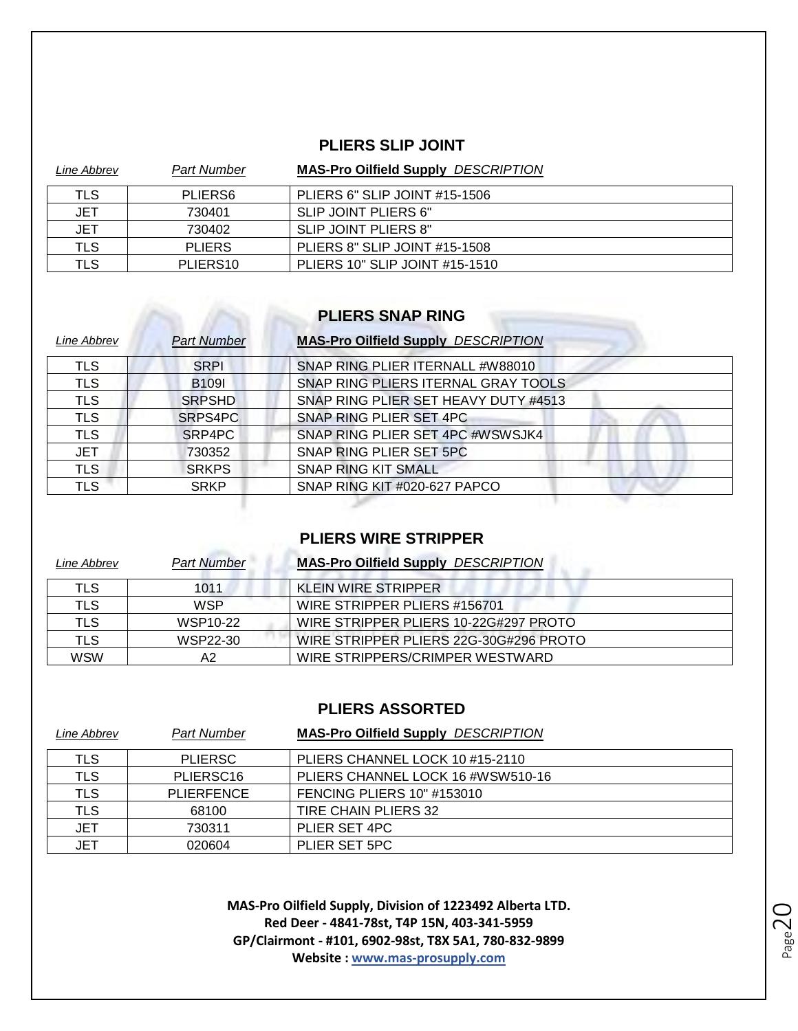#### **PLIERS SLIP JOINT**

| Line Abbrev | <b>Part Number</b>   | <b>MAS-Pro Oilfield Supply DESCRIPTION</b> |
|-------------|----------------------|--------------------------------------------|
| TLS         | PLIERS6              | PLIERS 6" SLIP JOINT #15-1506              |
| <b>JET</b>  | 730401               | SLIP JOINT PLIERS 6"                       |
| JET         | 730402               | SLIP JOINT PLIERS 8"                       |
| TLS         | <b>PLIERS</b>        | PLIERS 8" SLIP JOINT #15-1508              |
| TLS         | PLIERS <sub>10</sub> | PLIERS 10" SLIP JOINT #15-1510             |

### **PLIERS SNAP RING**

| Line Abbrev | <b>Part Number</b> | <b>MAS-Pro Oilfield Supply DESCRIPTION</b> |
|-------------|--------------------|--------------------------------------------|
| TLS         | <b>SRPI</b>        | SNAP RING PLIER ITERNALL #W88010           |
| <b>TLS</b>  | <b>B109I</b>       | SNAP RING PLIERS ITERNAL GRAY TOOLS        |
| <b>TLS</b>  | <b>SRPSHD</b>      | SNAP RING PLIER SET HEAVY DUTY #4513       |
| <b>TLS</b>  | SRPS4PC            | SNAP RING PLIER SET 4PC                    |
| <b>TLS</b>  | SRP4PC             | SNAP RING PLIER SET 4PC #WSWSJK4           |
| <b>JET</b>  | 730352             | SNAP RING PLIER SET 5PC                    |
| <b>TLS</b>  | <b>SRKPS</b>       | <b>SNAP RING KIT SMALL</b>                 |
| <b>TLS</b>  | <b>SRKP</b>        | SNAP RING KIT #020-627 PAPCO               |
|             |                    |                                            |

#### **PLIERS WIRE STRIPPER**

| Line Abbrev | <b>Part Number</b> | <b>MAS-Pro Oilfield Supply DESCRIPTION</b> |
|-------------|--------------------|--------------------------------------------|
| TLS         | 1011               | KLEIN WIRE STRIPPER                        |
| <b>TLS</b>  | <b>WSP</b>         | WIRE STRIPPER PLIERS #156701               |
| TLS         | WSP10-22           | WIRE STRIPPER PLIERS 10-22G#297 PROTO      |
| <b>TLS</b>  | WSP22-30           | WIRE STRIPPER PLIERS 22G-30G#296 PROTO     |
| <b>WSW</b>  | А2                 | WIRE STRIPPERS/CRIMPER WESTWARD            |

#### **PLIERS ASSORTED**

| Line Abbrev | <b>Part Number</b>    | <b>MAS-Pro Oilfield Supply DESCRIPTION</b> |
|-------------|-----------------------|--------------------------------------------|
| TLS         | <b>PLIERSC</b>        | PLIERS CHANNEL LOCK 10 #15-2110            |
| TLS         | PLIERSC <sub>16</sub> | PLIERS CHANNEL LOCK 16 #WSW510-16          |
| <b>TLS</b>  | PLIERFENCE            | <b>FENCING PLIERS 10" #153010</b>          |
| <b>TLS</b>  | 68100                 | <b>TIRE CHAIN PLIERS 32</b>                |
| <b>JET</b>  | 730311                | PLIER SET 4PC                              |
| <b>JET</b>  | 020604                | PLIER SET 5PC                              |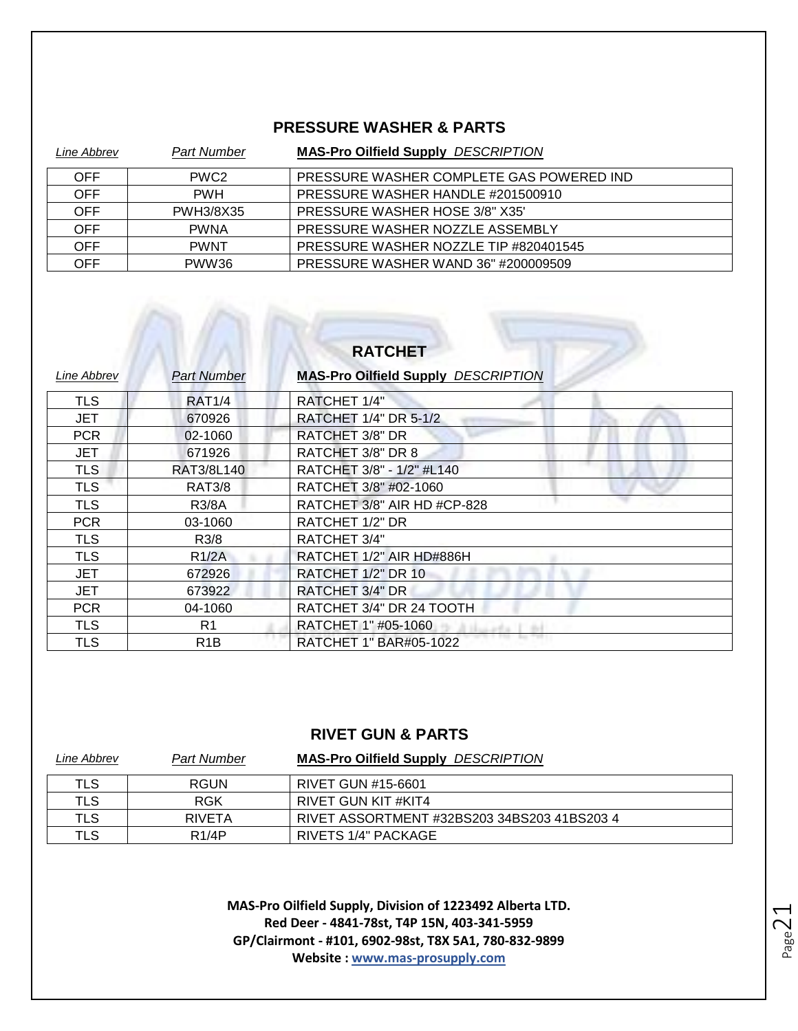#### **PRESSURE WASHER & PARTS**

| Line Abbrev | <b>Part Number</b> | <b>MAS-Pro Oilfield Supply DESCRIPTION</b> |
|-------------|--------------------|--------------------------------------------|
| <b>OFF</b>  | PWC <sub>2</sub>   | PRESSURE WASHER COMPLETE GAS POWERED IND   |
| <b>OFF</b>  | <b>PWH</b>         | PRESSURE WASHER HANDLE #201500910          |
| <b>OFF</b>  | PWH3/8X35          | PRESSURE WASHER HOSE 3/8" X35"             |
| <b>OFF</b>  | <b>PWNA</b>        | PRESSURE WASHER NOZZLE ASSEMBLY            |
| <b>OFF</b>  | <b>PWNT</b>        | PRESSURE WASHER NOZZLE TIP #820401545      |
| OFF         | PWW36              | PRESSURE WASHER WAND 36" #200009509        |

## **RATCHET**

 $\mathbb{R}$ 

| Line Abbrev | <b>Part Number</b> | <b>MAS-Pro Oilfield Supply DESCRIPTION</b> |
|-------------|--------------------|--------------------------------------------|
| <b>TLS</b>  | RAT1/4             | RATCHET 1/4"                               |
| <b>JET</b>  | 670926             | RATCHET 1/4" DR 5-1/2                      |
| <b>PCR</b>  | 02-1060            | RATCHET 3/8" DR                            |
| <b>JET</b>  | 671926             | RATCHET 3/8" DR 8                          |
| <b>TLS</b>  | RAT3/8L140         | RATCHET 3/8" - 1/2" #L140                  |
| <b>TLS</b>  | <b>RAT3/8</b>      | RATCHET 3/8" #02-1060                      |
| <b>TLS</b>  | <b>R3/8A</b>       | RATCHET 3/8" AIR HD #CP-828                |
| <b>PCR</b>  | 03-1060            | RATCHET 1/2" DR                            |
| <b>TLS</b>  | R3/8               | RATCHET 3/4"                               |
| <b>TLS</b>  | R1/2A              | RATCHET 1/2" AIR HD#886H                   |
| <b>JET</b>  | 672926             | RATCHET 1/2" DR 10                         |
| JET         | 673922             | RATCHET 3/4" DR                            |
| <b>PCR</b>  | 04-1060            | RATCHET 3/4" DR 24 TOOTH                   |
| <b>TLS</b>  | R <sub>1</sub>     | RATCHET 1" #05-1060                        |
| <b>TLS</b>  | R <sub>1</sub> B   | RATCHET 1" BAR#05-1022                     |

#### **RIVET GUN & PARTS**

| Line Abbrev | Part Number        | <b>MAS-Pro Oilfield Supply DESCRIPTION</b>  |
|-------------|--------------------|---------------------------------------------|
| TLS         | RGUN               | RIVET GUN #15-6601                          |
| TLS         | <b>RGK</b>         | RIVET GUN KIT #KIT4                         |
| TLS         | RIVETA             | RIVET ASSORTMENT #32BS203 34BS203 41BS203 4 |
| <b>TLS</b>  | R <sub>1</sub> /4P | RIVETS 1/4" PACKAGE                         |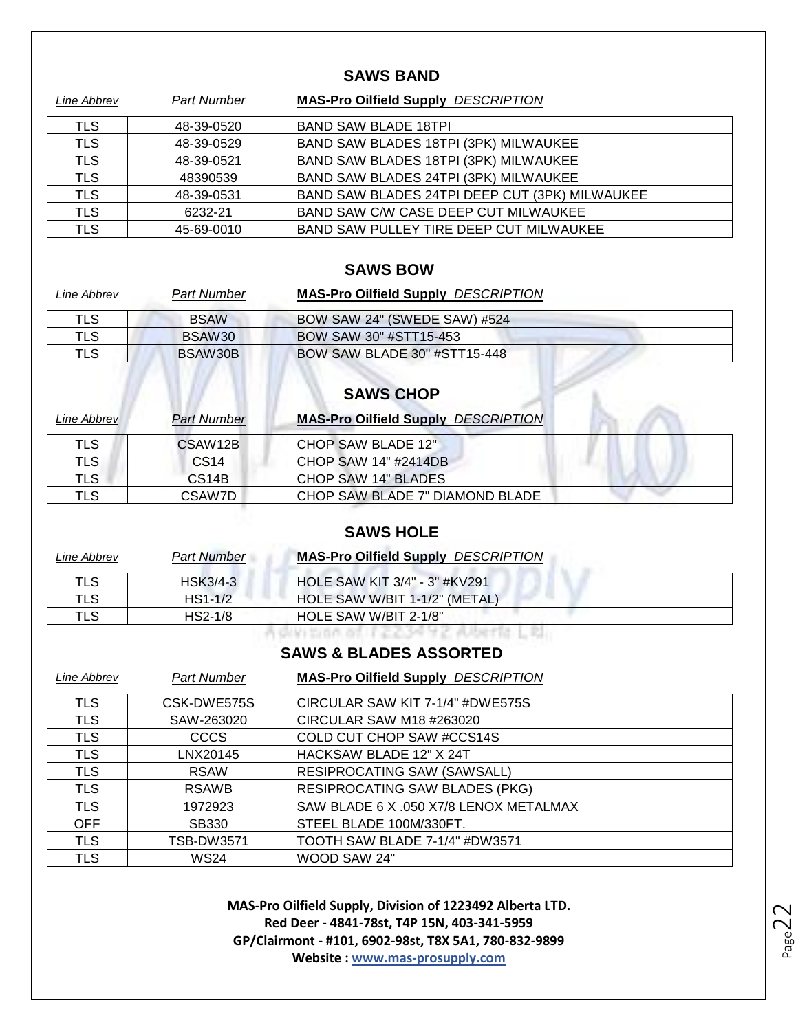#### **SAWS BAND**

| Line Abbrev | <b>Part Number</b> | <b>MAS-Pro Oilfield Supply DESCRIPTION</b>     |
|-------------|--------------------|------------------------------------------------|
| TLS         | 48-39-0520         | <b>BAND SAW BLADE 18TPL</b>                    |
| <b>TLS</b>  | 48-39-0529         | BAND SAW BLADES 18TPI (3PK) MILWAUKEE          |
| <b>TLS</b>  | 48-39-0521         | BAND SAW BLADES 18TPI (3PK) MILWAUKEE          |
| <b>TLS</b>  | 48390539           | BAND SAW BLADES 24TPI (3PK) MILWAUKEE          |
| <b>TLS</b>  | 48-39-0531         | BAND SAW BLADES 24TPI DEEP CUT (3PK) MILWAUKEE |
| <b>TLS</b>  | 6232-21            | BAND SAW C/W CASE DEEP CUT MILWAUKEE           |
| TLS         | 45-69-0010         | BAND SAW PULLEY TIRE DEEP CUT MILWAUKEE        |

#### **SAWS BOW**

| Line Abbrev | <b>Part Number</b> | <b>MAS-Pro Oilfield Supply DESCRIPTION</b> |
|-------------|--------------------|--------------------------------------------|
| TLS         | <b>BSAW</b>        | BOW SAW 24" (SWEDE SAW) #524               |
| TLS         | BSAW <sub>30</sub> | BOW SAW 30" #STT15-453                     |
| TLS         | BSAW30B            | BOW SAW BLADE 30" #STT15-448               |

# **SAWS CHOP**

| Line Abbrev | <b>Part Number</b> | <b>MAS-Pro Oilfield Supply DESCRIPTION</b> |
|-------------|--------------------|--------------------------------------------|
| TLS         | CSAW12B            | CHOP SAW BLADE 12"                         |
| TLS         | CS <sub>14</sub>   | CHOP SAW 14" #2414DB                       |
| TLS.        | CS <sub>14</sub> B | CHOP SAW 14" BLADES                        |
| TLS         | CSAW7D             | CHOP SAW BLADE 7" DIAMOND BLADE            |

#### **SAWS HOLE**

| Line Abbrev | <b>Part Number</b> | <b>MAS-Pro Oilfield Supply DESCRIPTION</b> |  |
|-------------|--------------------|--------------------------------------------|--|
| TLS         | <b>HSK3/4-3</b>    | HOLE SAW KIT 3/4" - 3" #KV291              |  |
| TLS         | $HS1-1/2$          | HOLE SAW W/BIT 1-1/2" (METAL)              |  |
| TLS         | $HS2-1/8$          | HOLE SAW W/BIT 2-1/8"                      |  |
|             |                    |                                            |  |

#### **SAWS & BLADES ASSORTED**

| Line Abbrev | <b>Part Number</b> | <b>MAS-Pro Oilfield Supply DESCRIPTION</b> |
|-------------|--------------------|--------------------------------------------|
| <b>TLS</b>  | CSK-DWE575S        | CIRCULAR SAW KIT 7-1/4" #DWE575S           |
| <b>TLS</b>  | SAW-263020         | CIRCULAR SAW M18 #263020                   |
| <b>TLS</b>  | <b>CCCS</b>        | COLD CUT CHOP SAW #CCS14S                  |
| <b>TLS</b>  | LNX20145           | HACKSAW BLADE 12" X 24T                    |
| <b>TLS</b>  | <b>RSAW</b>        | <b>RESIPROCATING SAW (SAWSALL)</b>         |
| <b>TLS</b>  | <b>RSAWB</b>       | <b>RESIPROCATING SAW BLADES (PKG)</b>      |
| <b>TLS</b>  | 1972923            | SAW BLADE 6 X .050 X7/8 LENOX METALMAX     |
| <b>OFF</b>  | SB330              | STEEL BLADE 100M/330FT.                    |
| <b>TLS</b>  | TSB-DW3571         | TOOTH SAW BLADE 7-1/4" #DW3571             |
| TLS         | <b>WS24</b>        | WOOD SAW 24"                               |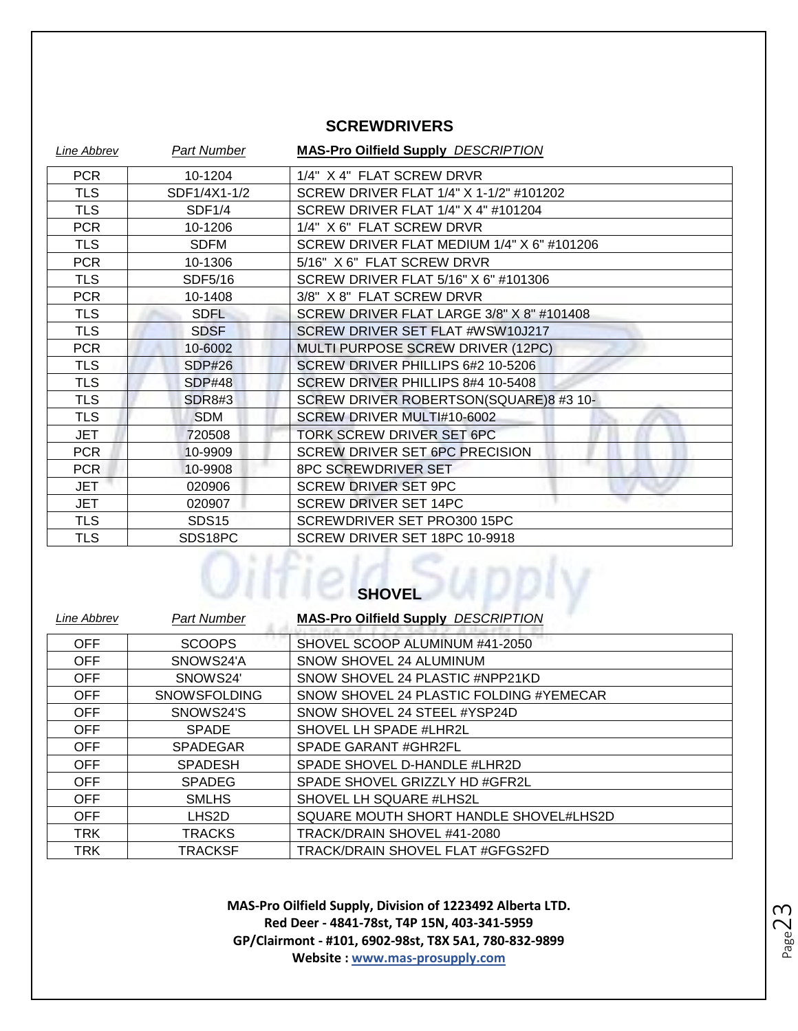#### **SCREWDRIVERS**

| <b>Line Abbrev</b> | <b>Part Number</b> | <b>MAS-Pro Oilfield Supply DESCRIPTION</b> |
|--------------------|--------------------|--------------------------------------------|
| <b>PCR</b>         | 10-1204            | 1/4" X 4" FLAT SCREW DRVR                  |
| <b>TLS</b>         | SDF1/4X1-1/2       | SCREW DRIVER FLAT 1/4" X 1-1/2" #101202    |
| <b>TLS</b>         | SDF1/4             | SCREW DRIVER FLAT 1/4" X 4" #101204        |
| <b>PCR</b>         | 10-1206            | 1/4" X 6" FLAT SCREW DRVR                  |
| <b>TLS</b>         | <b>SDFM</b>        | SCREW DRIVER FLAT MEDIUM 1/4" X 6" #101206 |
| <b>PCR</b>         | 10-1306            | 5/16" X 6" FLAT SCREW DRVR                 |
| TLS                | SDF5/16            | SCREW DRIVER FLAT 5/16" X 6" #101306       |
| <b>PCR</b>         | 10-1408            | 3/8" X 8" FLAT SCREW DRVR                  |
| <b>TLS</b>         | <b>SDFL</b>        | SCREW DRIVER FLAT LARGE 3/8" X 8" #101408  |
| <b>TLS</b>         | <b>SDSF</b>        | SCREW DRIVER SET FLAT #WSW10J217           |
| <b>PCR</b>         | 10-6002            | MULTI PURPOSE SCREW DRIVER (12PC)          |
| <b>TLS</b>         | SDP#26             | SCREW DRIVER PHILLIPS 6#2 10-5206          |
| <b>TLS</b>         | <b>SDP#48</b>      | SCREW DRIVER PHILLIPS 8#4 10-5408          |
| <b>TLS</b>         | <b>SDR8#3</b>      | SCREW DRIVER ROBERTSON(SQUARE)8 #3 10-     |
| <b>TLS</b>         | <b>SDM</b>         | SCREW DRIVER MULTI#10-6002                 |
| <b>JET</b>         | 720508             | TORK SCREW DRIVER SET 6PC                  |
| <b>PCR</b>         | 10-9909            | SCREW DRIVER SET 6PC PRECISION             |
| <b>PCR</b>         | 10-9908            | 8PC SCREWDRIVER SET                        |
| JET                | 020906             | <b>SCREW DRIVER SET 9PC</b>                |
| JET                | 020907             | <b>SCREW DRIVER SET 14PC</b>               |
| <b>TLS</b>         | <b>SDS15</b>       | SCREWDRIVER SET PRO300 15PC                |
| TLS                | SDS18PC            | SCREW DRIVER SET 18PC 10-9918              |

#### **SHOVEL**

| <b>Part Number</b>  | <b>MAS-Pro Oilfield Supply DESCRIPTION</b> |
|---------------------|--------------------------------------------|
| <b>SCOOPS</b>       | SHOVEL SCOOP ALUMINUM #41-2050             |
| SNOWS24'A           | SNOW SHOVEL 24 ALUMINUM                    |
| SNOWS24'            | SNOW SHOVEL 24 PLASTIC #NPP21KD            |
| <b>SNOWSFOLDING</b> | SNOW SHOVEL 24 PLASTIC FOLDING #YEMECAR    |
| SNOWS24'S           | SNOW SHOVEL 24 STEEL #YSP24D               |
| <b>SPADE</b>        | SHOVEL LH SPADE #LHR2L                     |
| <b>SPADEGAR</b>     | <b>SPADE GARANT #GHR2FL</b>                |
| <b>SPADESH</b>      | SPADE SHOVEL D-HANDLE #LHR2D               |
| <b>SPADEG</b>       | SPADE SHOVEL GRIZZLY HD #GFR2L             |
| <b>SMLHS</b>        | SHOVEL LH SQUARE #LHS2L                    |
| LHS2D               | SQUARE MOUTH SHORT HANDLE SHOVEL#LHS2D     |
| <b>TRACKS</b>       | TRACK/DRAIN SHOVEL #41-2080                |
| <b>TRACKSF</b>      | TRACK/DRAIN SHOVEL FLAT #GFGS2FD           |
|                     |                                            |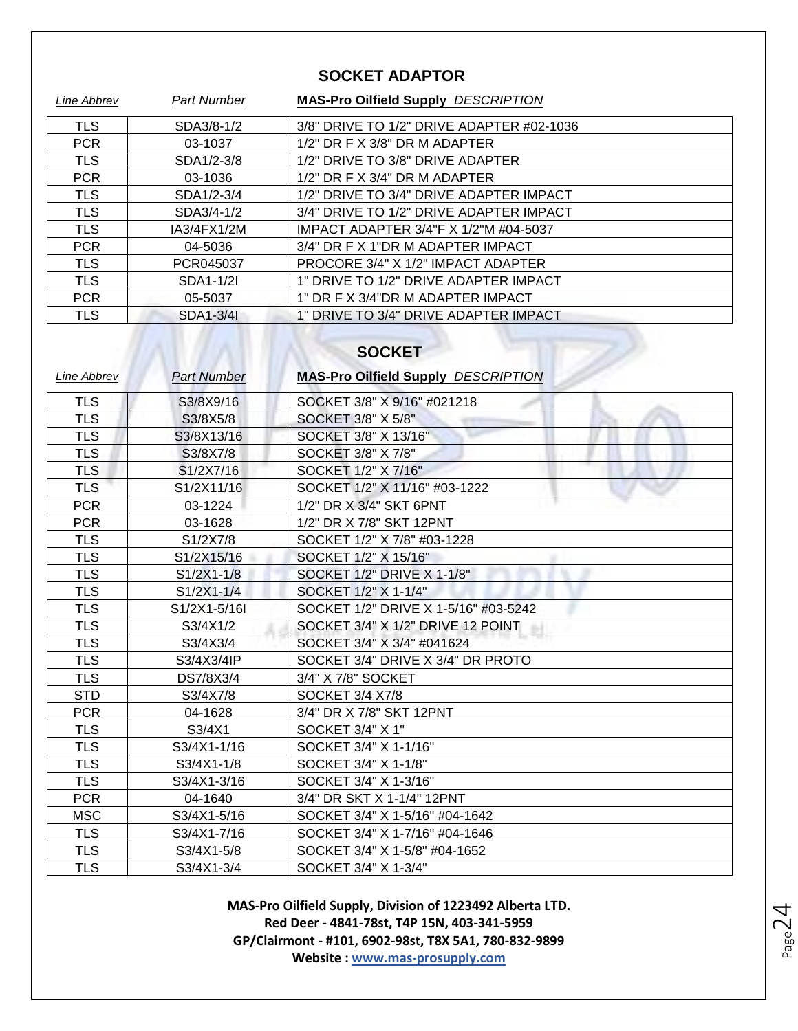#### **SOCKET ADAPTOR**

| Line Abbrev   | <b>Part Number</b> | <b>MAS-Pro Oilfield Supply DESCRIPTION</b> |
|---------------|--------------------|--------------------------------------------|
| <b>TLS</b>    | SDA3/8-1/2         | 3/8" DRIVE TO 1/2" DRIVE ADAPTER #02-1036  |
| <b>PCR</b>    | 03-1037            | $1/2$ " DR F X $3/8$ " DR M ADAPTER        |
| <b>TLS</b>    | SDA1/2-3/8         | 1/2" DRIVE TO 3/8" DRIVE ADAPTER           |
| <b>PCR</b>    | 03-1036            | $1/2$ " DR F X $3/4$ " DR M ADAPTER        |
| <b>TLS</b>    | SDA1/2-3/4         | 1/2" DRIVE TO 3/4" DRIVE ADAPTER IMPACT    |
| <b>TLS</b>    | SDA3/4-1/2         | 3/4" DRIVE TO 1/2" DRIVE ADAPTER IMPACT    |
| <b>TLS</b>    | IA3/4FX1/2M        | IMPACT ADAPTER 3/4"F X 1/2"M #04-5037      |
| <b>PCR</b>    | 04-5036            | 3/4" DR F X 1"DR M ADAPTER IMPACT          |
| <b>TLS</b>    | PCR045037          | PROCORE 3/4" X 1/2" IMPACT ADAPTER         |
| <b>TLS</b>    | SDA1-1/2I          | 1" DRIVE TO 1/2" DRIVE ADAPTER IMPACT      |
| <b>PCR</b>    | 05-5037            | 1" DR F X 3/4"DR M ADAPTER IMPACT          |
| <b>TLS</b>    | SDA1-3/41          | 1" DRIVE TO 3/4" DRIVE ADAPTER IMPACT      |
| <b>SOCKET</b> |                    |                                            |

| Line Abbrev | <b>Part Number</b> | <b>MAS-Pro Oilfield Supply DESCRIPTION</b> |
|-------------|--------------------|--------------------------------------------|
| <b>TLS</b>  | S3/8X9/16          | SOCKET 3/8" X 9/16" #021218                |
| <b>TLS</b>  | S3/8X5/8           | SOCKET 3/8" X 5/8"                         |
| <b>TLS</b>  | S3/8X13/16         | SOCKET 3/8" X 13/16"                       |
| <b>TLS</b>  | S3/8X7/8           | SOCKET 3/8" X 7/8"                         |
| <b>TLS</b>  | S1/2X7/16          | SOCKET 1/2" X 7/16"                        |
| <b>TLS</b>  | S1/2X11/16         | SOCKET 1/2" X 11/16" #03-1222              |
| <b>PCR</b>  | 03-1224            | 1/2" DR X 3/4" SKT 6PNT                    |
| <b>PCR</b>  | 03-1628            | 1/2" DR X 7/8" SKT 12PNT                   |
| <b>TLS</b>  | S1/2X7/8           | SOCKET 1/2" X 7/8" #03-1228                |
| <b>TLS</b>  | S1/2X15/16         | SOCKET 1/2" X 15/16"                       |
| <b>TLS</b>  | $S1/2X1-1/8$       | SOCKET 1/2" DRIVE X 1-1/8"                 |
| <b>TLS</b>  | S1/2X1-1/4         | SOCKET 1/2" X 1-1/4"                       |
| <b>TLS</b>  | S1/2X1-5/16I       | SOCKET 1/2" DRIVE X 1-5/16" #03-5242       |
| <b>TLS</b>  | S3/4X1/2           | SOCKET 3/4" X 1/2" DRIVE 12 POINT          |
| <b>TLS</b>  | S3/4X3/4           | SOCKET 3/4" X 3/4" #041624                 |
| <b>TLS</b>  | S3/4X3/4IP         | SOCKET 3/4" DRIVE X 3/4" DR PROTO          |
| <b>TLS</b>  | DS7/8X3/4          | 3/4" X 7/8" SOCKET                         |
| <b>STD</b>  | S3/4X7/8           | <b>SOCKET 3/4 X7/8</b>                     |
| <b>PCR</b>  | 04-1628            | 3/4" DR X 7/8" SKT 12PNT                   |
| <b>TLS</b>  | S3/4X1             | SOCKET 3/4" X 1"                           |
| <b>TLS</b>  | S3/4X1-1/16        | SOCKET 3/4" X 1-1/16"                      |
| <b>TLS</b>  | S3/4X1-1/8         | SOCKET 3/4" X 1-1/8"                       |
| <b>TLS</b>  | S3/4X1-3/16        | SOCKET 3/4" X 1-3/16"                      |
| <b>PCR</b>  | 04-1640            | 3/4" DR SKT X 1-1/4" 12PNT                 |
| <b>MSC</b>  | S3/4X1-5/16        | SOCKET 3/4" X 1-5/16" #04-1642             |
| <b>TLS</b>  | S3/4X1-7/16        | SOCKET 3/4" X 1-7/16" #04-1646             |
| <b>TLS</b>  | S3/4X1-5/8         | SOCKET 3/4" X 1-5/8" #04-1652              |
| <b>TLS</b>  | S3/4X1-3/4         | SOCKET 3/4" X 1-3/4"                       |

Page24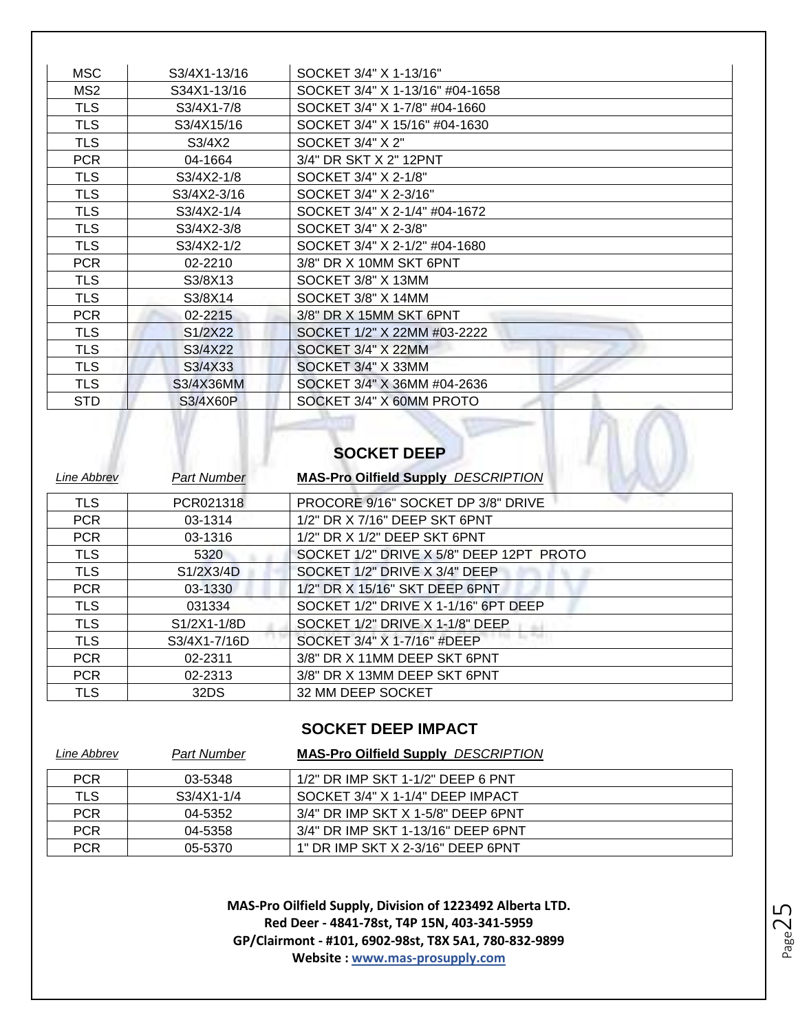| <b>MSC</b>      | S3/4X1-13/16 | SOCKET 3/4" X 1-13/16"          |
|-----------------|--------------|---------------------------------|
| MS <sub>2</sub> | S34X1-13/16  | SOCKET 3/4" X 1-13/16" #04-1658 |
| <b>TLS</b>      | S3/4X1-7/8   | SOCKET 3/4" X 1-7/8" #04-1660   |
| <b>TLS</b>      | S3/4X15/16   | SOCKET 3/4" X 15/16" #04-1630   |
| <b>TLS</b>      | S3/4X2       | SOCKET 3/4" X 2"                |
| <b>PCR</b>      | 04-1664      | 3/4" DR SKT X 2" 12PNT          |
| <b>TLS</b>      | $S3/4X2-1/8$ | SOCKET 3/4" X 2-1/8"            |
| <b>TLS</b>      | S3/4X2-3/16  | SOCKET 3/4" X 2-3/16"           |
| <b>TLS</b>      | S3/4X2-1/4   | SOCKET 3/4" X 2-1/4" #04-1672   |
| <b>TLS</b>      | S3/4X2-3/8   | SOCKET 3/4" X 2-3/8"            |
| <b>TLS</b>      | S3/4X2-1/2   | SOCKET 3/4" X 2-1/2" #04-1680   |
| <b>PCR</b>      | 02-2210      | 3/8" DR X 10MM SKT 6PNT         |
| <b>TLS</b>      | S3/8X13      | SOCKET 3/8" X 13MM              |
| <b>TLS</b>      | S3/8X14      | SOCKET 3/8" X 14MM              |
| <b>PCR</b>      | 02-2215      | 3/8" DR X 15MM SKT 6PNT         |
| <b>TLS</b>      | S1/2X22      | SOCKET 1/2" X 22MM #03-2222     |
| <b>TLS</b>      | S3/4X22      | SOCKET 3/4" X 22MM              |
| <b>TLS</b>      | S3/4X33      | SOCKET 3/4" X 33MM              |
| <b>TLS</b>      | S3/4X36MM    | SOCKET 3/4" X 36MM #04-2636     |
| <b>STD</b>      | S3/4X60P     | SOCKET 3/4" X 60MM PROTO        |
|                 |              | <b>SOCKET DEEP</b>              |

| Line Abbrev | <b>Part Number</b> | <b>MAS-Pro Oilfield Supply DESCRIPTION</b> |
|-------------|--------------------|--------------------------------------------|
| <b>TLS</b>  | PCR021318          | PROCORE 9/16" SOCKET DP 3/8" DRIVE         |
| <b>PCR</b>  | 03-1314            | 1/2" DR X 7/16" DEEP SKT 6PNT              |
| <b>PCR</b>  | 03-1316            | 1/2" DR X 1/2" DEEP SKT 6PNT               |
| <b>TLS</b>  | 5320               | SOCKET 1/2" DRIVE X 5/8" DEEP 12PT PROTO   |
| <b>TLS</b>  | S1/2X3/4D          | SOCKET 1/2" DRIVE X 3/4" DEEP              |
| <b>PCR</b>  | 03-1330            | 1/2" DR X 15/16" SKT DEEP 6PNT             |
| <b>TLS</b>  | 031334             | SOCKET 1/2" DRIVE X 1-1/16" 6PT DEEP       |
| <b>TLS</b>  | S1/2X1-1/8D        | SOCKET 1/2" DRIVE X 1-1/8" DEEP            |
| <b>TLS</b>  | S3/4X1-7/16D       | SOCKET 3/4" X 1-7/16" #DEEP                |
| <b>PCR</b>  | 02-2311            | 3/8" DR X 11MM DEEP SKT 6PNT               |
| <b>PCR</b>  | 02-2313            | 3/8" DR X 13MM DEEP SKT 6PNT               |
| TLS         | 32DS               | 32 MM DEEP SOCKET                          |

#### **SOCKET DEEP IMPACT**

| Line Abbrev | <b>Part Number</b> | <b>MAS-Pro Oilfield Supply DESCRIPTION</b> |
|-------------|--------------------|--------------------------------------------|
| <b>PCR</b>  | 03-5348            | 1/2" DR IMP SKT 1-1/2" DEEP 6 PNT          |
| <b>TLS</b>  | S3/4X1-1/4         | SOCKET 3/4" X 1-1/4" DEEP IMPACT           |
| <b>PCR</b>  | 04-5352            | 3/4" DR IMP SKT X 1-5/8" DEEP 6PNT         |
| <b>PCR</b>  | 04-5358            | 3/4" DR IMP SKT 1-13/16" DEEP 6PNT         |
| <b>PCR</b>  | 05-5370            | 1" DR IMP SKT X 2-3/16" DEEP 6PNT          |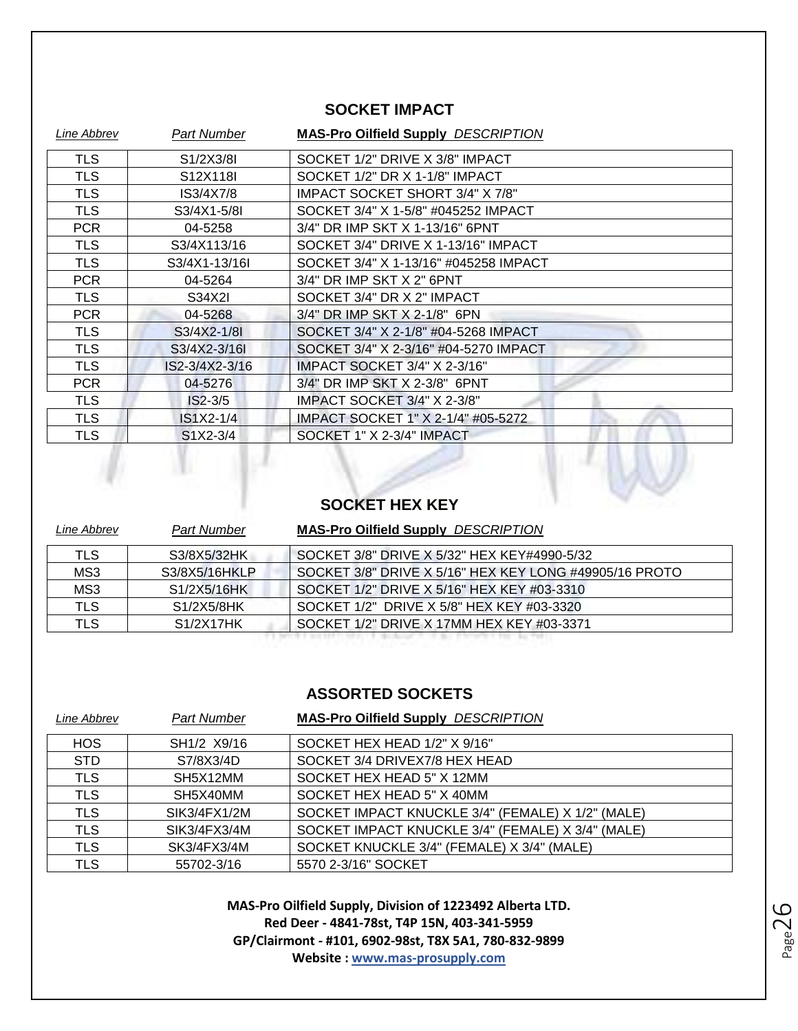#### **SOCKET IMPACT**

| <b>Line Abbrev</b> | Part Number    | <b>MAS-Pro Oilfield Supply DESCRIPTION</b> |
|--------------------|----------------|--------------------------------------------|
| <b>TLS</b>         | S1/2X3/8I      | SOCKET 1/2" DRIVE X 3/8" IMPACT            |
| <b>TLS</b>         | S12X118I       | SOCKET 1/2" DR X 1-1/8" IMPACT             |
| <b>TLS</b>         | IS3/4X7/8      | IMPACT SOCKET SHORT 3/4" X 7/8"            |
| <b>TLS</b>         | S3/4X1-5/8I    | SOCKET 3/4" X 1-5/8" #045252 IMPACT        |
| <b>PCR</b>         | 04-5258        | 3/4" DR IMP SKT X 1-13/16" 6PNT            |
| <b>TLS</b>         | S3/4X113/16    | SOCKET 3/4" DRIVE X 1-13/16" IMPACT        |
| <b>TLS</b>         | S3/4X1-13/16I  | SOCKET 3/4" X 1-13/16" #045258 IMPACT      |
| <b>PCR</b>         | 04-5264        | 3/4" DR IMP SKT X 2" 6PNT                  |
| <b>TLS</b>         | S34X2I         | SOCKET 3/4" DR X 2" IMPACT                 |
| <b>PCR</b>         | 04-5268        | 3/4" DR IMP SKT X 2-1/8" 6PN               |
| <b>TLS</b>         | S3/4X2-1/8I    | SOCKET 3/4" X 2-1/8" #04-5268 IMPACT       |
| <b>TLS</b>         | S3/4X2-3/16I   | SOCKET 3/4" X 2-3/16" #04-5270 IMPACT      |
| <b>TLS</b>         | IS2-3/4X2-3/16 | IMPACT SOCKET 3/4" X 2-3/16"               |
| <b>PCR</b>         | 04-5276        | 3/4" DR IMP SKT X 2-3/8" 6PNT              |
| <b>TLS</b>         | $IS2-3/5$      | IMPACT SOCKET 3/4" X 2-3/8"                |
| <b>TLS</b>         | $IS1X2-1/4$    | IMPACT SOCKET 1" X 2-1/4" #05-5272         |
| <b>TLS</b>         | S1X2-3/4       | SOCKET 1" X 2-3/4" IMPACT                  |
|                    |                |                                            |

#### **SOCKET HEX KEY**

| Line Abbrev | <b>Part Number</b> | <b>MAS-Pro Oilfield Supply DESCRIPTION</b>             |
|-------------|--------------------|--------------------------------------------------------|
| TLS         | S3/8X5/32HK        | SOCKET 3/8" DRIVE X 5/32" HEX KEY#4990-5/32            |
| MS3         | S3/8X5/16HKLP      | SOCKET 3/8" DRIVE X 5/16" HEX KEY LONG #49905/16 PROTO |
| MS3         | S1/2X5/16HK        | SOCKET 1/2" DRIVE X 5/16" HEX KEY #03-3310             |
| <b>TLS</b>  | S1/2X5/8HK         | SOCKET 1/2" DRIVE X 5/8" HEX KEY #03-3320              |
| TLS         | S1/2X17HK          | SOCKET 1/2" DRIVE X 17MM HEX KEY #03-3371              |
|             |                    |                                                        |

#### **ASSORTED SOCKETS**

| Line Abbrev | <b>Part Number</b> | <b>MAS-Pro Oilfield Supply DESCRIPTION</b>        |
|-------------|--------------------|---------------------------------------------------|
| <b>HOS</b>  | SH1/2 X9/16        | SOCKET HEX HEAD 1/2" X 9/16"                      |
| <b>STD</b>  | S7/8X3/4D          | SOCKET 3/4 DRIVEX7/8 HEX HEAD                     |
| <b>TLS</b>  | SH5X12MM           | SOCKET HEX HEAD 5" X 12MM                         |
| <b>TLS</b>  | SH5X40MM           | SOCKET HEX HEAD 5" X 40MM                         |
| <b>TLS</b>  | SIK3/4FX1/2M       | SOCKET IMPACT KNUCKLE 3/4" (FEMALE) X 1/2" (MALE) |
| <b>TLS</b>  | SIK3/4FX3/4M       | SOCKET IMPACT KNUCKLE 3/4" (FEMALE) X 3/4" (MALE) |
| <b>TLS</b>  | SK3/4FX3/4M        | SOCKET KNUCKLE 3/4" (FEMALE) X 3/4" (MALE)        |
| <b>TLS</b>  | 55702-3/16         | 5570 2-3/16" SOCKET                               |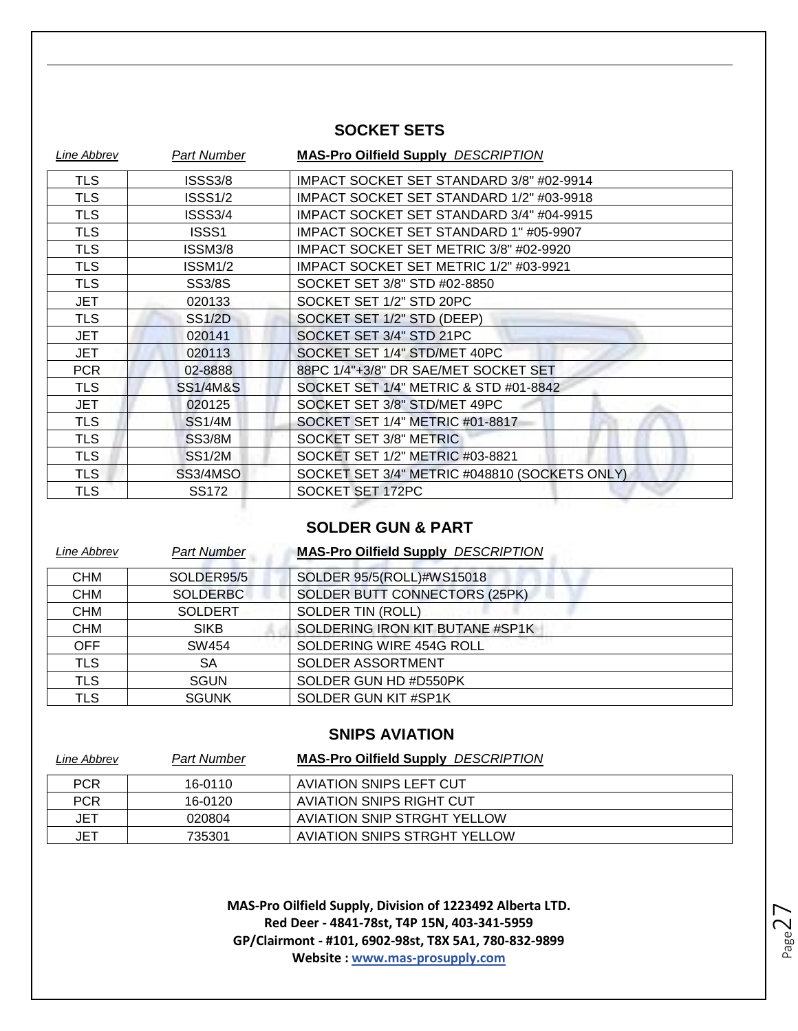#### **SOCKET SETS**

| Line Abbrev | Part Number         | <b>MAS-Pro Oilfield Supply DESCRIPTION</b>    |
|-------------|---------------------|-----------------------------------------------|
| <b>TLS</b>  | <b>ISSS3/8</b>      | IMPACT SOCKET SET STANDARD 3/8" #02-9914      |
| <b>TLS</b>  | ISSS1/2             | IMPACT SOCKET SET STANDARD 1/2" #03-9918      |
| <b>TLS</b>  | <b>ISSS3/4</b>      | IMPACT SOCKET SET STANDARD 3/4" #04-9915      |
| <b>TLS</b>  | ISSS1               | IMPACT SOCKET SET STANDARD 1" #05-9907        |
| <b>TLS</b>  | ISSM3/8             | IMPACT SOCKET SET METRIC 3/8" #02-9920        |
| <b>TLS</b>  | ISSM1/2             | IMPACT SOCKET SET METRIC 1/2" #03-9921        |
| <b>TLS</b>  | <b>SS3/8S</b>       | SOCKET SET 3/8" STD #02-8850                  |
| <b>JET</b>  | 020133              | SOCKET SET 1/2" STD 20PC                      |
| <b>TLS</b>  | <b>SS1/2D</b>       | SOCKET SET 1/2" STD (DEEP)                    |
| JET         | 020141              | SOCKET SET 3/4" STD 21PC                      |
| JET         | 020113              | SOCKET SET 1/4" STD/MET 40PC                  |
| <b>PCR</b>  | 02-8888             | 88PC 1/4"+3/8" DR SAE/MET SOCKET SET          |
| <b>TLS</b>  | <b>SS1/4M&amp;S</b> | SOCKET SET 1/4" METRIC & STD #01-8842         |
| <b>JET</b>  | 020125              | SOCKET SET 3/8" STD/MET 49PC                  |
| <b>TLS</b>  | <b>SS1/4M</b>       | SOCKET SET 1/4" METRIC #01-8817               |
| <b>TLS</b>  | <b>SS3/8M</b>       | SOCKET SET 3/8" METRIC                        |
| <b>TLS</b>  | <b>SS1/2M</b>       | SOCKET SET 1/2" METRIC #03-8821               |
| <b>TLS</b>  | SS3/4MSO            | SOCKET SET 3/4" METRIC #048810 (SOCKETS ONLY) |
| <b>TLS</b>  | <b>SS172</b>        | SOCKET SET 172PC                              |
|             |                     |                                               |

#### **SOLDER GUN & PART**

| Line Abbrev | <b>Part Number</b> | <b>MAS-Pro Oilfield Supply DESCRIPTION</b> |
|-------------|--------------------|--------------------------------------------|
| <b>CHM</b>  | SOLDER95/5         | SOLDER 95/5(ROLL)#WS15018                  |
| <b>CHM</b>  | <b>SOLDERBC</b>    | SOLDER BUTT CONNECTORS (25PK)              |
| <b>CHM</b>  | <b>SOLDERT</b>     | <b>SOLDER TIN (ROLL)</b>                   |
| <b>CHM</b>  | <b>SIKB</b>        | SOLDERING IRON KIT BUTANE #SP1K            |
| <b>OFF</b>  | SW454              | SOLDERING WIRE 454G ROLL                   |
| <b>TLS</b>  | SA                 | <b>SOLDER ASSORTMENT</b>                   |
| <b>TLS</b>  | <b>SGUN</b>        | SOLDER GUN HD #D550PK                      |
| <b>TLS</b>  | <b>SGUNK</b>       | SOLDER GUN KIT #SP1K                       |

#### **SNIPS AVIATION**

| Line Abbrev | <b>Part Number</b> | <b>MAS-Pro Oilfield Supply DESCRIPTION</b> |
|-------------|--------------------|--------------------------------------------|
| <b>PCR</b>  | 16-0110            | AVIATION SNIPS LEFT CUT                    |
| <b>PCR</b>  | 16-0120            | AVIATION SNIPS RIGHT CUT                   |
| JET         | 020804             | AVIATION SNIP STRGHT YELLOW                |
| JET         | 735301             | AVIATION SNIPS STRGHT YELLOW               |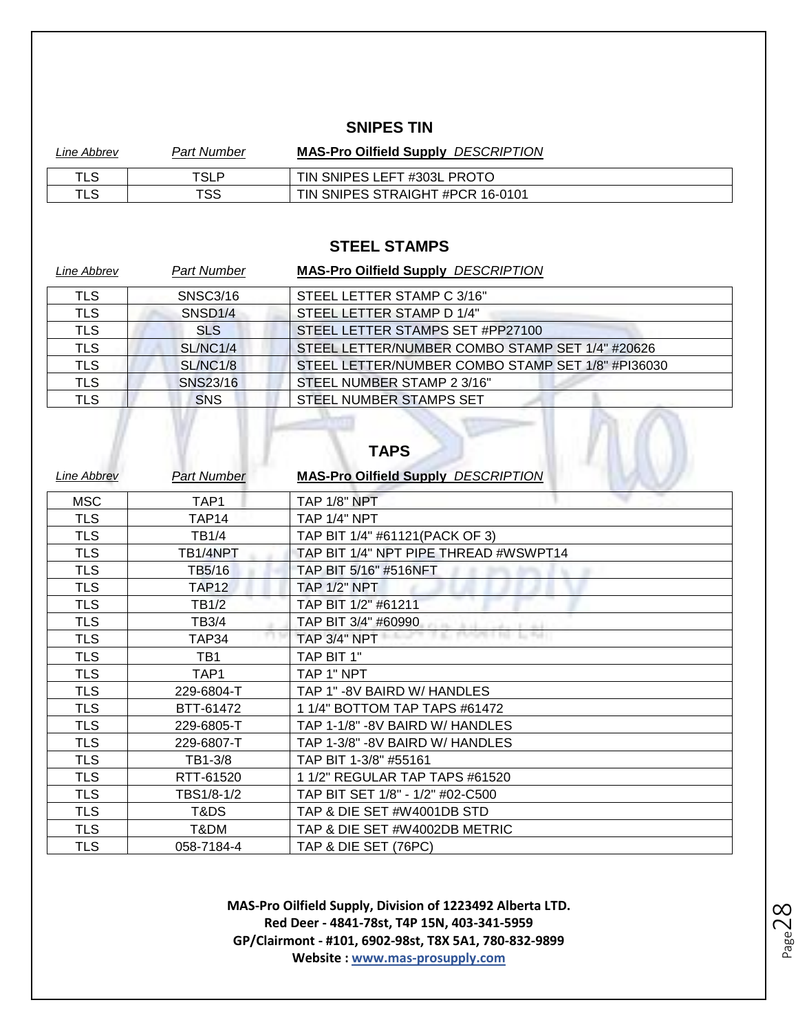#### **SNIPES TIN**

| Line Abbrev | <b>Part Number</b> | <b>MAS-Pro Oilfield Supply DESCRIPTION</b> |
|-------------|--------------------|--------------------------------------------|
| TLS         | TSLP               | TIN SNIPES LEFT #303L PROTO                |
| TLS         | TSS                | TIN SNIPES STRAIGHT #PCR 16-0101           |

#### **STEEL STAMPS**

| Line Abbrev | <b>Part Number</b>  | <b>MAS-Pro Oilfield Supply DESCRIPTION</b>        |
|-------------|---------------------|---------------------------------------------------|
| <b>TLS</b>  | <b>SNSC3/16</b>     | STEEL LETTER STAMP C 3/16"                        |
| <b>TLS</b>  | SNSD <sub>1/4</sub> | STEEL LETTER STAMP D 1/4"                         |
| TLS         | <b>SLS</b>          | STEEL LETTER STAMPS SET #PP27100                  |
| <b>TLS</b>  | SL/NC1/4            | STEEL LETTER/NUMBER COMBO STAMP SET 1/4" #20626   |
| <b>TLS</b>  | <b>SL/NC1/8</b>     | STEEL LETTER/NUMBER COMBO STAMP SET 1/8" #PI36030 |
| <b>TLS</b>  | SNS23/16            | STEEL NUMBER STAMP 2 3/16"                        |
| <b>TLS</b>  | <b>SNS</b>          | STEEL NUMBER STAMPS SET                           |
|             |                     | <b>TAPS</b>                                       |

| Line Abbrev | <b>Part Number</b> | <b>MAS-Pro Oilfield Supply DESCRIPTION</b> |
|-------------|--------------------|--------------------------------------------|
| <b>MSC</b>  | TAP1               | <b>TAP 1/8" NPT</b>                        |
| <b>TLS</b>  | TAP14              | <b>TAP 1/4" NPT</b>                        |
| <b>TLS</b>  | <b>TB1/4</b>       | TAP BIT 1/4" #61121 (PACK OF 3)            |
| <b>TLS</b>  | TB1/4NPT           | TAP BIT 1/4" NPT PIPE THREAD #WSWPT14      |
| <b>TLS</b>  | TB5/16             | TAP BIT 5/16" #516NFT                      |
| <b>TLS</b>  | <b>TAP12</b>       | <b>TAP 1/2" NPT</b>                        |
| <b>TLS</b>  | <b>TB1/2</b>       | TAP BIT 1/2" #61211                        |
| <b>TLS</b>  | TB3/4              | TAP BIT 3/4" #60990                        |
| <b>TLS</b>  | TAP34              | <b>TAP 3/4" NPT</b>                        |
| <b>TLS</b>  | TB1                | TAP BIT 1"                                 |
| <b>TLS</b>  | TAP1               | TAP 1" NPT                                 |
| <b>TLS</b>  | 229-6804-T         | TAP 1" -8V BAIRD W/ HANDLES                |
| <b>TLS</b>  | BTT-61472          | 1 1/4" BOTTOM TAP TAPS #61472              |
| <b>TLS</b>  | 229-6805-T         | TAP 1-1/8" -8V BAIRD W/ HANDLES            |
| <b>TLS</b>  | 229-6807-T         | TAP 1-3/8" -8V BAIRD W/ HANDLES            |
| <b>TLS</b>  | TB1-3/8            | TAP BIT 1-3/8" #55161                      |
| <b>TLS</b>  | RTT-61520          | 1 1/2" REGULAR TAP TAPS #61520             |
| <b>TLS</b>  | TBS1/8-1/2         | TAP BIT SET 1/8" - 1/2" #02-C500           |
| <b>TLS</b>  | T&DS               | TAP & DIE SET #W4001DB STD                 |
| <b>TLS</b>  | T&DM               | TAP & DIE SET #W4002DB METRIC              |
| <b>TLS</b>  | 058-7184-4         | TAP & DIE SET (76PC)                       |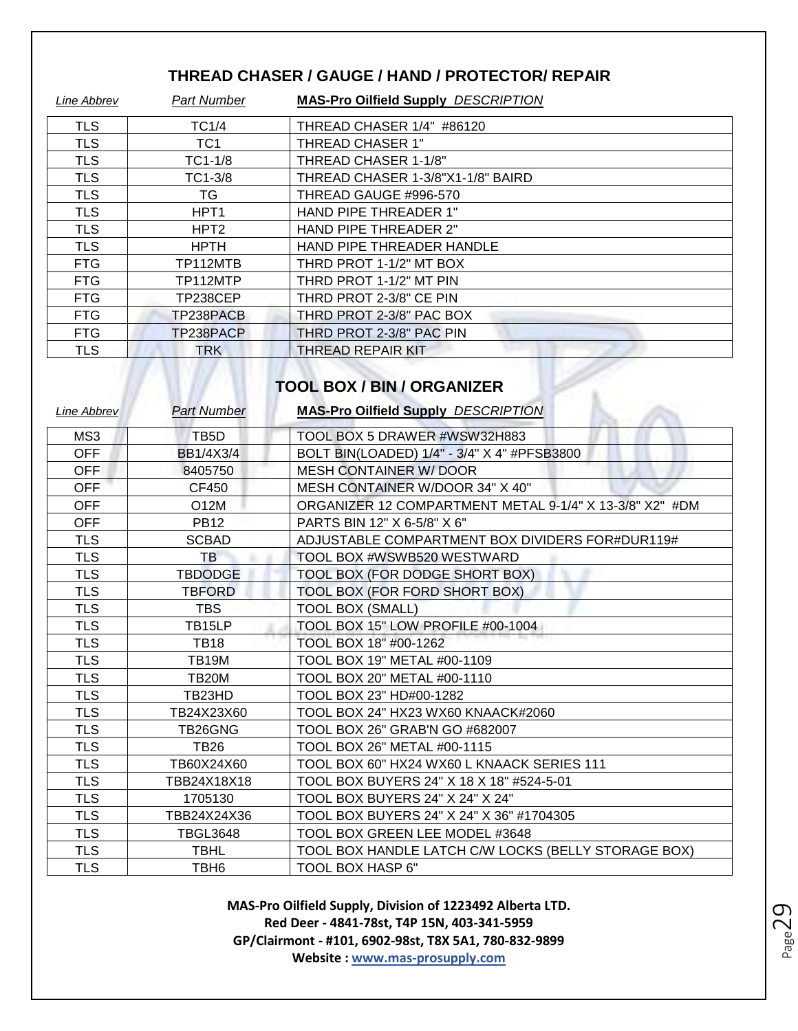#### **THREAD CHASER / GAUGE / HAND / PROTECTOR/ REPAIR**

| Line Abbrev | <b>Part Number</b> | <b>MAS-Pro Oilfield Supply DESCRIPTION</b> |
|-------------|--------------------|--------------------------------------------|
| <b>TLS</b>  | TC1/4              | THREAD CHASER 1/4" #86120                  |
| <b>TLS</b>  | TC <sub>1</sub>    | <b>THREAD CHASER 1"</b>                    |
| <b>TLS</b>  | $TC1-1/8$          | THREAD CHASER 1-1/8"                       |
| <b>TLS</b>  | TC1-3/8            | THREAD CHASER 1-3/8"X1-1/8" BAIRD          |
| <b>TLS</b>  | TG                 | THREAD GAUGE #996-570                      |
| <b>TLS</b>  | HPT <sub>1</sub>   | HAND PIPE THREADER 1"                      |
| <b>TLS</b>  | HPT <sub>2</sub>   | HAND PIPE THREADER 2"                      |
| <b>TLS</b>  | <b>HPTH</b>        | HAND PIPE THREADER HANDLE                  |
| <b>FTG</b>  | TP112MTB           | THRD PROT 1-1/2" MT BOX                    |
| <b>FTG</b>  | TP112MTP           | THRD PROT 1-1/2" MT PIN                    |
| <b>FTG</b>  | TP238CEP           | THRD PROT 2-3/8" CE PIN                    |
| <b>FTG</b>  | TP238PACB          | THRD PROT 2-3/8" PAC BOX                   |
| <b>FTG</b>  | TP238PACP          | THRD PROT 2-3/8" PAC PIN                   |
| <b>TLS</b>  | <b>TRK</b>         | THREAD REPAIR KIT                          |

# **TOOL BOX / BIN / ORGANIZER**

7

| Line Abbrev | <b>Part Number</b> | <b>MAS-Pro Oilfield Supply DESCRIPTION</b>              |
|-------------|--------------------|---------------------------------------------------------|
| MS3         | TB <sub>5</sub> D  | TOOL BOX 5 DRAWER #WSW32H883                            |
| <b>OFF</b>  | <b>BB1/4X3/4</b>   | BOLT BIN(LOADED) 1/4" - 3/4" X 4" #PFSB3800             |
| <b>OFF</b>  | 8405750            | <b>MESH CONTAINER W/ DOOR</b>                           |
| OFF         | CF450              | MESH CONTAINER W/DOOR 34" X 40"                         |
| OFF         | O12M               | ORGANIZER 12 COMPARTMENT METAL 9-1/4" X 13-3/8" X2" #DM |
| OFF         | <b>PB12</b>        | PARTS BIN 12" X 6-5/8" X 6"                             |
| <b>TLS</b>  | <b>SCBAD</b>       | ADJUSTABLE COMPARTMENT BOX DIVIDERS FOR#DUR119#         |
| <b>TLS</b>  | TB                 | TOOL BOX #WSWB520 WESTWARD                              |
| <b>TLS</b>  | <b>TBDODGE</b>     | TOOL BOX (FOR DODGE SHORT BOX)                          |
| <b>TLS</b>  | <b>TBFORD</b>      | TOOL BOX (FOR FORD SHORT BOX)                           |
| <b>TLS</b>  | <b>TBS</b>         | <b>TOOL BOX (SMALL)</b>                                 |
| <b>TLS</b>  | TB15LP             | TOOL BOX 15" LOW PROFILE #00-1004                       |
| <b>TLS</b>  | <b>TB18</b>        | TOOL BOX 18" #00-1262                                   |
| <b>TLS</b>  | <b>TB19M</b>       | TOOL BOX 19" METAL #00-1109                             |
| <b>TLS</b>  | TB20M              | TOOL BOX 20" METAL #00-1110                             |
| <b>TLS</b>  | TB23HD             | TOOL BOX 23" HD#00-1282                                 |
| <b>TLS</b>  | TB24X23X60         | TOOL BOX 24" HX23 WX60 KNAACK#2060                      |
| <b>TLS</b>  | TB26GNG            | TOOL BOX 26" GRAB'N GO #682007                          |
| <b>TLS</b>  | <b>TB26</b>        | TOOL BOX 26" METAL #00-1115                             |
| <b>TLS</b>  | TB60X24X60         | TOOL BOX 60" HX24 WX60 L KNAACK SERIES 111              |
| <b>TLS</b>  | TBB24X18X18        | TOOL BOX BUYERS 24" X 18 X 18" #524-5-01                |
| <b>TLS</b>  | 1705130            | TOOL BOX BUYERS 24" X 24" X 24"                         |
| <b>TLS</b>  | TBB24X24X36        | TOOL BOX BUYERS 24" X 24" X 36" #1704305                |
| <b>TLS</b>  | <b>TBGL3648</b>    | TOOL BOX GREEN LEE MODEL #3648                          |
| <b>TLS</b>  | <b>TBHL</b>        | TOOL BOX HANDLE LATCH C/W LOCKS (BELLY STORAGE BOX)     |
| <b>TLS</b>  | TBH <sub>6</sub>   | TOOL BOX HASP 6"                                        |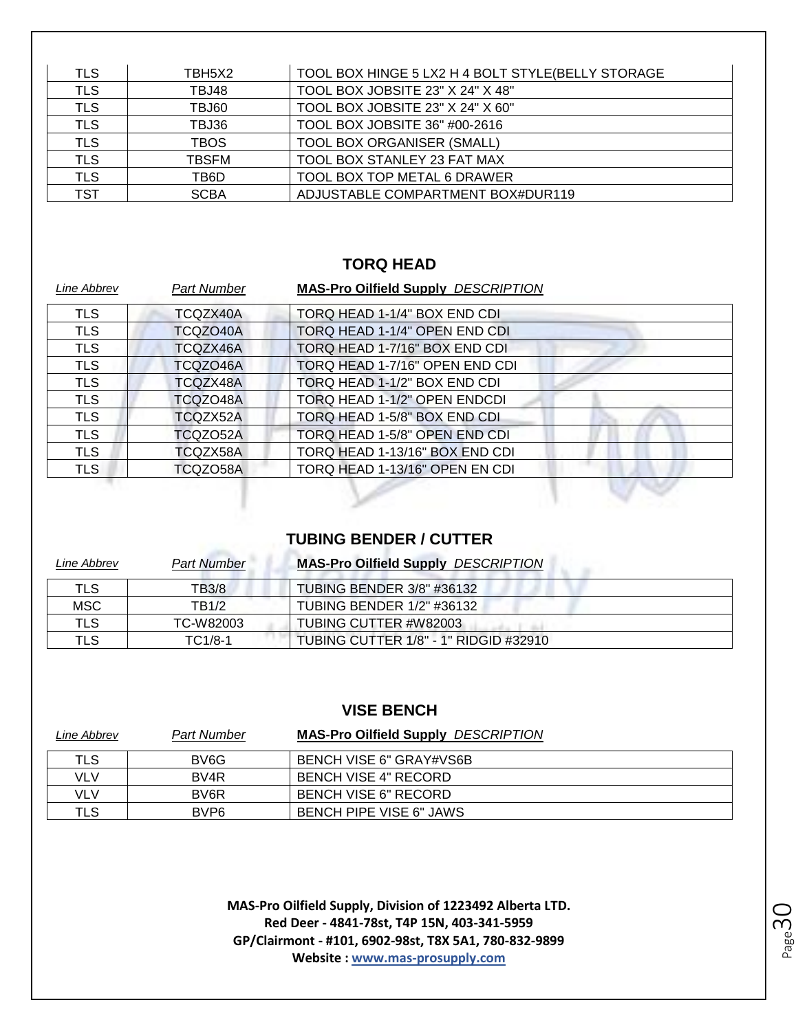| <b>TLS</b> | TBH5X2      | TOOL BOX HINGE 5 LX2 H 4 BOLT STYLE(BELLY STORAGE |
|------------|-------------|---------------------------------------------------|
| <b>TLS</b> | TBJ48       | TOOL BOX JOBSITE 23" X 24" X 48"                  |
| <b>TLS</b> | TBJ60       | TOOL BOX JOBSITE 23" X 24" X 60"                  |
| <b>TLS</b> | TBJ36       | TOOL BOX JOBSITE 36" #00-2616                     |
| <b>TLS</b> | <b>TBOS</b> | <b>TOOL BOX ORGANISER (SMALL)</b>                 |
| <b>TLS</b> | TBSFM       | TOOL BOX STANLEY 23 FAT MAX                       |
| <b>TLS</b> | TB6D        | TOOL BOX TOP METAL 6 DRAWER                       |
| TST        | <b>SCBA</b> | ADJUSTABLE COMPARTMENT BOX#DUR119                 |

#### **TORQ HEAD**

| Line Abbrev | <b>Part Number</b> | <b>MAS-Pro Oilfield Supply DESCRIPTION</b> |
|-------------|--------------------|--------------------------------------------|
| <b>TLS</b>  | TCQZX40A           | TORQ HEAD 1-1/4" BOX END CDI               |
| <b>TLS</b>  | TCQZO40A           | TORQ HEAD 1-1/4" OPEN END CDI              |
| <b>TLS</b>  | TCQZX46A           | TORQ HEAD 1-7/16" BOX END CDI              |
| <b>TLS</b>  | TCQZO46A           | TORQ HEAD 1-7/16" OPEN END CDI             |
| <b>TLS</b>  | TCQZX48A           | TORQ HEAD 1-1/2" BOX END CDI               |
| <b>TLS</b>  | TCQZO48A           | TORQ HEAD 1-1/2" OPEN ENDCDI               |
| <b>TLS</b>  | TCQZX52A           | TORQ HEAD 1-5/8" BOX END CDI               |
| <b>TLS</b>  | TCQZO52A           | TORQ HEAD 1-5/8" OPEN END CDI              |
| <b>TLS</b>  | TCQZX58A           | TORQ HEAD 1-13/16" BOX END CDI             |
| <b>TLS</b>  | TCQZO58A           | TORQ HEAD 1-13/16" OPEN EN CDI             |
|             |                    |                                            |

#### **TUBING BENDER / CUTTER**

| Line Abbrev | <b>Part Number</b> | <b>MAS-Pro Oilfield Supply DESCRIPTION</b> |
|-------------|--------------------|--------------------------------------------|
| TLS         | TB3/8              | TUBING BENDER 3/8" #36132                  |
| MSC         | TB1/2              | TUBING BENDER 1/2" #36132                  |
| <b>TLS</b>  | TC-W82003          | TUBING CUTTER #W82003                      |
| TLS         | $TC1/8-1$          | TUBING CUTTER 1/8" - 1" RIDGID #32910      |

#### **VISE BENCH**

| Line Abbrev | <b>Part Number</b> | <b>MAS-Pro Oilfield Supply DESCRIPTION</b> |
|-------------|--------------------|--------------------------------------------|
| TLS         | BV6G               | BENCH VISE 6" GRAY#VS6B                    |
| VLV         | BV4R               | BENCH VISE 4" RECORD                       |
| VLV         | BV <sub>6</sub> R  | <b>BENCH VISE 6" RECORD</b>                |
| <b>TLS</b>  | BVP <sub>6</sub>   | BENCH PIPE VISE 6" JAWS                    |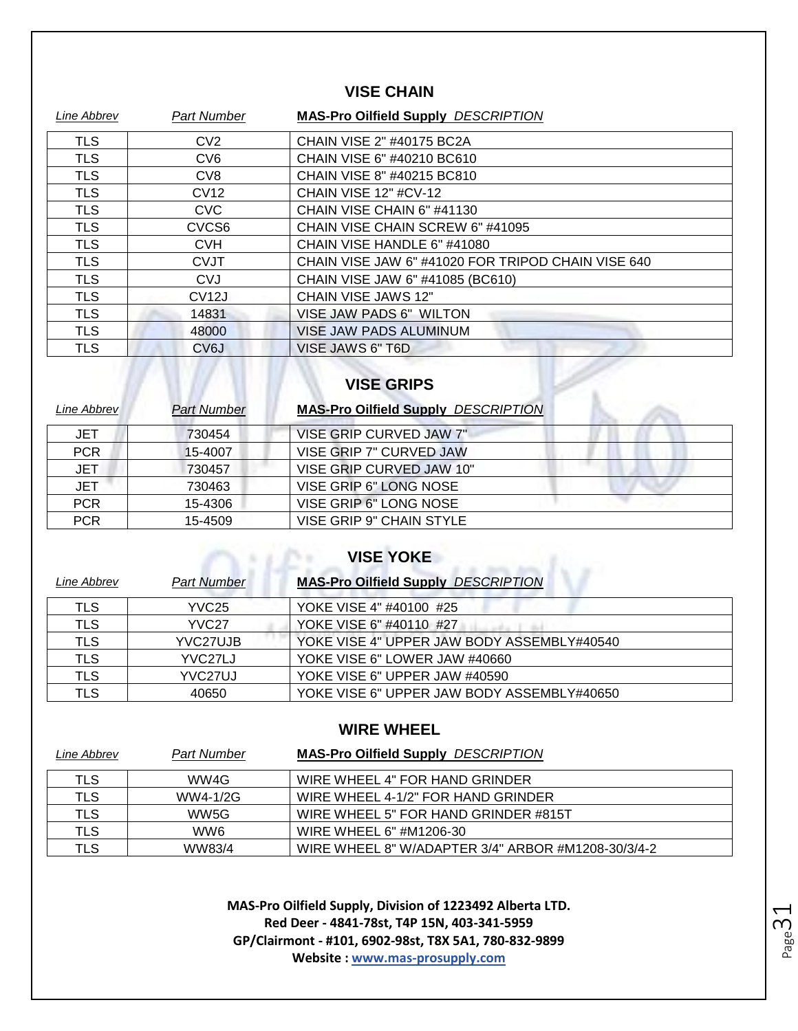#### **VISE CHAIN**

| Line Abbrev | <b>Part Number</b> | <b>MAS-Pro Oilfield Supply DESCRIPTION</b>         |
|-------------|--------------------|----------------------------------------------------|
| <b>TLS</b>  | CV <sub>2</sub>    | CHAIN VISE 2" #40175 BC2A                          |
| <b>TLS</b>  | CV <sub>6</sub>    | CHAIN VISE 6" #40210 BC610                         |
| <b>TLS</b>  | CV <sub>8</sub>    | CHAIN VISE 8" #40215 BC810                         |
| <b>TLS</b>  | CV <sub>12</sub>   | CHAIN VISE 12" #CV-12                              |
| <b>TLS</b>  | <b>CVC</b>         | CHAIN VISE CHAIN 6" #41130                         |
| <b>TLS</b>  | CVCS <sub>6</sub>  | CHAIN VISE CHAIN SCREW 6" #41095                   |
| <b>TLS</b>  | <b>CVH</b>         | CHAIN VISE HANDLE 6" #41080                        |
| <b>TLS</b>  | <b>CVJT</b>        | CHAIN VISE JAW 6" #41020 FOR TRIPOD CHAIN VISE 640 |
| <b>TLS</b>  | <b>CVJ</b>         | CHAIN VISE JAW 6" #41085 (BC610)                   |
| <b>TLS</b>  | CV <sub>12</sub> J | CHAIN VISE JAWS 12"                                |
| <b>TLS</b>  | 14831              | VISE JAW PADS 6" WILTON                            |
| <b>TLS</b>  | 48000              | <b>VISE JAW PADS ALUMINUM</b>                      |
| <b>TLS</b>  | CV6J               | VISE JAWS 6" T6D                                   |

# **VISE GRIPS**

| Line Abbrev | <b>Part Number</b> | <b>MAS-Pro Oilfield Supply DESCRIPTION</b> |
|-------------|--------------------|--------------------------------------------|
| JET         | 730454             | VISE GRIP CURVED JAW 7"                    |
| <b>PCR</b>  | 15-4007            | VISE GRIP 7" CURVED JAW                    |
| <b>JET</b>  | 730457             | VISE GRIP CURVED JAW 10"                   |
| <b>JET</b>  | 730463             | VISE GRIP 6" LONG NOSE                     |
| <b>PCR</b>  | 15-4306            | VISE GRIP 6" LONG NOSE                     |
| <b>PCR</b>  | 15-4509            | VISE GRIP 9" CHAIN STYLE                   |

## **VISE YOKE**

| Line Abbrev | <b>Part Number</b>   | <b>MAS-Pro Oilfield Supply DESCRIPTION</b> |
|-------------|----------------------|--------------------------------------------|
| TLS         | YVC <sub>25</sub>    | YOKE VISE 4" #40100 #25                    |
| <b>TLS</b>  | YVC <sub>27</sub>    | YOKE VISE 6" #40110 #27                    |
| <b>TLS</b>  | YVC27UJB             | YOKE VISE 4" UPPER JAW BODY ASSEMBLY#40540 |
| <b>TLS</b>  | YVC <sub>27LJ</sub>  | YOKE VISE 6" LOWER JAW #40660              |
| <b>TLS</b>  | YVC <sub>27</sub> UJ | YOKE VISE 6" UPPER JAW #40590              |
| <b>TLS</b>  | 40650                | YOKE VISE 6" UPPER JAW BODY ASSEMBLY#40650 |

#### **WIRE WHEEL**

| Line Abbrev | <b>Part Number</b> | <b>MAS-Pro Oilfield Supply DESCRIPTION</b>         |
|-------------|--------------------|----------------------------------------------------|
| TLS         | WW4G               | WIRE WHEEL 4" FOR HAND GRINDER                     |
| TLS         | WW4-1/2G           | WIRE WHEEL 4-1/2" FOR HAND GRINDER                 |
| <b>TLS</b>  | WW5G               | WIRE WHEEL 5" FOR HAND GRINDER #815T               |
| <b>TLS</b>  | WW6                | WIRE WHEEL 6" #M1206-30                            |
| <b>TLS</b>  | WW83/4             | WIRE WHEEL 8" W/ADAPTER 3/4" ARBOR #M1208-30/3/4-2 |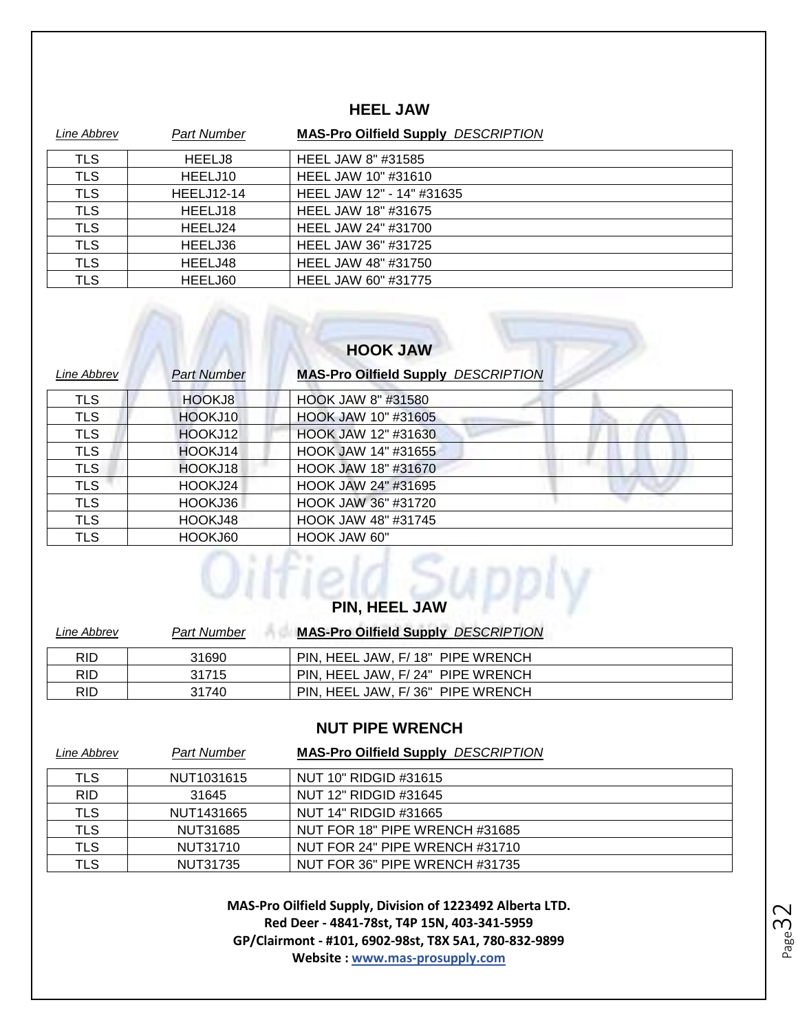#### **HEEL JAW**

| Line Abbrev | <b>Part Number</b> | <b>MAS-Pro Oilfield Supply DESCRIPTION</b> |
|-------------|--------------------|--------------------------------------------|
| TLS         | HEELJ8             | HEEL JAW 8" #31585                         |
| <b>TLS</b>  | HEELJ10            | HEEL JAW 10" #31610                        |
| <b>TLS</b>  | <b>HEELJ12-14</b>  | HEEL JAW 12" - 14" #31635                  |
| <b>TLS</b>  | HEELJ18            | HEEL JAW 18" #31675                        |
| <b>TLS</b>  | HEELJ24            | HEEL JAW 24" #31700                        |
| <b>TLS</b>  | HEELJ36            | HEEL JAW 36" #31725                        |
| <b>TLS</b>  | HEELJ48            | HEEL JAW 48" #31750                        |
| <b>TLS</b>  | HEELJ60            | HEEL JAW 60" #31775                        |

### **HOOK JAW**

| Line Abbrev | <b>Part Number</b> | <b>MAS-Pro Oilfield Supply DESCRIPTION</b> |  |
|-------------|--------------------|--------------------------------------------|--|
| <b>TLS</b>  | HOOKJ8             | HOOK JAW 8" #31580                         |  |
| <b>TLS</b>  | HOOKJ10            | HOOK JAW 10" #31605                        |  |
| <b>TLS</b>  | HOOKJ12            | HOOK JAW 12" #31630                        |  |
| <b>TLS</b>  | HOOKJ14            | HOOK JAW 14" #31655                        |  |
| <b>TLS</b>  | HOOKJ18            | HOOK JAW 18" #31670                        |  |
| <b>TLS</b>  | HOOKJ24            | HOOK JAW 24" #31695                        |  |
| <b>TLS</b>  | HOOKJ36            | HOOK JAW 36" #31720                        |  |
| <b>TLS</b>  | HOOKJ48            | HOOK JAW 48" #31745                        |  |
| <b>TLS</b>  | HOOKJ60            | HOOK JAW 60"                               |  |
|             |                    |                                            |  |

|             | <b>PIN, HEEL JAW</b> |                                            |  |
|-------------|----------------------|--------------------------------------------|--|
| Line Abbrev | <b>Part Number</b>   | <b>MAS-Pro Oilfield Supply DESCRIPTION</b> |  |
| <b>RID</b>  | 31690                | PIN, HEEL JAW, F/18" PIPE WRENCH           |  |
| <b>RID</b>  | 31715                | PIN. HEEL JAW. F/24" PIPE WRENCH           |  |
| <b>RID</b>  | 31740                | PIN. HEEL JAW. F/36" PIPE WRENCH           |  |
|             |                      |                                            |  |

#### **NUT PIPE WRENCH**

| Line Abbrev | Part Number | <b>MAS-Pro Oilfield Supply DESCRIPTION</b> |
|-------------|-------------|--------------------------------------------|
| TLS         | NUT1031615  | NUT 10" RIDGID #31615                      |
| <b>RID</b>  | 31645       | NUT 12" RIDGID #31645                      |
| TLS         | NUT1431665  | NUT 14" RIDGID #31665                      |
| <b>TLS</b>  | NUT31685    | NUT FOR 18" PIPE WRENCH #31685             |
| <b>TLS</b>  | NUT31710    | NUT FOR 24" PIPE WRENCH #31710             |
| TLS         | NUT31735    | NUT FOR 36" PIPE WRENCH #31735             |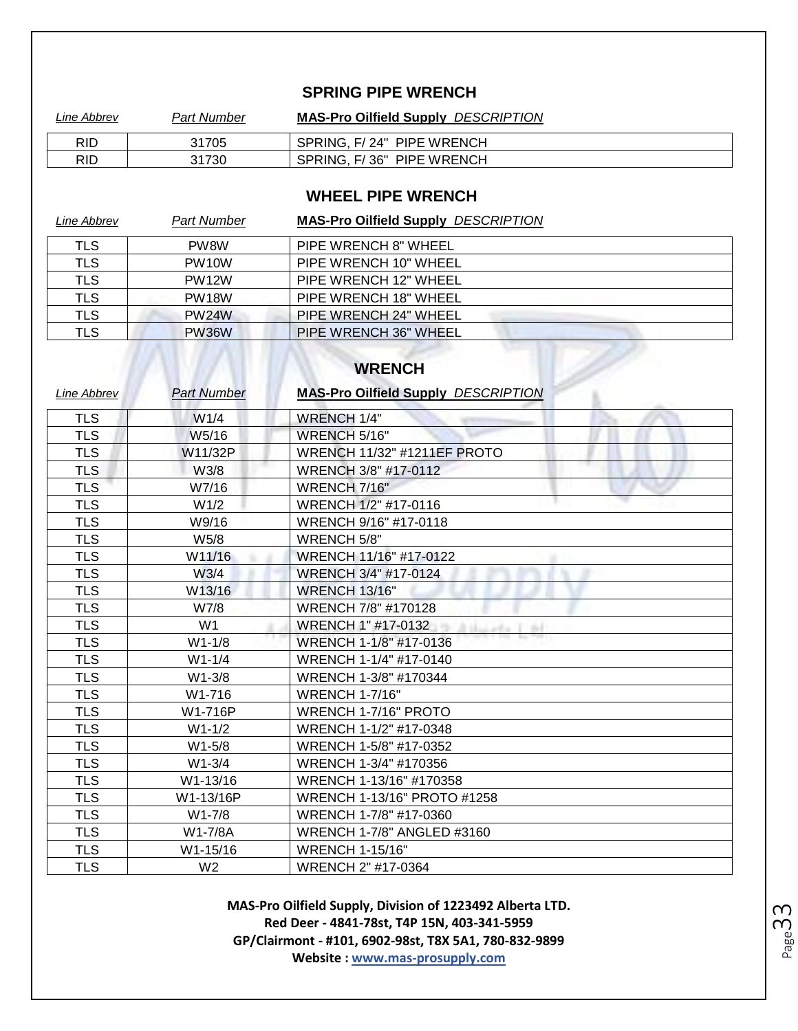#### **SPRING PIPE WRENCH**

| Line Abbrev | Part Number | <b>MAS-Pro Oilfield Supply DESCRIPTION</b> |
|-------------|-------------|--------------------------------------------|
| RID         | 31705       | SPRING, F/24" PIPE WRENCH                  |
| RID         | 31730       | SPRING, F/36" PIPE WRENCH                  |

#### **WHEEL PIPE WRENCH**

| Line Abbrev | <b>Part Number</b> | <b>MAS-Pro Oilfield Supply DESCRIPTION</b> |
|-------------|--------------------|--------------------------------------------|
| <b>TLS</b>  | PW <sub>8</sub> W  | PIPE WRENCH 8" WHEEL                       |
| <b>TLS</b>  | PW <sub>10</sub> W | PIPE WRENCH 10" WHEEL                      |
| <b>TLS</b>  | <b>PW12W</b>       | PIPE WRENCH 12" WHEEL                      |
| <b>TLS</b>  | PW <sub>18</sub> W | PIPE WRENCH 18" WHEEL                      |
| <b>TLS</b>  | <b>PW24W</b>       | PIPE WRENCH 24" WHEEL                      |
| <b>TLS</b>  | <b>PW36W</b>       | PIPE WRENCH 36" WHEEL                      |
|             |                    | <b>WRENCH</b>                              |

| <b>Line Abbrev</b> | <b>Part Number</b> | <b>MAS-Pro Oilfield Supply DESCRIPTION</b> |
|--------------------|--------------------|--------------------------------------------|
| <b>TLS</b>         | W1/4               | <b>WRENCH 1/4"</b>                         |
| <b>TLS</b>         | W5/16              | WRENCH 5/16"                               |
| <b>TLS</b>         | W11/32P            | <b>WRENCH 11/32" #1211EF PROTO</b>         |
| <b>TLS</b>         | W3/8               | WRENCH 3/8" #17-0112                       |
| <b>TLS</b>         | W7/16              | WRENCH 7/16"                               |
| <b>TLS</b>         | W <sub>1/2</sub>   | WRENCH 1/2" #17-0116                       |
| <b>TLS</b>         | W9/16              | WRENCH 9/16" #17-0118                      |
| <b>TLS</b>         | W5/8               | WRENCH 5/8"                                |
| <b>TLS</b>         | W11/16             | WRENCH 11/16" #17-0122                     |
| <b>TLS</b>         | W3/4               | WRENCH 3/4" #17-0124                       |
| <b>TLS</b>         | W13/16             | <b>WRENCH 13/16"</b>                       |
| <b>TLS</b>         | W7/8               | WRENCH 7/8" #170128                        |
| <b>TLS</b>         | W <sub>1</sub>     | WRENCH 1" #17-0132<br>Atlanta Line         |
| <b>TLS</b>         | $W1 - 1/8$         | WRENCH 1-1/8" #17-0136                     |
| <b>TLS</b>         | $W1 - 1/4$         | WRENCH 1-1/4" #17-0140                     |
| <b>TLS</b>         | $W1 - 3/8$         | WRENCH 1-3/8" #170344                      |
| <b>TLS</b>         | W1-716             | <b>WRENCH 1-7/16"</b>                      |
| <b>TLS</b>         | W1-716P            | WRENCH 1-7/16" PROTO                       |
| <b>TLS</b>         | $W1 - 1/2$         | WRENCH 1-1/2" #17-0348                     |
| <b>TLS</b>         | $W1 - 5/8$         | WRENCH 1-5/8" #17-0352                     |
| <b>TLS</b>         | $W1 - 3/4$         | WRENCH 1-3/4" #170356                      |
| <b>TLS</b>         | W1-13/16           | WRENCH 1-13/16" #170358                    |
| <b>TLS</b>         | W1-13/16P          | WRENCH 1-13/16" PROTO #1258                |
| <b>TLS</b>         | $W1 - 7/8$         | WRENCH 1-7/8" #17-0360                     |
| <b>TLS</b>         | W1-7/8A            | <b>WRENCH 1-7/8" ANGLED #3160</b>          |
| <b>TLS</b>         | W1-15/16           | <b>WRENCH 1-15/16"</b>                     |
| <b>TLS</b>         | W <sub>2</sub>     | WRENCH 2" #17-0364                         |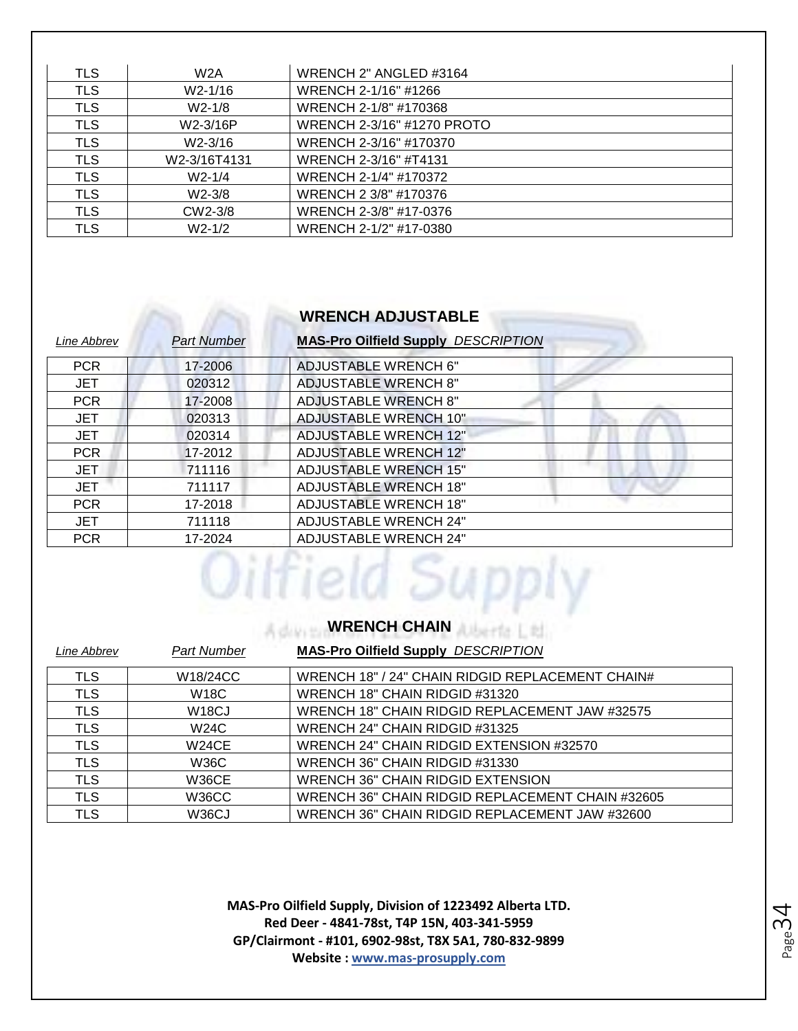| <b>TLS</b> | W2A                  | WRENCH 2" ANGLED #3164     |
|------------|----------------------|----------------------------|
| <b>TLS</b> | W2-1/16              | WRENCH 2-1/16" #1266       |
| <b>TLS</b> | $W2-1/8$             | WRENCH 2-1/8" #170368      |
| <b>TLS</b> | W2-3/16P             | WRENCH 2-3/16" #1270 PROTO |
| <b>TLS</b> | W <sub>2</sub> -3/16 | WRENCH 2-3/16" #170370     |
| <b>TLS</b> | W2-3/16T4131         | WRENCH 2-3/16" #T4131      |
| <b>TLS</b> | $W2 - 1/4$           | WRENCH 2-1/4" #170372      |
| <b>TLS</b> | $W2 - 3/8$           | WRENCH 2 3/8" #170376      |
| <b>TLS</b> | CW2-3/8              | WRENCH 2-3/8" #17-0376     |
| TLS        | $W2-1/2$             | WRENCH 2-1/2" #17-0380     |

### **WRENCH ADJUSTABLE**

| Line Abbrev | <b>Part Number</b> | <b>MAS-Pro Oilfield Supply DESCRIPTION</b> |
|-------------|--------------------|--------------------------------------------|
| <b>PCR</b>  | 17-2006            | ADJUSTABLE WRENCH 6"                       |
| <b>JET</b>  | 020312             | <b>ADJUSTABLE WRENCH 8"</b>                |
| <b>PCR</b>  | 17-2008            | <b>ADJUSTABLE WRENCH 8"</b>                |
| <b>JET</b>  | 020313             | <b>ADJUSTABLE WRENCH 10"</b>               |
| JET         | 020314             | <b>ADJUSTABLE WRENCH 12"</b>               |
| <b>PCR</b>  | 17-2012            | <b>ADJUSTABLE WRENCH 12"</b>               |
| <b>JET</b>  | 711116             | <b>ADJUSTABLE WRENCH 15"</b>               |
| <b>JET</b>  | 711117             | <b>ADJUSTABLE WRENCH 18"</b>               |
| <b>PCR</b>  | 17-2018            | ADJUSTABLE WRENCH 18"                      |
| <b>JET</b>  | 711118             | <b>ADJUSTABLE WRENCH 24"</b>               |
| <b>PCR</b>  | 17-2024            | <b>ADJUSTABLE WRENCH 24"</b>               |
|             |                    |                                            |

### **WRENCH CHAIN**

| Line Abbrev | <b>Part Number</b> | <b>MAS-Pro Oilfield Supply DESCRIPTION</b>       |
|-------------|--------------------|--------------------------------------------------|
| <b>TLS</b>  | W18/24CC           | WRENCH 18" / 24" CHAIN RIDGID REPLACEMENT CHAIN# |
| <b>TLS</b>  | <b>W18C</b>        | WRENCH 18" CHAIN RIDGID #31320                   |
| <b>TLS</b>  | W <sub>18</sub> CJ | WRENCH 18" CHAIN RIDGID REPLACEMENT JAW #32575   |
| <b>TLS</b>  | W24C               | WRENCH 24" CHAIN RIDGID #31325                   |
| <b>TLS</b>  | <b>W24CE</b>       | WRENCH 24" CHAIN RIDGID EXTENSION #32570         |
| <b>TLS</b>  | W36C               | WRENCH 36" CHAIN RIDGID #31330                   |
| <b>TLS</b>  | <b>W36CE</b>       | <b>WRENCH 36" CHAIN RIDGID EXTENSION</b>         |
| <b>TLS</b>  | W36CC              | WRENCH 36" CHAIN RIDGID REPLACEMENT CHAIN #32605 |
| TLS         | W <sub>36</sub> CJ | WRENCH 36" CHAIN RIDGID REPLACEMENT JAW #32600   |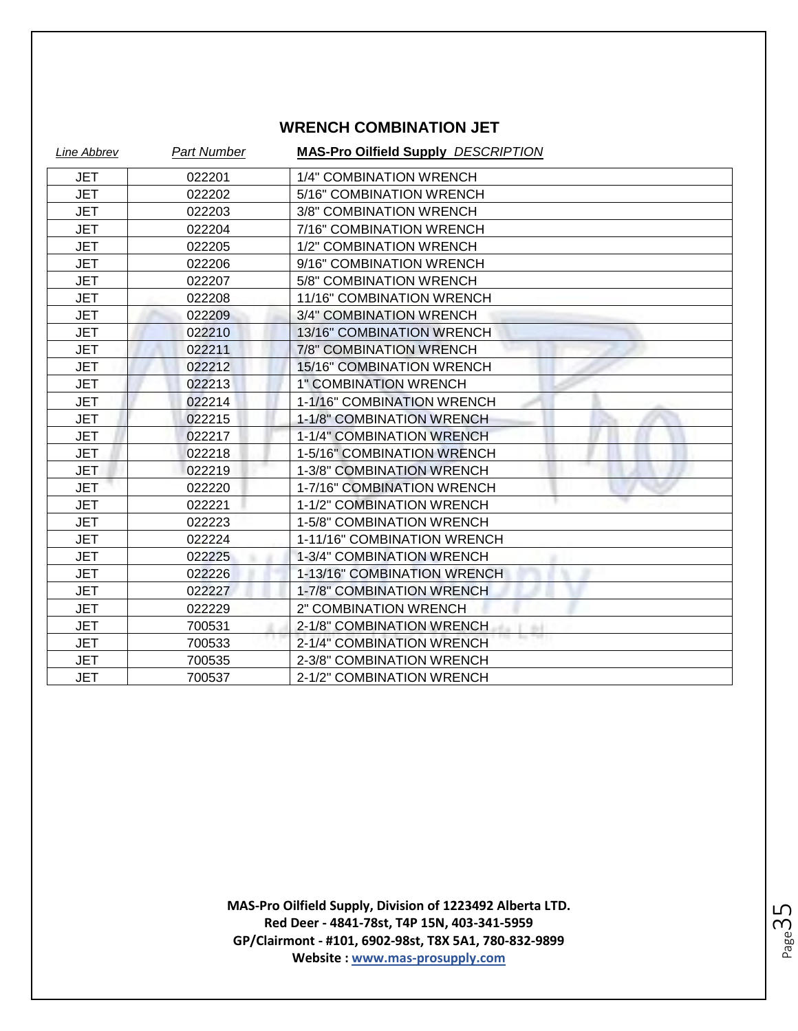#### **WRENCH COMBINATION JET**

| Line Abbrev | <b>Part Number</b> | <b>MAS-Pro Oilfield Supply DESCRIPTION</b> |
|-------------|--------------------|--------------------------------------------|
| <b>JET</b>  | 022201             | 1/4" COMBINATION WRENCH                    |
| JET         | 022202             | 5/16" COMBINATION WRENCH                   |
| <b>JET</b>  | 022203             | 3/8" COMBINATION WRENCH                    |
| <b>JET</b>  | 022204             | 7/16" COMBINATION WRENCH                   |
| <b>JET</b>  | 022205             | 1/2" COMBINATION WRENCH                    |
| <b>JET</b>  | 022206             | 9/16" COMBINATION WRENCH                   |
| <b>JET</b>  | 022207             | 5/8" COMBINATION WRENCH                    |
| <b>JET</b>  | 022208             | 11/16" COMBINATION WRENCH                  |
| <b>JET</b>  | 022209             | 3/4" COMBINATION WRENCH                    |
| <b>JET</b>  | 022210             | 13/16" COMBINATION WRENCH                  |
| <b>JET</b>  | 022211             | 7/8" COMBINATION WRENCH                    |
| <b>JET</b>  | 022212             | 15/16" COMBINATION WRENCH                  |
| <b>JET</b>  | 022213             | <b>1" COMBINATION WRENCH</b>               |
| <b>JET</b>  | 022214             | 1-1/16" COMBINATION WRENCH                 |
| <b>JET</b>  | 022215             | 1-1/8" COMBINATION WRENCH                  |
| <b>JET</b>  | 022217             | 1-1/4" COMBINATION WRENCH                  |
| <b>JET</b>  | 022218             | 1-5/16" COMBINATION WRENCH                 |
| <b>JET</b>  | 022219             | 1-3/8" COMBINATION WRENCH                  |
| <b>JET</b>  | 022220             | 1-7/16" COMBINATION WRENCH                 |
| <b>JET</b>  | 022221             | 1-1/2" COMBINATION WRENCH                  |
| <b>JET</b>  | 022223             | 1-5/8" COMBINATION WRENCH                  |
| <b>JET</b>  | 022224             | 1-11/16" COMBINATION WRENCH                |
| <b>JET</b>  | 022225             | 1-3/4" COMBINATION WRENCH                  |
| <b>JET</b>  | 022226             | 1-13/16" COMBINATION WRENCH                |
| <b>JET</b>  | 022227             | 1-7/8" COMBINATION WRENCH                  |
| <b>JET</b>  | 022229             | 2" COMBINATION WRENCH                      |
| JET         | 700531             | 2-1/8" COMBINATION WRENCH<br>$^{+1}$       |
| <b>JET</b>  | 700533             | 2-1/4" COMBINATION WRENCH                  |
| JET         | 700535             | 2-3/8" COMBINATION WRENCH                  |
| <b>JET</b>  | 700537             | 2-1/2" COMBINATION WRENCH                  |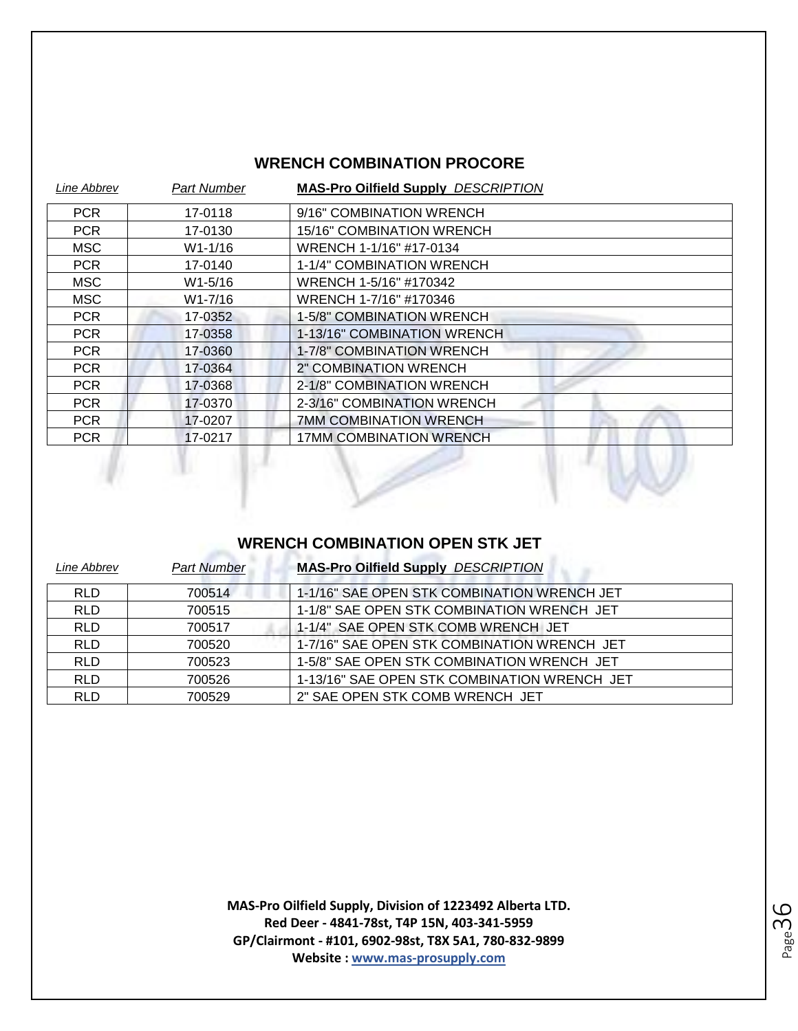#### **WRENCH COMBINATION PROCORE**

| Line Abbrev | Part Number | <b>MAS-Pro Oilfield Supply DESCRIPTION</b> |
|-------------|-------------|--------------------------------------------|
| PCR         | 17-0118     | 9/16" COMBINATION WRENCH                   |
| <b>PCR</b>  | 17-0130     | 15/16" COMBINATION WRENCH                  |
| MSC.        | W1-1/16     | WRENCH 1-1/16" #17-0134                    |
| PCR         | 17-0140     | 1-1/4" COMBINATION WRENCH                  |
| MSC         | W1-5/16     | WRENCH 1-5/16" #170342                     |
| MSC.        | W1-7/16     | WRENCH 1-7/16" #170346                     |
| <b>PCR</b>  | 17-0352     | 1-5/8" COMBINATION WRENCH                  |
| <b>PCR</b>  | 17-0358     | 1-13/16" COMBINATION WRENCH                |
| <b>PCR</b>  | 17-0360     | 1-7/8" COMBINATION WRENCH                  |
| <b>PCR</b>  | 17-0364     | 2" COMBINATION WRENCH                      |
| PCR         | 17-0368     | 2-1/8" COMBINATION WRENCH                  |
| PCR.        | 17-0370     | 2-3/16" COMBINATION WRENCH                 |
| PCR.        | 17-0207     | <b>7MM COMBINATION WRENCH</b>              |
| <b>PCR</b>  | 17-0217     | <b>17MM COMBINATION WRENCH</b>             |

### **WRENCH COMBINATION OPEN STK JET**

 $\mathbb{Z}$ 

| Line Abbrev | <b>Part Number</b> | <b>MAS-Pro Oilfield Supply DESCRIPTION</b>   |
|-------------|--------------------|----------------------------------------------|
| <b>RLD</b>  | 700514             | 1-1/16" SAE OPEN STK COMBINATION WRENCH JET  |
| <b>RLD</b>  | 700515             | 1-1/8" SAE OPEN STK COMBINATION WRENCH JET   |
| <b>RLD</b>  | 700517             | 1-1/4" SAE OPEN STK COMB WRENCH JET          |
| <b>RLD</b>  | 700520             | 1-7/16" SAE OPEN STK COMBINATION WRENCH JET  |
| <b>RLD</b>  | 700523             | 1-5/8" SAE OPEN STK COMBINATION WRENCH JET   |
| <b>RLD</b>  | 700526             | 1-13/16" SAE OPEN STK COMBINATION WRENCH JET |
| <b>RLD</b>  | 700529             | 2" SAE OPEN STK COMB WRENCH JET              |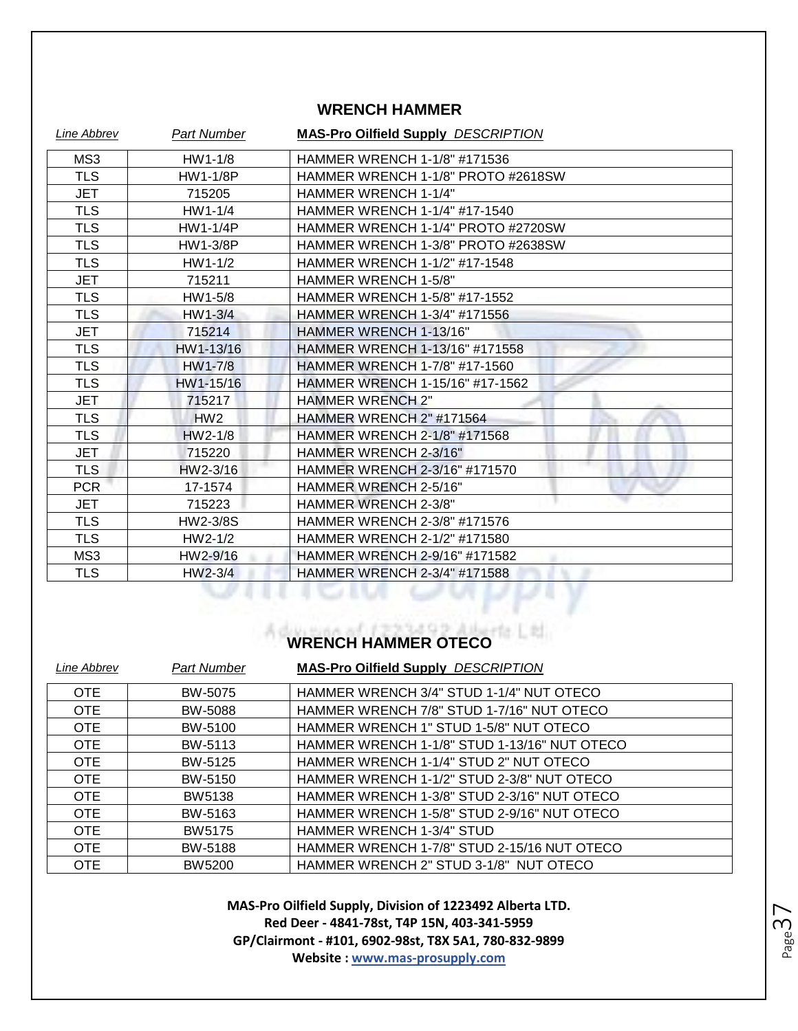#### **WRENCH HAMMER**

| <b>Line Abbrev</b> | <b>Part Number</b> | <b>MAS-Pro Oilfield Supply DESCRIPTION</b> |
|--------------------|--------------------|--------------------------------------------|
| MS3                | $HW1-1/8$          | HAMMER WRENCH 1-1/8" #171536               |
| <b>TLS</b>         | <b>HW1-1/8P</b>    | HAMMER WRENCH 1-1/8" PROTO #2618SW         |
| JET                | 715205             | <b>HAMMER WRENCH 1-1/4"</b>                |
| <b>TLS</b>         | $HW1-1/4$          | HAMMER WRENCH 1-1/4" #17-1540              |
| <b>TLS</b>         | <b>HW1-1/4P</b>    | HAMMER WRENCH 1-1/4" PROTO #2720SW         |
| <b>TLS</b>         | HW1-3/8P           | HAMMER WRENCH 1-3/8" PROTO #2638SW         |
| <b>TLS</b>         | $HW1-1/2$          | HAMMER WRENCH 1-1/2" #17-1548              |
| <b>JET</b>         | 715211             | <b>HAMMER WRENCH 1-5/8"</b>                |
| <b>TLS</b>         | HW1-5/8            | HAMMER WRENCH 1-5/8" #17-1552              |
| <b>TLS</b>         | $HW1-3/4$          | HAMMER WRENCH 1-3/4" #171556               |
| <b>JET</b>         | 715214             | HAMMER WRENCH 1-13/16"                     |
| <b>TLS</b>         | HW1-13/16          | HAMMER WRENCH 1-13/16" #171558             |
| <b>TLS</b>         | HW1-7/8            | HAMMER WRENCH 1-7/8" #17-1560              |
| <b>TLS</b>         | HW1-15/16          | HAMMER WRENCH 1-15/16" #17-1562            |
| <b>JET</b>         | 715217             | <b>HAMMER WRENCH 2"</b>                    |
| <b>TLS</b>         | HW2                | HAMMER WRENCH 2" #171564                   |
| <b>TLS</b>         | $HW2-1/8$          | <b>HAMMER WRENCH 2-1/8" #171568</b>        |
| <b>JET</b>         | 715220             | HAMMER WRENCH 2-3/16"                      |
| <b>TLS</b>         | HW2-3/16           | HAMMER WRENCH 2-3/16" #171570              |
| <b>PCR</b>         | 17-1574            | HAMMER WRENCH 2-5/16"                      |
| JET                | 715223             | <b>HAMMER WRENCH 2-3/8"</b>                |
| <b>TLS</b>         | HW2-3/8S           | HAMMER WRENCH 2-3/8" #171576               |
| <b>TLS</b>         | $HW2-1/2$          | HAMMER WRENCH 2-1/2" #171580               |
| MS3                | HW2-9/16           | HAMMER WRENCH 2-9/16" #171582              |
| <b>TLS</b>         | $HW2-3/4$          | HAMMER WRENCH 2-3/4" #171588               |
|                    |                    |                                            |

## **WRENCH HAMMER OTECO**

| Line Abbrev | <b>Part Number</b> | <b>MAS-Pro Oilfield Supply DESCRIPTION</b>   |
|-------------|--------------------|----------------------------------------------|
| <b>OTE</b>  | BW-5075            | HAMMER WRENCH 3/4" STUD 1-1/4" NUT OTECO     |
| <b>OTE</b>  | BW-5088            | HAMMER WRENCH 7/8" STUD 1-7/16" NUT OTECO    |
| <b>OTE</b>  | BW-5100            | HAMMER WRENCH 1" STUD 1-5/8" NUT OTECO       |
| <b>OTE</b>  | BW-5113            | HAMMER WRENCH 1-1/8" STUD 1-13/16" NUT OTECO |
| OTE         | BW-5125            | HAMMER WRENCH 1-1/4" STUD 2" NUT OTECO       |
| <b>OTE</b>  | BW-5150            | HAMMER WRENCH 1-1/2" STUD 2-3/8" NUT OTECO   |
| <b>OTE</b>  | <b>BW5138</b>      | HAMMER WRENCH 1-3/8" STUD 2-3/16" NUT OTECO  |
| <b>OTE</b>  | BW-5163            | HAMMER WRENCH 1-5/8" STUD 2-9/16" NUT OTECO  |
| <b>OTE</b>  | <b>BW5175</b>      | <b>HAMMER WRENCH 1-3/4" STUD</b>             |
| <b>OTE</b>  | BW-5188            | HAMMER WRENCH 1-7/8" STUD 2-15/16 NUT OTECO  |
| <b>OTE</b>  | <b>BW5200</b>      | HAMMER WRENCH 2" STUD 3-1/8" NUT OTECO       |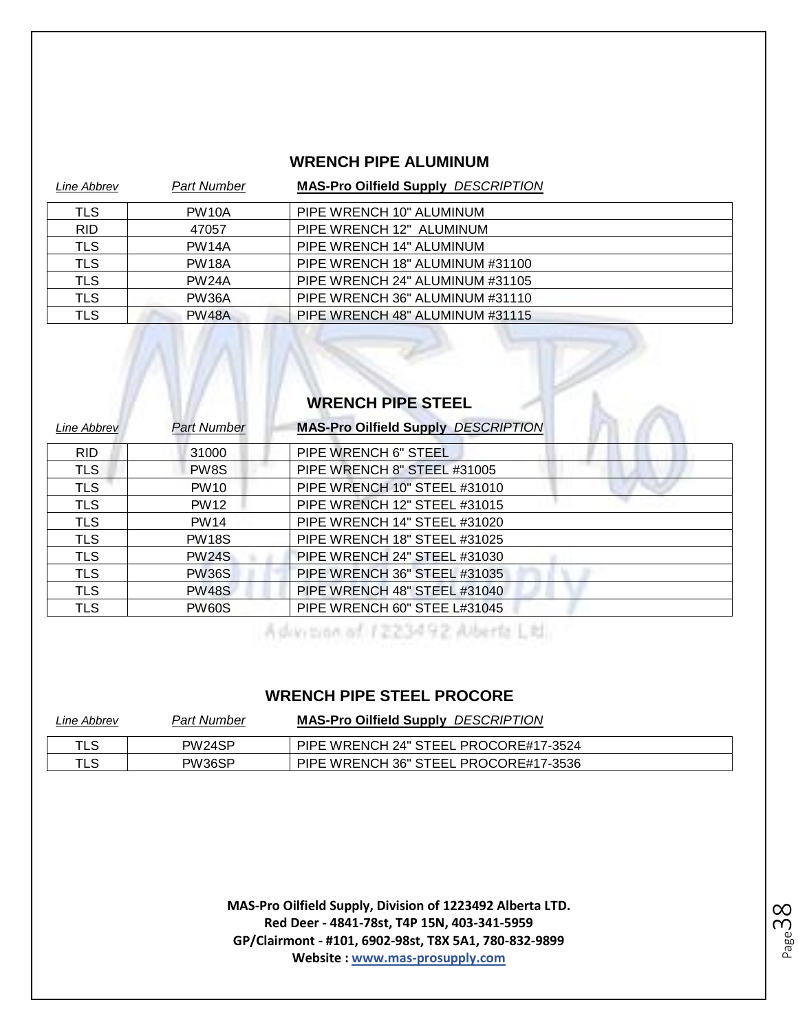#### **WRENCH PIPE ALUMINUM**

| Line Abbrev | <b>Part Number</b> | <b>MAS-Pro Oilfield Supply DESCRIPTION</b> |
|-------------|--------------------|--------------------------------------------|
| <b>TLS</b>  | PW <sub>10</sub> A | PIPE WRENCH 10" ALUMINUM                   |
| <b>RID</b>  | 47057              | PIPE WRENCH 12" ALUMINUM                   |
| <b>TLS</b>  | <b>PW14A</b>       | PIPE WRENCH 14" ALUMINUM                   |
| <b>TLS</b>  | <b>PW18A</b>       | PIPE WRENCH 18" ALUMINUM #31100            |
| <b>TLS</b>  | <b>PW24A</b>       | PIPE WRENCH 24" ALUMINUM #31105            |
| <b>TLS</b>  | PW36A              | PIPE WRENCH 36" ALUMINUM #31110            |
| <b>TLS</b>  | <b>PW48A</b>       | PIPE WRENCH 48" ALUMINUM #31115            |

#### **WRENCH PIPE STEEL**

| Line Abbrev | Part Number  | <b>MAS-Pro Oilfield Supply DESCRIPTION</b> |
|-------------|--------------|--------------------------------------------|
| <b>RID</b>  | 31000        | PIPE WRENCH 6" STEEL                       |
| <b>TLS</b>  | PW8S         | PIPE WRENCH 8" STEEL #31005                |
| <b>TLS</b>  | <b>PW10</b>  | PIPE WRENCH 10" STEEL #31010               |
| <b>TLS</b>  | <b>PW12</b>  | PIPE WRENCH 12" STEEL #31015               |
| <b>TLS</b>  | <b>PW14</b>  | PIPE WRENCH 14" STEEL #31020               |
| <b>TLS</b>  | <b>PW18S</b> | PIPE WRENCH 18" STEEL #31025               |
| <b>TLS</b>  | <b>PW24S</b> | PIPE WRENCH 24" STEEL #31030               |
| <b>TLS</b>  | <b>PW36S</b> | PIPE WRENCH 36" STEEL #31035               |
| <b>TLS</b>  | <b>PW48S</b> | PIPE WRENCH 48" STEEL #31040               |
| <b>TLS</b>  | <b>PW60S</b> | PIPE WRENCH 60" STEE L#31045               |

Advision of 1223492 Aberta Ltd.

#### **WRENCH PIPE STEEL PROCORE**

| Line Abbrev | <b>Part Number</b> | <b>MAS-Pro Oilfield Supply DESCRIPTION</b> |
|-------------|--------------------|--------------------------------------------|
| TLS         | PW24SP             | PIPE WRENCH 24" STEEL PROCORE#17-3524      |
| TLS         | PW36SP             | PIPE WRENCH 36" STEEL PROCORE#17-3536      |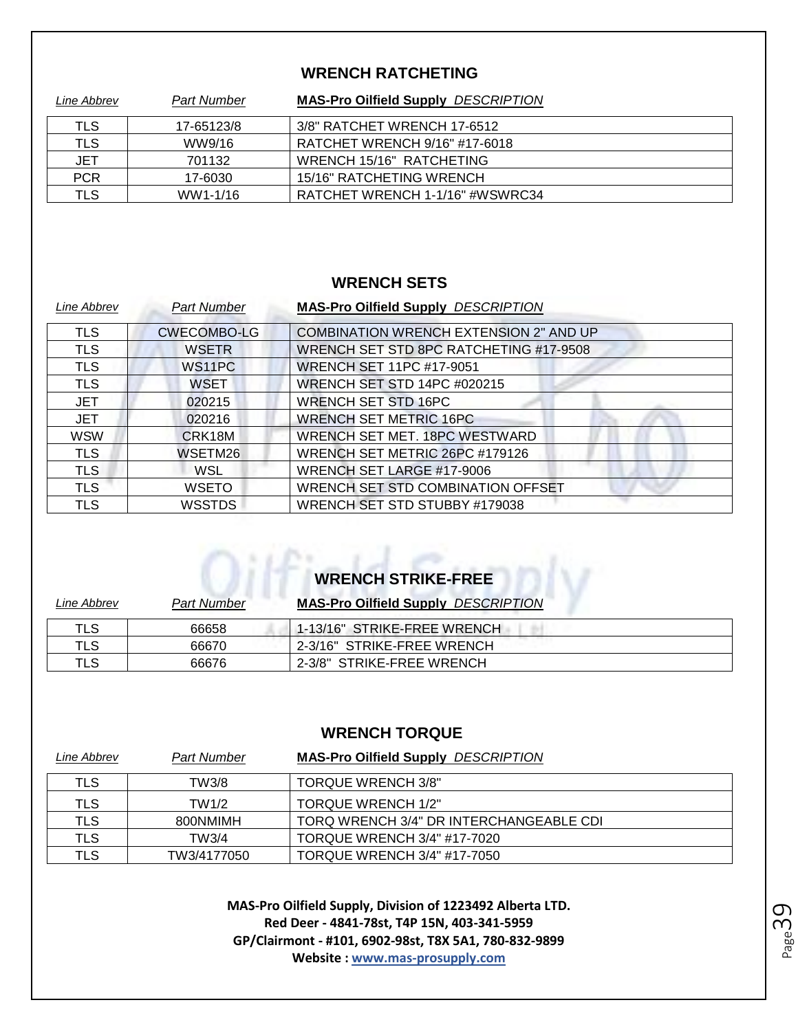#### **WRENCH RATCHETING**

| Line Abbrev | <b>Part Number</b> | <b>MAS-Pro Oilfield Supply DESCRIPTION</b> |
|-------------|--------------------|--------------------------------------------|
| TLS         | 17-65123/8         | 3/8" RATCHET WRENCH 17-6512                |
| TLS         | WW9/16             | RATCHET WRENCH 9/16" #17-6018              |
| <b>JET</b>  | 701132             | WRENCH 15/16" RATCHETING                   |
| <b>PCR</b>  | 17-6030            | 15/16" RATCHETING WRENCH                   |
| TLS         | WW1-1/16           | RATCHET WRENCH 1-1/16" #WSWRC34            |

#### **WRENCH SETS**

| Line Abbrev | <b>Part Number</b>  | <b>MAS-Pro Oilfield Supply DESCRIPTION</b>    |
|-------------|---------------------|-----------------------------------------------|
| <b>TLS</b>  | <b>CWECOMBO-LG</b>  | <b>COMBINATION WRENCH EXTENSION 2" AND UP</b> |
| <b>TLS</b>  | <b>WSETR</b>        | WRENCH SET STD 8PC RATCHETING #17-9508        |
| <b>TLS</b>  | WS <sub>1</sub> 1PC | <b>WRENCH SET 11PC #17-9051</b>               |
| TLS         | WSET                | <b>WRENCH SET STD 14PC #020215</b>            |
| <b>JET</b>  | 020215              | <b>WRENCH SET STD 16PC</b>                    |
| <b>JET</b>  | 020216              | <b>WRENCH SET METRIC 16PC</b>                 |
| <b>WSW</b>  | CRK18M              | WRENCH SET MET. 18PC WESTWARD                 |
| <b>TLS</b>  | WSETM26             | WRENCH SET METRIC 26PC #179126                |
| <b>TLS</b>  | WSL                 | WRENCH SET LARGE #17-9006                     |
| <b>TLS</b>  | <b>WSETO</b>        | WRENCH SET STD COMBINATION OFFSET             |
| TLS         | <b>WSSTDS</b>       | WRENCH SET STD STUBBY #179038                 |

# **WRENCH STRIKE-FREE**

| Line Abbrev | <b>Part Number</b> | <b>MAS-Pro Oilfield Supply DESCRIPTION</b> |
|-------------|--------------------|--------------------------------------------|
| TLS         | 66658              | 1-13/16" STRIKE-FREE WRENCH                |
| TLS         | 66670              | 2-3/16" STRIKE-FREE WRENCH                 |
| TLS         | 66676              | 2-3/8" STRIKE-FREE WRENCH                  |

#### **WRENCH TORQUE**

| Line Abbrev | <b>Part Number</b> | <b>MAS-Pro Oilfield Supply DESCRIPTION</b> |
|-------------|--------------------|--------------------------------------------|
| TLS         | TW3/8              | <b>TORQUE WRENCH 3/8"</b>                  |
| TLS         | TW1/2              | <b>TORQUE WRENCH 1/2"</b>                  |
| TLS         | 800NMIMH           | TORQ WRENCH 3/4" DR INTERCHANGEABLE CDI    |
| TLS         | TW3/4              | TORQUE WRENCH 3/4" #17-7020                |
| <b>TLS</b>  | TW3/4177050        | <b>TORQUE WRENCH 3/4" #17-7050</b>         |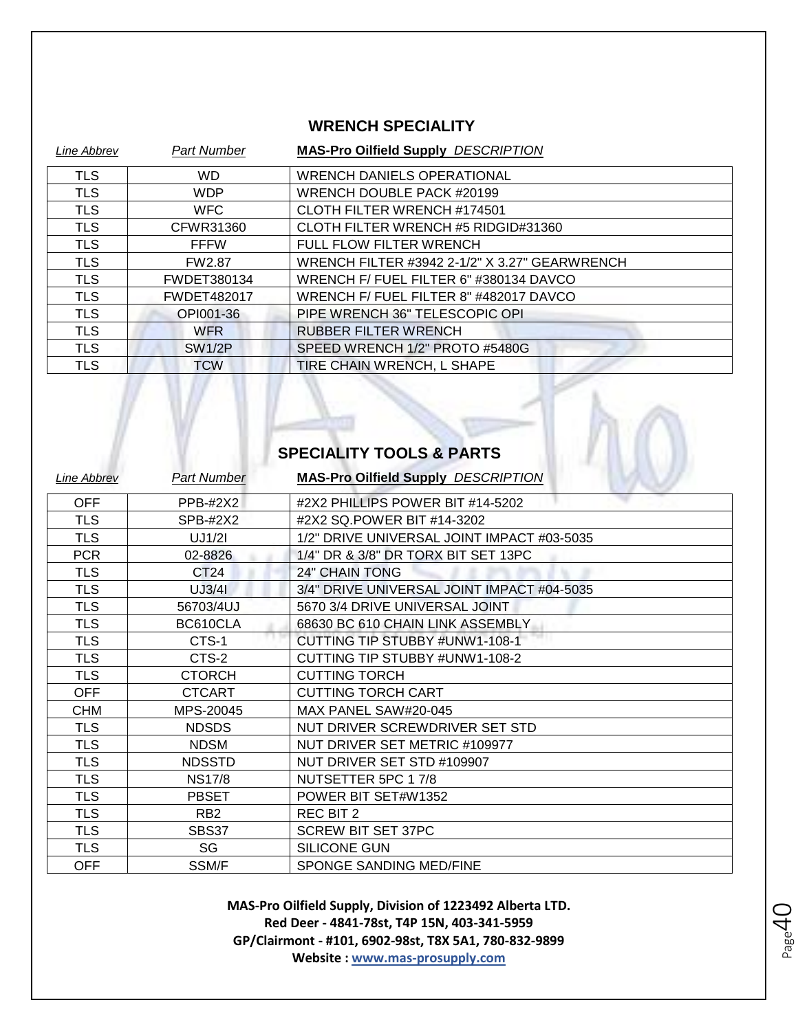#### **WRENCH SPECIALITY**

| Line Abbrev | <b>Part Number</b> | <b>MAS-Pro Oilfield Supply DESCRIPTION</b>    |
|-------------|--------------------|-----------------------------------------------|
| <b>TLS</b>  | <b>WD</b>          | <b>WRENCH DANIELS OPERATIONAL</b>             |
| <b>TLS</b>  | <b>WDP</b>         | WRENCH DOUBLE PACK #20199                     |
| <b>TLS</b>  | <b>WFC</b>         | CLOTH FILTER WRENCH #174501                   |
| <b>TLS</b>  | CFWR31360          | CLOTH FILTER WRENCH #5 RIDGID#31360           |
| <b>TLS</b>  | <b>FFFW</b>        | <b>FULL FLOW FILTER WRENCH</b>                |
| <b>TLS</b>  | <b>FW2.87</b>      | WRENCH FILTER #3942 2-1/2" X 3.27" GEARWRENCH |
| <b>TLS</b>  | FWDET380134        | WRENCH F/ FUEL FILTER 6" #380134 DAVCO        |
| <b>TLS</b>  | <b>FWDET482017</b> | WRENCH F/FUEL FILTER 8" #482017 DAVCO         |
| <b>TLS</b>  | OPI001-36          | PIPE WRENCH 36" TELESCOPIC OPI                |
| <b>TLS</b>  | <b>WFR</b>         | <b>RUBBER FILTER WRENCH</b>                   |
| <b>TLS</b>  | <b>SW1/2P</b>      | SPEED WRENCH 1/2" PROTO #5480G                |
| <b>TLS</b>  | <b>TCW</b>         | TIRE CHAIN WRENCH, L SHAPE                    |

# **SPECIALITY TOOLS & PARTS**

 $\rightarrow$ 

U

| Line Abbrev | <b>Part Number</b> | <b>MAS-Pro Oilfield Supply DESCRIPTION</b> |
|-------------|--------------------|--------------------------------------------|
| <b>OFF</b>  | <b>PPB-#2X2</b>    | #2X2 PHILLIPS POWER BIT #14-5202           |
| <b>TLS</b>  | SPB-#2X2           | #2X2 SQ.POWER BIT #14-3202                 |
| <b>TLS</b>  | UJ1/21             | 1/2" DRIVE UNIVERSAL JOINT IMPACT #03-5035 |
| <b>PCR</b>  | 02-8826            | 1/4" DR & 3/8" DR TORX BIT SET 13PC        |
| <b>TLS</b>  | CT <sub>24</sub>   | <b>24" CHAIN TONG</b>                      |
| <b>TLS</b>  | UJ3/41             | 3/4" DRIVE UNIVERSAL JOINT IMPACT #04-5035 |
| <b>TLS</b>  | 56703/4UJ          | 5670 3/4 DRIVE UNIVERSAL JOINT             |
| <b>TLS</b>  | BC610CLA           | 68630 BC 610 CHAIN LINK ASSEMBLY           |
| <b>TLS</b>  | CTS-1              | CUTTING TIP STUBBY #UNW1-108-1             |
| <b>TLS</b>  | CTS-2              | CUTTING TIP STUBBY #UNW1-108-2             |
| <b>TLS</b>  | <b>CTORCH</b>      | <b>CUTTING TORCH</b>                       |
| <b>OFF</b>  | <b>CTCART</b>      | <b>CUTTING TORCH CART</b>                  |
| <b>CHM</b>  | MPS-20045          | MAX PANEL SAW#20-045                       |
| <b>TLS</b>  | <b>NDSDS</b>       | NUT DRIVER SCREWDRIVER SET STD             |
| <b>TLS</b>  | <b>NDSM</b>        | NUT DRIVER SET METRIC #109977              |
| <b>TLS</b>  | <b>NDSSTD</b>      | NUT DRIVER SET STD #109907                 |
| <b>TLS</b>  | <b>NS17/8</b>      | NUTSETTER 5PC 17/8                         |
| <b>TLS</b>  | <b>PBSET</b>       | POWER BIT SET#W1352                        |
| <b>TLS</b>  | RB <sub>2</sub>    | <b>REC BIT 2</b>                           |
| <b>TLS</b>  | SBS37              | <b>SCREW BIT SET 37PC</b>                  |
| <b>TLS</b>  | SG                 | <b>SILICONE GUN</b>                        |
| OFF         | SSM/F              | SPONGE SANDING MED/FINE                    |

**MAS-Pro Oilfield Supply, Division of 1223492 Alberta LTD. Red Deer - 4841-78st, T4P 15N, 403-341-5959 GP/Clairmont - #101, 6902-98st, T8X 5A1, 780-832-9899 Website : www.mas-prosupply.com**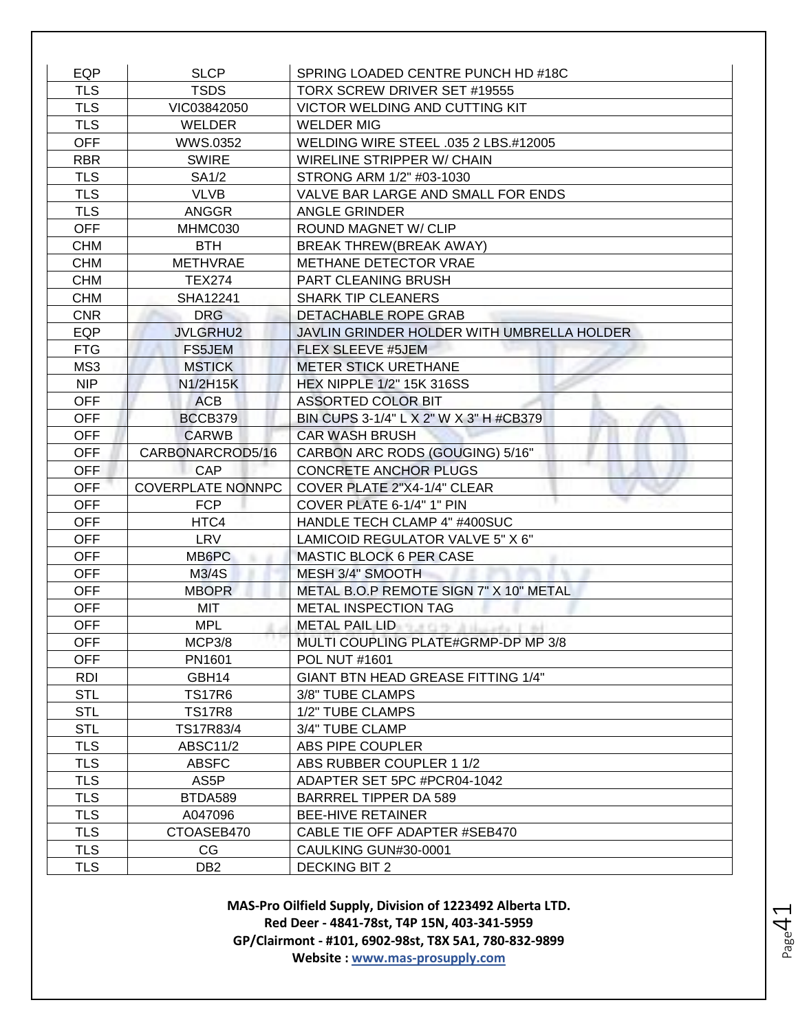| EQP        | <b>SLCP</b>              | SPRING LOADED CENTRE PUNCH HD #18C           |
|------------|--------------------------|----------------------------------------------|
| <b>TLS</b> | <b>TSDS</b>              | TORX SCREW DRIVER SET #19555                 |
| <b>TLS</b> | VIC03842050              | VICTOR WELDING AND CUTTING KIT               |
| <b>TLS</b> | <b>WELDER</b>            | <b>WELDER MIG</b>                            |
| <b>OFF</b> | WWS.0352                 | WELDING WIRE STEEL .035 2 LBS.#12005         |
| <b>RBR</b> | <b>SWIRE</b>             | WIRELINE STRIPPER W/ CHAIN                   |
| <b>TLS</b> | SA <sub>1</sub> /2       | STRONG ARM 1/2" #03-1030                     |
| <b>TLS</b> | <b>VLVB</b>              | VALVE BAR LARGE AND SMALL FOR ENDS           |
| <b>TLS</b> | <b>ANGGR</b>             | <b>ANGLE GRINDER</b>                         |
| <b>OFF</b> | MHMC030                  | <b>ROUND MAGNET W/ CLIP</b>                  |
| <b>CHM</b> | <b>BTH</b>               | BREAK THREW (BREAK AWAY)                     |
| <b>CHM</b> | <b>METHVRAE</b>          | METHANE DETECTOR VRAE                        |
| <b>CHM</b> | <b>TEX274</b>            | PART CLEANING BRUSH                          |
| <b>CHM</b> | SHA12241                 | <b>SHARK TIP CLEANERS</b>                    |
| <b>CNR</b> | <b>DRG</b>               | <b>DETACHABLE ROPE GRAB</b>                  |
| <b>EQP</b> | <b>JVLGRHU2</b>          | JAVLIN GRINDER HOLDER WITH UMBRELLA HOLDER   |
| <b>FTG</b> | FS5JEM                   | <b>FLEX SLEEVE #5JEM</b>                     |
| MS3        | <b>MSTICK</b>            | <b>METER STICK URETHANE</b>                  |
| <b>NIP</b> | N1/2H15K                 | <b>HEX NIPPLE 1/2" 15K 316SS</b>             |
| <b>OFF</b> | <b>ACB</b>               | <b>ASSORTED COLOR BIT</b>                    |
| OFF        | BCCB379                  | BIN CUPS 3-1/4" L X 2" W X 3" H #CB379       |
| <b>OFF</b> | <b>CARWB</b>             | <b>CAR WASH BRUSH</b>                        |
| <b>OFF</b> | CARBONARCROD5/16         | CARBON ARC RODS (GOUGING) 5/16"              |
| <b>OFF</b> | <b>CAP</b>               | <b>CONCRETE ANCHOR PLUGS</b>                 |
| <b>OFF</b> | <b>COVERPLATE NONNPC</b> | COVER PLATE 2"X4-1/4" CLEAR                  |
| <b>OFF</b> | <b>FCP</b>               | COVER PLATE 6-1/4" 1" PIN                    |
| <b>OFF</b> | HTC4                     | HANDLE TECH CLAMP 4" #400SUC                 |
| <b>OFF</b> | <b>LRV</b>               | LAMICOID REGULATOR VALVE 5" X 6"             |
| <b>OFF</b> | MB6PC                    | <b>MASTIC BLOCK 6 PER CASE</b>               |
| <b>OFF</b> | M3/4S                    | MESH 3/4" SMOOTH                             |
| <b>OFF</b> | <b>MBOPR</b>             | METAL B.O.P REMOTE SIGN 7" X 10" METAL       |
| <b>OFF</b> | <b>MIT</b>               | METAL INSPECTION TAG                         |
| <b>OFF</b> | <b>MPL</b>               | METAL PAIL LIDE THE RELEASE RELEASE RELEASE. |
| <b>OFF</b> | MCP3/8                   | MULTI COUPLING PLATE#GRMP-DP MP 3/8          |
| <b>OFF</b> | PN1601                   | POL NUT #1601                                |
| RDI        | GBH14                    | GIANT BTN HEAD GREASE FITTING 1/4"           |
| <b>STL</b> | <b>TS17R6</b>            | 3/8" TUBE CLAMPS                             |
| <b>STL</b> | <b>TS17R8</b>            | 1/2" TUBE CLAMPS                             |
| <b>STL</b> | TS17R83/4                | 3/4" TUBE CLAMP                              |
| <b>TLS</b> | <b>ABSC11/2</b>          | ABS PIPE COUPLER                             |
| <b>TLS</b> | <b>ABSFC</b>             | ABS RUBBER COUPLER 1 1/2                     |
| <b>TLS</b> | AS5P                     | ADAPTER SET 5PC #PCR04-1042                  |
| <b>TLS</b> | BTDA589                  | BARRREL TIPPER DA 589                        |
| <b>TLS</b> | A047096                  | <b>BEE-HIVE RETAINER</b>                     |
| <b>TLS</b> | CTOASEB470               | CABLE TIE OFF ADAPTER #SEB470                |
| <b>TLS</b> | CG                       | CAULKING GUN#30-0001                         |
| <b>TLS</b> | DB <sub>2</sub>          | <b>DECKING BIT 2</b>                         |

**MAS-Pro Oilfield Supply, Division of 1223492 Alberta LTD. Red Deer - 4841-78st, T4P 15N, 403-341-5959 GP/Clairmont - #101, 6902-98st, T8X 5A1, 780-832-9899 Website : www.mas-prosupply.com**